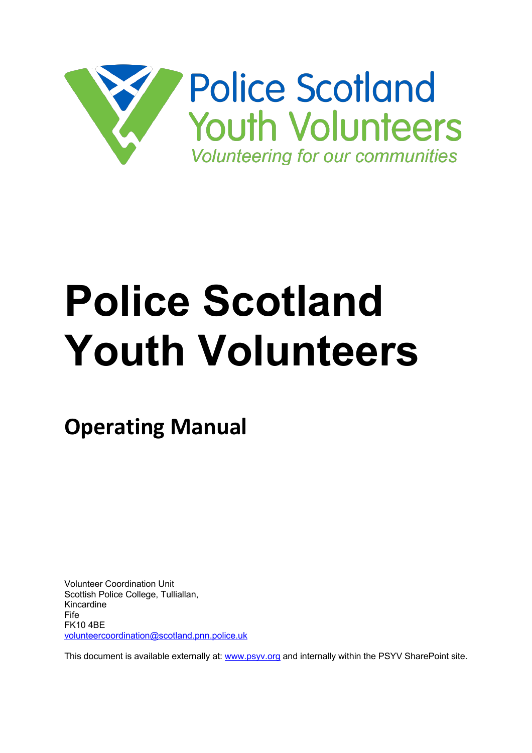

# **Police Scotland Youth Volunteers**

**Operating Manual**

Volunteer Coordination Unit Scottish Police College, Tulliallan, Kincardine Fife FK10 4BE volunteercoordination@scotland.pnn.police.uk

This document is available externally at: www.psyv.org and internally within the PSYV SharePoint site.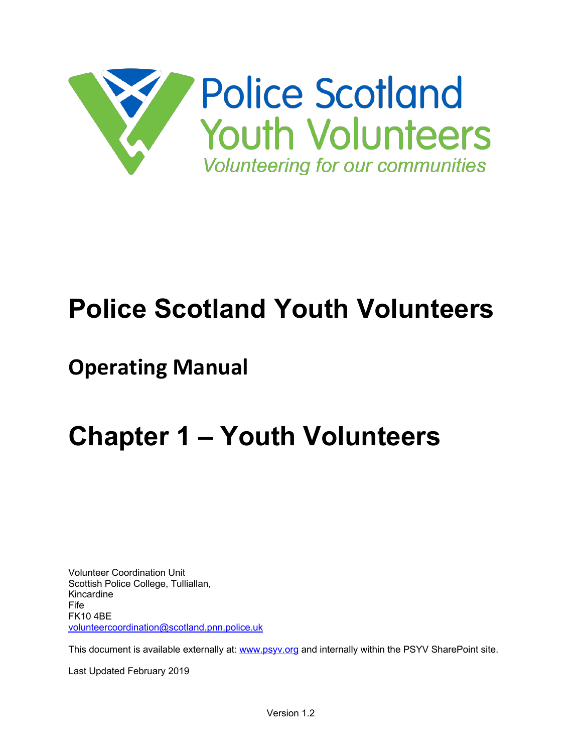

## **Police Scotland Youth Volunteers**

## **Operating Manual**

## **Chapter 1 – Youth Volunteers**

Volunteer Coordination Unit Scottish Police College, Tulliallan, Kincardine Fife FK10 4BE volunteercoordination@scotland.pnn.police.uk

This document is available externally at: www.psyv.org and internally within the PSYV SharePoint site.

Last Updated February 2019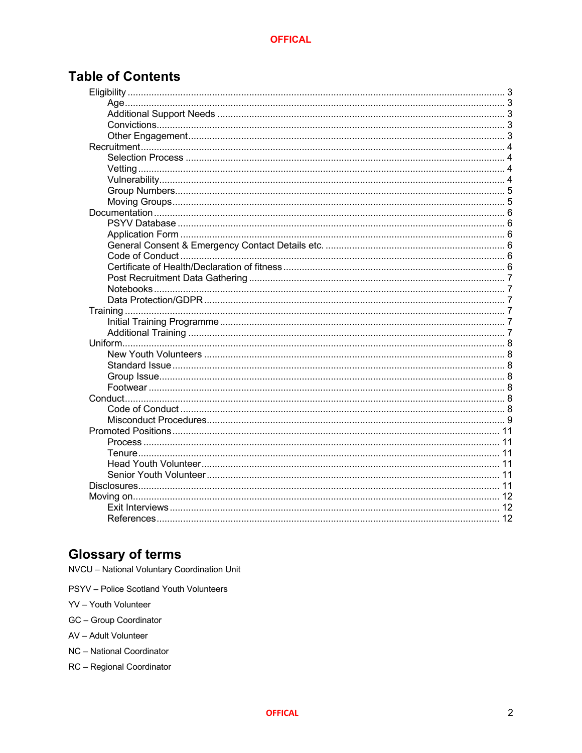## **Table of Contents**

## **Glossary of terms**

NVCU - National Voluntary Coordination Unit

- PSYV Police Scotland Youth Volunteers
- YV Youth Volunteer
- GC Group Coordinator
- AV Adult Volunteer
- NC National Coordinator
- RC Regional Coordinator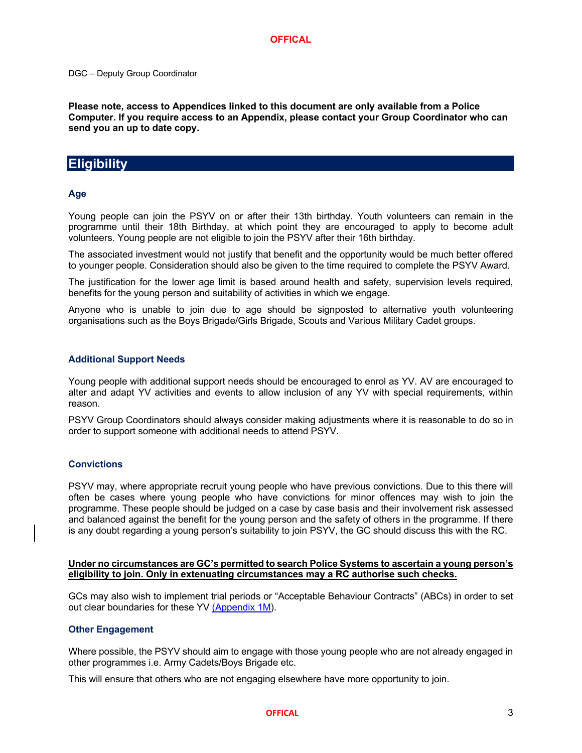#### DGC – Deputy Group Coordinator

**Please note, access to Appendices linked to this document are only available from a Police Computer. If you require access to an Appendix, please contact your Group Coordinator who can send you an up to date copy.**

## **Eligibility**

#### **Age**

Young people can join the PSYV on or after their 13th birthday. Youth volunteers can remain in the programme until their 18th Birthday, at which point they are encouraged to apply to become adult volunteers. Young people are not eligible to join the PSYV after their 16th birthday.

The associated investment would not justify that benefit and the opportunity would be much better offered to younger people. Consideration should also be given to the time required to complete the PSYV Award.

The justification for the lower age limit is based around health and safety, supervision levels required, benefits for the young person and suitability of activities in which we engage.

Anyone who is unable to join due to age should be signposted to alternative youth volunteering organisations such as the Boys Brigade/Girls Brigade, Scouts and Various Military Cadet groups.

#### **Additional Support Needs**

Young people with additional support needs should be encouraged to enrol as YV. AV are encouraged to alter and adapt YV activities and events to allow inclusion of any YV with special requirements, within reason.

PSYV Group Coordinators should always consider making adjustments where it is reasonable to do so in order to support someone with additional needs to attend PSYV.

#### **Convictions**

PSYV may, where appropriate recruit young people who have previous convictions. Due to this there will often be cases where young people who have convictions for minor offences may wish to join the programme. These people should be judged on a case by case basis and their involvement risk assessed and balanced against the benefit for the young person and the safety of others in the programme. If there is any doubt regarding a young person's suitability to join PSYV, the GC should discuss this with the RC.

#### **Under no circumstances are GC's permitted to search Police Systems to ascertain a young person's eligibility to join. Only in extenuating circumstances may a RC authorise such checks.**

GCs may also wish to implement trial periods or "Acceptable Behaviour Contracts" (ABCs) in order to set out clear boundaries for these YV (Appendix 1M).

#### **Other Engagement**

Where possible, the PSYV should aim to engage with those young people who are not already engaged in other programmes i.e. Army Cadets/Boys Brigade etc.

This will ensure that others who are not engaging elsewhere have more opportunity to join.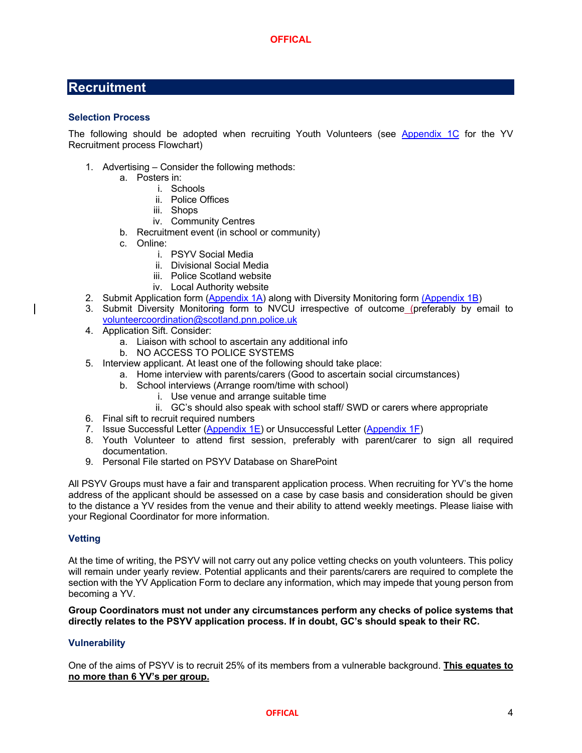## **Recruitment**

#### **Selection Process**

The following should be adopted when recruiting Youth Volunteers (see Appendix 1C for the YV Recruitment process Flowchart)

- 1. Advertising Consider the following methods:
	- a. Posters in:
		- i. Schools
		- ii. Police Offices
		- iii. Shops
		- iv. Community Centres
	- b. Recruitment event (in school or community)
	- c. Online:
		- i. PSYV Social Media
		- ii. Divisional Social Media
		- iii. Police Scotland website
		- iv. Local Authority website
- 2. Submit Application form (Appendix 1A) along with Diversity Monitoring form (Appendix 1B)
- 3. Submit Diversity Monitoring form to NVCU irrespective of outcome (preferably by email to volunteercoordination@scotland.pnn.police.uk
- 4. Application Sift. Consider:
	- a. Liaison with school to ascertain any additional info
	- b. NO ACCESS TO POLICE SYSTEMS
- 5. Interview applicant. At least one of the following should take place:
	- a. Home interview with parents/carers (Good to ascertain social circumstances)
		- b. School interviews (Arrange room/time with school)
			- i. Use venue and arrange suitable time
	- ii. GC's should also speak with school staff/ SWD or carers where appropriate
- 6. Final sift to recruit required numbers
- 7. Issue Successful Letter (Appendix 1E) or Unsuccessful Letter (Appendix 1F)
- 8. Youth Volunteer to attend first session, preferably with parent/carer to sign all required documentation.
- 9. Personal File started on PSYV Database on SharePoint

All PSYV Groups must have a fair and transparent application process. When recruiting for YV's the home address of the applicant should be assessed on a case by case basis and consideration should be given to the distance a YV resides from the venue and their ability to attend weekly meetings. Please liaise with your Regional Coordinator for more information.

#### **Vetting**

At the time of writing, the PSYV will not carry out any police vetting checks on youth volunteers. This policy will remain under yearly review. Potential applicants and their parents/carers are required to complete the section with the YV Application Form to declare any information, which may impede that young person from becoming a YV.

**Group Coordinators must not under any circumstances perform any checks of police systems that directly relates to the PSYV application process. If in doubt, GC's should speak to their RC.**

#### **Vulnerability**

One of the aims of PSYV is to recruit 25% of its members from a vulnerable background. **This equates to no more than 6 YV's per group.**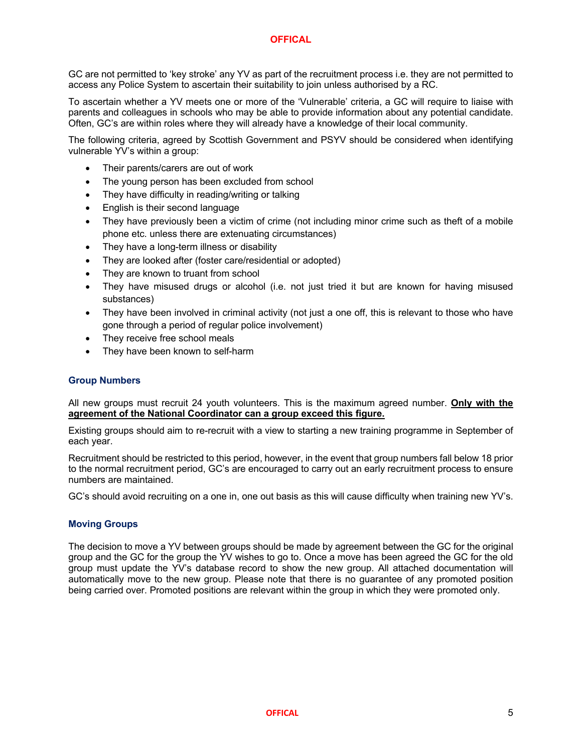GC are not permitted to 'key stroke' any YV as part of the recruitment process i.e. they are not permitted to access any Police System to ascertain their suitability to join unless authorised by a RC.

To ascertain whether a YV meets one or more of the 'Vulnerable' criteria, a GC will require to liaise with parents and colleagues in schools who may be able to provide information about any potential candidate. Often, GC's are within roles where they will already have a knowledge of their local community.

The following criteria, agreed by Scottish Government and PSYV should be considered when identifying vulnerable YV's within a group:

- Their parents/carers are out of work
- The young person has been excluded from school
- They have difficulty in reading/writing or talking
- English is their second language
- They have previously been a victim of crime (not including minor crime such as theft of a mobile phone etc. unless there are extenuating circumstances)
- They have a long-term illness or disability
- They are looked after (foster care/residential or adopted)
- They are known to truant from school
- They have misused drugs or alcohol (i.e. not just tried it but are known for having misused substances)
- They have been involved in criminal activity (not just a one off, this is relevant to those who have gone through a period of regular police involvement)
- They receive free school meals
- They have been known to self-harm

#### **Group Numbers**

All new groups must recruit 24 youth volunteers. This is the maximum agreed number. **Only with the agreement of the National Coordinator can a group exceed this figure.**

Existing groups should aim to re-recruit with a view to starting a new training programme in September of each year.

Recruitment should be restricted to this period, however, in the event that group numbers fall below 18 prior to the normal recruitment period, GC's are encouraged to carry out an early recruitment process to ensure numbers are maintained.

GC's should avoid recruiting on a one in, one out basis as this will cause difficulty when training new YV's.

#### **Moving Groups**

The decision to move a YV between groups should be made by agreement between the GC for the original group and the GC for the group the YV wishes to go to. Once a move has been agreed the GC for the old group must update the YV's database record to show the new group. All attached documentation will automatically move to the new group. Please note that there is no guarantee of any promoted position being carried over. Promoted positions are relevant within the group in which they were promoted only.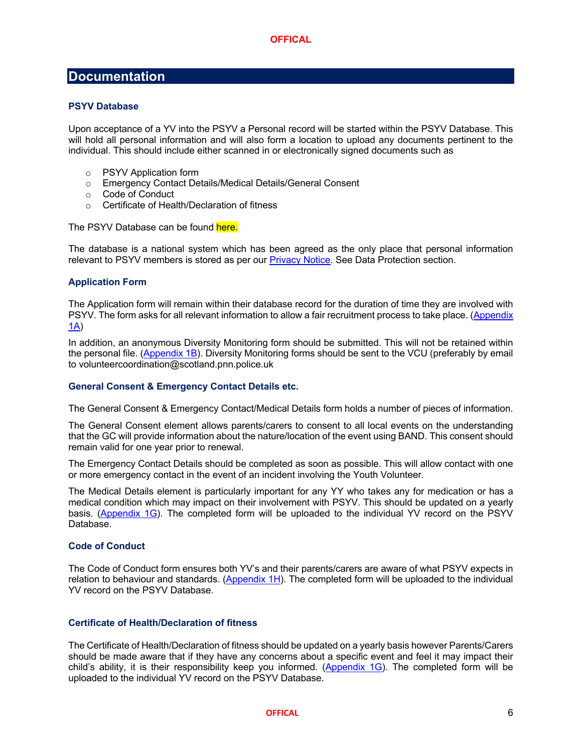## **Documentation**

#### **PSYV Database**

Upon acceptance of a YV into the PSYV a Personal record will be started within the PSYV Database. This will hold all personal information and will also form a location to upload any documents pertinent to the individual. This should include either scanned in or electronically signed documents such as

- o PSYV Application form
- o Emergency Contact Details/Medical Details/General Consent
- o Code of Conduct
- o Certificate of Health/Declaration of fitness

The PSYV Database can be found here.

The database is a national system which has been agreed as the only place that personal information relevant to PSYV members is stored as per our Privacy Notice. See Data Protection section.

#### **Application Form**

The Application form will remain within their database record for the duration of time they are involved with PSYV. The form asks for all relevant information to allow a fair recruitment process to take place. (Appendix 1A)

In addition, an anonymous Diversity Monitoring form should be submitted. This will not be retained within the personal file. (Appendix 1B). Diversity Monitoring forms should be sent to the VCU (preferably by email to volunteercoordination@scotland.pnn.police.uk

#### **General Consent & Emergency Contact Details etc.**

The General Consent & Emergency Contact/Medical Details form holds a number of pieces of information.

The General Consent element allows parents/carers to consent to all local events on the understanding that the GC will provide information about the nature/location of the event using BAND. This consent should remain valid for one year prior to renewal.

The Emergency Contact Details should be completed as soon as possible. This will allow contact with one or more emergency contact in the event of an incident involving the Youth Volunteer.

The Medical Details element is particularly important for any YY who takes any for medication or has a medical condition which may impact on their involvement with PSYV. This should be updated on a yearly basis. (Appendix 1G). The completed form will be uploaded to the individual YV record on the PSYV Database.

#### **Code of Conduct**

The Code of Conduct form ensures both YV's and their parents/carers are aware of what PSYV expects in relation to behaviour and standards. (Appendix 1H). The completed form will be uploaded to the individual YV record on the PSYV Database.

#### **Certificate of Health/Declaration of fitness**

The Certificate of Health/Declaration of fitness should be updated on a yearly basis however Parents/Carers should be made aware that if they have any concerns about a specific event and feel it may impact their child's ability, it is their responsibility keep you informed. (Appendix 1G). The completed form will be uploaded to the individual YV record on the PSYV Database.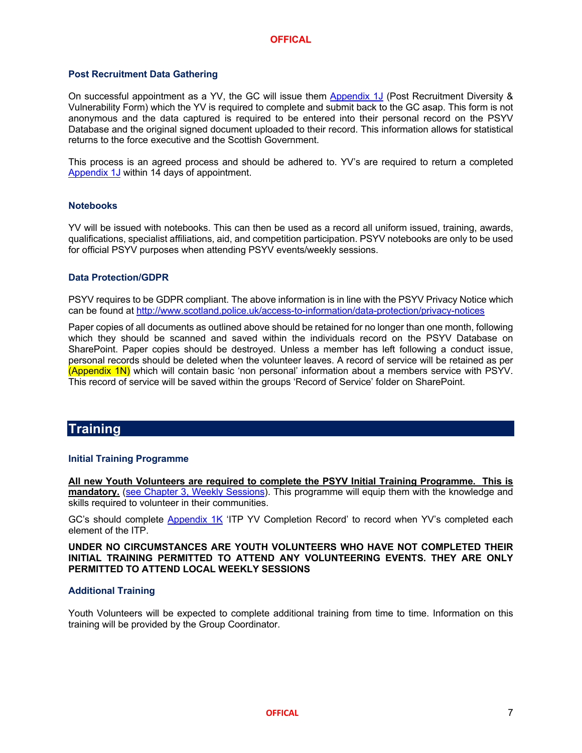#### **Post Recruitment Data Gathering**

On successful appointment as a YV, the GC will issue them Appendix 1J (Post Recruitment Diversity & Vulnerability Form) which the YV is required to complete and submit back to the GC asap. This form is not anonymous and the data captured is required to be entered into their personal record on the PSYV Database and the original signed document uploaded to their record. This information allows for statistical returns to the force executive and the Scottish Government.

This process is an agreed process and should be adhered to. YV's are required to return a completed Appendix 1J within 14 days of appointment.

#### **Notebooks**

YV will be issued with notebooks. This can then be used as a record all uniform issued, training, awards, qualifications, specialist affiliations, aid, and competition participation. PSYV notebooks are only to be used for official PSYV purposes when attending PSYV events/weekly sessions.

#### **Data Protection/GDPR**

PSYV requires to be GDPR compliant. The above information is in line with the PSYV Privacy Notice which can be found at http://www.scotland.police.uk/access-to-information/data-protection/privacy-notices

Paper copies of all documents as outlined above should be retained for no longer than one month, following which they should be scanned and saved within the individuals record on the PSYV Database on SharePoint. Paper copies should be destroyed. Unless a member has left following a conduct issue, personal records should be deleted when the volunteer leaves. A record of service will be retained as per (Appendix 1N) which will contain basic 'non personal' information about a members service with PSYV. This record of service will be saved within the groups 'Record of Service' folder on SharePoint.

### **Training**

#### **Initial Training Programme**

**All new Youth Volunteers are required to complete the PSYV Initial Training Programme. This is mandatory.** (see Chapter 3, Weekly Sessions). This programme will equip them with the knowledge and skills required to volunteer in their communities.

GC's should complete Appendix 1K 'ITP YV Completion Record' to record when YV's completed each element of the ITP.

**UNDER NO CIRCUMSTANCES ARE YOUTH VOLUNTEERS WHO HAVE NOT COMPLETED THEIR INITIAL TRAINING PERMITTED TO ATTEND ANY VOLUNTEERING EVENTS. THEY ARE ONLY PERMITTED TO ATTEND LOCAL WEEKLY SESSIONS**

#### **Additional Training**

Youth Volunteers will be expected to complete additional training from time to time. Information on this training will be provided by the Group Coordinator.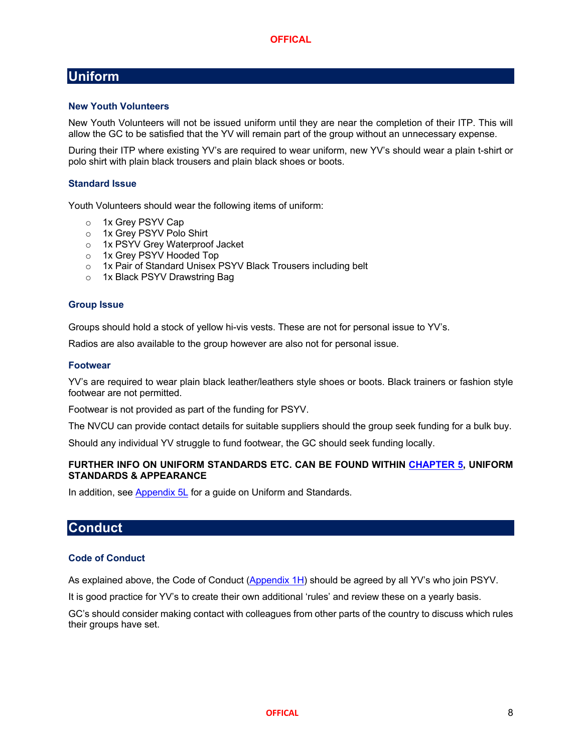## **Uniform**

#### **New Youth Volunteers**

New Youth Volunteers will not be issued uniform until they are near the completion of their ITP. This will allow the GC to be satisfied that the YV will remain part of the group without an unnecessary expense.

During their ITP where existing YV's are required to wear uniform, new YV's should wear a plain t-shirt or polo shirt with plain black trousers and plain black shoes or boots.

#### **Standard Issue**

Youth Volunteers should wear the following items of uniform:

- o 1x Grey PSYV Cap
- o 1x Grey PSYV Polo Shirt
- o 1x PSYV Grey Waterproof Jacket
- o 1x Grey PSYV Hooded Top
- o 1x Pair of Standard Unisex PSYV Black Trousers including belt
- o 1x Black PSYV Drawstring Bag

#### **Group Issue**

Groups should hold a stock of yellow hi-vis vests. These are not for personal issue to YV's.

Radios are also available to the group however are also not for personal issue.

#### **Footwear**

YV's are required to wear plain black leather/leathers style shoes or boots. Black trainers or fashion style footwear are not permitted.

Footwear is not provided as part of the funding for PSYV.

The NVCU can provide contact details for suitable suppliers should the group seek funding for a bulk buy.

Should any individual YV struggle to fund footwear, the GC should seek funding locally.

#### **FURTHER INFO ON UNIFORM STANDARDS ETC. CAN BE FOUND WITHIN CHAPTER 5, UNIFORM STANDARDS & APPEARANCE**

In addition, see Appendix 5L for a quide on Uniform and Standards.

## **Conduct**

#### **Code of Conduct**

As explained above, the Code of Conduct (Appendix 1H) should be agreed by all YV's who join PSYV.

It is good practice for YV's to create their own additional 'rules' and review these on a yearly basis.

GC's should consider making contact with colleagues from other parts of the country to discuss which rules their groups have set.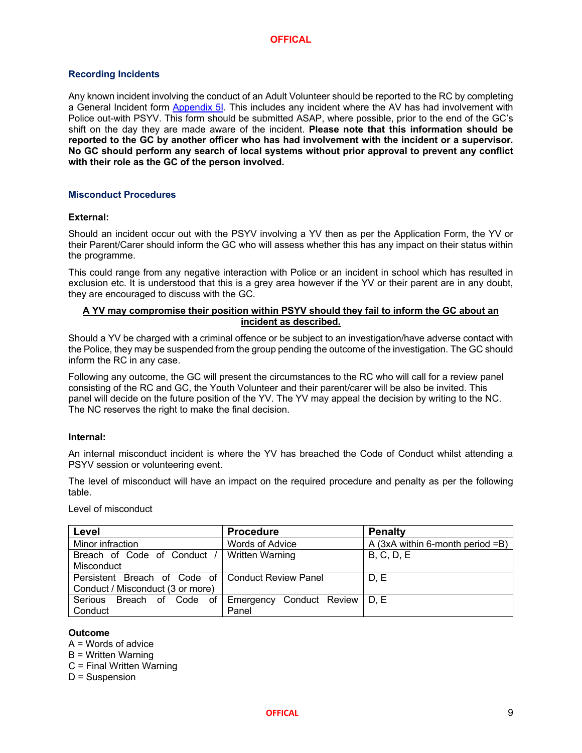#### **Recording Incidents**

Any known incident involving the conduct of an Adult Volunteer should be reported to the RC by completing a General Incident form Appendix 5I. This includes any incident where the AV has had involvement with Police out-with PSYV. This form should be submitted ASAP, where possible, prior to the end of the GC's shift on the day they are made aware of the incident. **Please note that this information should be reported to the GC by another officer who has had involvement with the incident or a supervisor. No GC should perform any search of local systems without prior approval to prevent any conflict with their role as the GC of the person involved.**

#### **Misconduct Procedures**

#### **External:**

Should an incident occur out with the PSYV involving a YV then as per the Application Form, the YV or their Parent/Carer should inform the GC who will assess whether this has any impact on their status within the programme.

This could range from any negative interaction with Police or an incident in school which has resulted in exclusion etc. It is understood that this is a grey area however if the YV or their parent are in any doubt, they are encouraged to discuss with the GC.

#### **A YV may compromise their position within PSYV should they fail to inform the GC about an incident as described.**

Should a YV be charged with a criminal offence or be subject to an investigation/have adverse contact with the Police, they may be suspended from the group pending the outcome of the investigation. The GC should inform the RC in any case.

Following any outcome, the GC will present the circumstances to the RC who will call for a review panel consisting of the RC and GC, the Youth Volunteer and their parent/carer will be also be invited. This panel will decide on the future position of the YV. The YV may appeal the decision by writing to the NC. The NC reserves the right to make the final decision.

#### **Internal:**

An internal misconduct incident is where the YV has breached the Code of Conduct whilst attending a PSYV session or volunteering event.

The level of misconduct will have an impact on the required procedure and penalty as per the following table.

Level of misconduct

| Level                                               | <b>Procedure</b>                | <b>Penalty</b>                     |
|-----------------------------------------------------|---------------------------------|------------------------------------|
| Minor infraction                                    | <b>Words of Advice</b>          | A $(3xA$ within 6-month period =B) |
| Breach of Code of Conduct                           | Written Warning                 | <b>B, C, D, E</b>                  |
| Misconduct                                          |                                 |                                    |
| Persistent Breach of Code of   Conduct Review Panel |                                 | D, E                               |
| Conduct / Misconduct (3 or more)                    |                                 |                                    |
| Serious Breach of Code of                           | Emergency Conduct Review   D, E |                                    |
| Conduct                                             | Panel                           |                                    |

#### **Outcome**

A = Words of advice

B = Written Warning

C = Final Written Warning

D = Suspension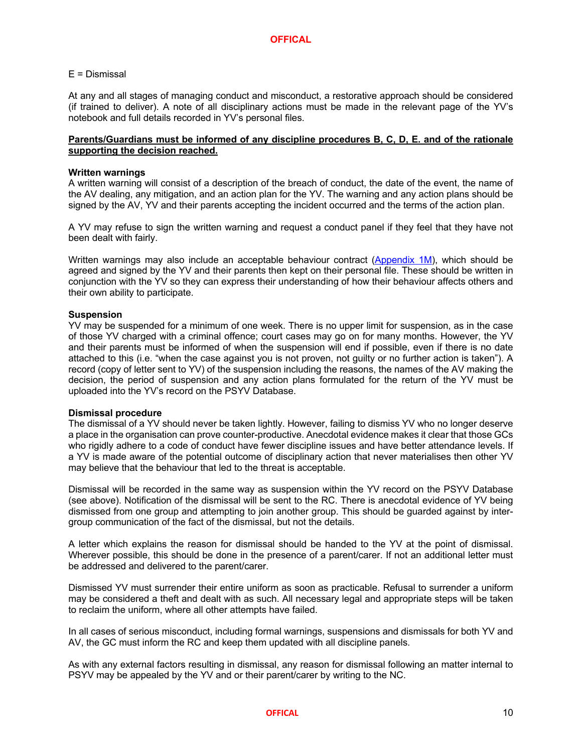#### E = Dismissal

At any and all stages of managing conduct and misconduct, a restorative approach should be considered (if trained to deliver). A note of all disciplinary actions must be made in the relevant page of the YV's notebook and full details recorded in YV's personal files.

#### **Parents/Guardians must be informed of any discipline procedures B, C, D, E. and of the rationale supporting the decision reached.**

#### **Written warnings**

A written warning will consist of a description of the breach of conduct, the date of the event, the name of the AV dealing, any mitigation, and an action plan for the YV. The warning and any action plans should be signed by the AV, YV and their parents accepting the incident occurred and the terms of the action plan.

A YV may refuse to sign the written warning and request a conduct panel if they feel that they have not been dealt with fairly.

Written warnings may also include an acceptable behaviour contract (Appendix 1M), which should be agreed and signed by the YV and their parents then kept on their personal file. These should be written in conjunction with the YV so they can express their understanding of how their behaviour affects others and their own ability to participate.

#### **Suspension**

YV may be suspended for a minimum of one week. There is no upper limit for suspension, as in the case of those YV charged with a criminal offence; court cases may go on for many months. However, the YV and their parents must be informed of when the suspension will end if possible, even if there is no date attached to this (i.e. "when the case against you is not proven, not guilty or no further action is taken"). A record (copy of letter sent to YV) of the suspension including the reasons, the names of the AV making the decision, the period of suspension and any action plans formulated for the return of the YV must be uploaded into the YV's record on the PSYV Database.

#### **Dismissal procedure**

The dismissal of a YV should never be taken lightly. However, failing to dismiss YV who no longer deserve a place in the organisation can prove counter-productive. Anecdotal evidence makes it clear that those GCs who rigidly adhere to a code of conduct have fewer discipline issues and have better attendance levels. If a YV is made aware of the potential outcome of disciplinary action that never materialises then other YV may believe that the behaviour that led to the threat is acceptable.

Dismissal will be recorded in the same way as suspension within the YV record on the PSYV Database (see above). Notification of the dismissal will be sent to the RC. There is anecdotal evidence of YV being dismissed from one group and attempting to join another group. This should be guarded against by intergroup communication of the fact of the dismissal, but not the details.

A letter which explains the reason for dismissal should be handed to the YV at the point of dismissal. Wherever possible, this should be done in the presence of a parent/carer. If not an additional letter must be addressed and delivered to the parent/carer.

Dismissed YV must surrender their entire uniform as soon as practicable. Refusal to surrender a uniform may be considered a theft and dealt with as such. All necessary legal and appropriate steps will be taken to reclaim the uniform, where all other attempts have failed.

In all cases of serious misconduct, including formal warnings, suspensions and dismissals for both YV and AV, the GC must inform the RC and keep them updated with all discipline panels.

As with any external factors resulting in dismissal, any reason for dismissal following an matter internal to PSYV may be appealed by the YV and or their parent/carer by writing to the NC.

#### **OFFICAL** 10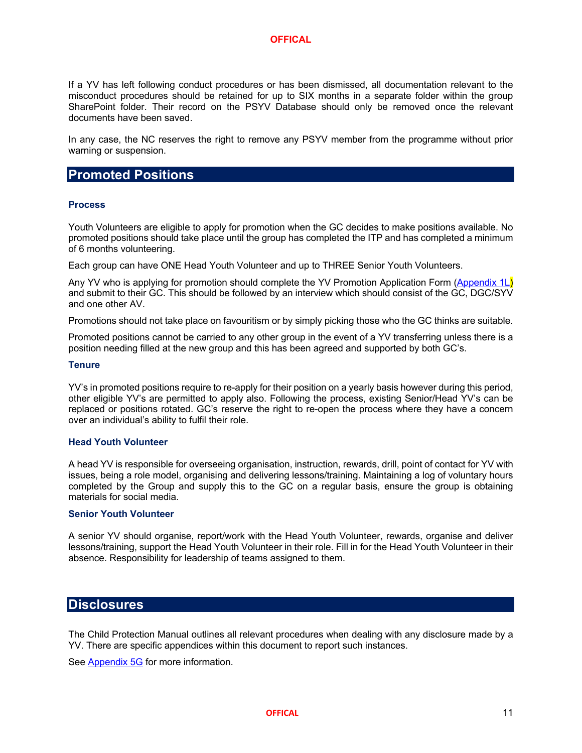If a YV has left following conduct procedures or has been dismissed, all documentation relevant to the misconduct procedures should be retained for up to SIX months in a separate folder within the group SharePoint folder. Their record on the PSYV Database should only be removed once the relevant documents have been saved.

In any case, the NC reserves the right to remove any PSYV member from the programme without prior warning or suspension.

## **Promoted Positions**

#### **Process**

Youth Volunteers are eligible to apply for promotion when the GC decides to make positions available. No promoted positions should take place until the group has completed the ITP and has completed a minimum of 6 months volunteering.

Each group can have ONE Head Youth Volunteer and up to THREE Senior Youth Volunteers.

Any YV who is applying for promotion should complete the YV Promotion Application Form (Appendix 1L) and submit to their GC. This should be followed by an interview which should consist of the GC, DGC/SYV and one other AV.

Promotions should not take place on favouritism or by simply picking those who the GC thinks are suitable.

Promoted positions cannot be carried to any other group in the event of a YV transferring unless there is a position needing filled at the new group and this has been agreed and supported by both GC's.

#### **Tenure**

YV's in promoted positions require to re-apply for their position on a yearly basis however during this period, other eligible YV's are permitted to apply also. Following the process, existing Senior/Head YV's can be replaced or positions rotated. GC's reserve the right to re-open the process where they have a concern over an individual's ability to fulfil their role.

#### **Head Youth Volunteer**

A head YV is responsible for overseeing organisation, instruction, rewards, drill, point of contact for YV with issues, being a role model, organising and delivering lessons/training. Maintaining a log of voluntary hours completed by the Group and supply this to the GC on a regular basis, ensure the group is obtaining materials for social media.

#### **Senior Youth Volunteer**

A senior YV should organise, report/work with the Head Youth Volunteer, rewards, organise and deliver lessons/training, support the Head Youth Volunteer in their role. Fill in for the Head Youth Volunteer in their absence. Responsibility for leadership of teams assigned to them.

### **Disclosures**

The Child Protection Manual outlines all relevant procedures when dealing with any disclosure made by a YV. There are specific appendices within this document to report such instances.

See Appendix 5G for more information.

**OFFICAL** 11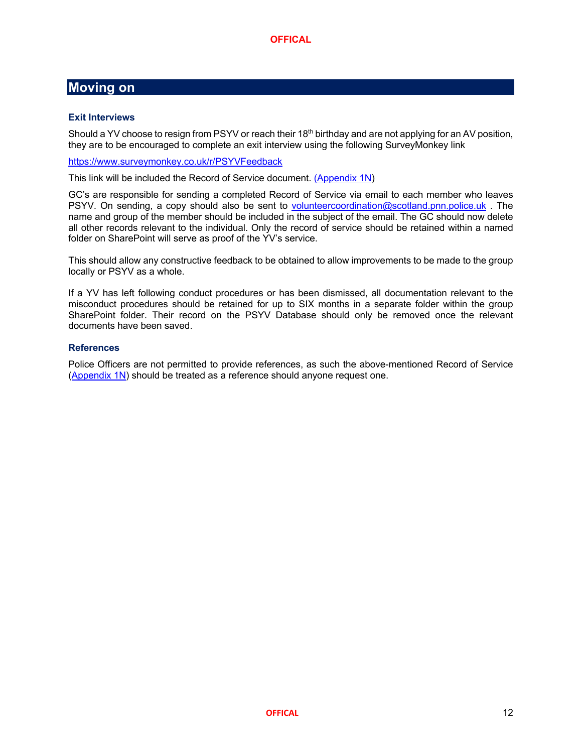## **Moving on**

#### **Exit Interviews**

Should a YV choose to resign from PSYV or reach their 18<sup>th</sup> birthday and are not applying for an AV position, they are to be encouraged to complete an exit interview using the following SurveyMonkey link

https://www.surveymonkey.co.uk/r/PSYVFeedback

This link will be included the Record of Service document. (Appendix 1N)

GC's are responsible for sending a completed Record of Service via email to each member who leaves PSYV. On sending, a copy should also be sent to volunteercoordination@scotland.pnn.police.uk . The name and group of the member should be included in the subject of the email. The GC should now delete all other records relevant to the individual. Only the record of service should be retained within a named folder on SharePoint will serve as proof of the YV's service.

This should allow any constructive feedback to be obtained to allow improvements to be made to the group locally or PSYV as a whole.

If a YV has left following conduct procedures or has been dismissed, all documentation relevant to the misconduct procedures should be retained for up to SIX months in a separate folder within the group SharePoint folder. Their record on the PSYV Database should only be removed once the relevant documents have been saved.

#### **References**

Police Officers are not permitted to provide references, as such the above-mentioned Record of Service (Appendix 1N) should be treated as a reference should anyone request one.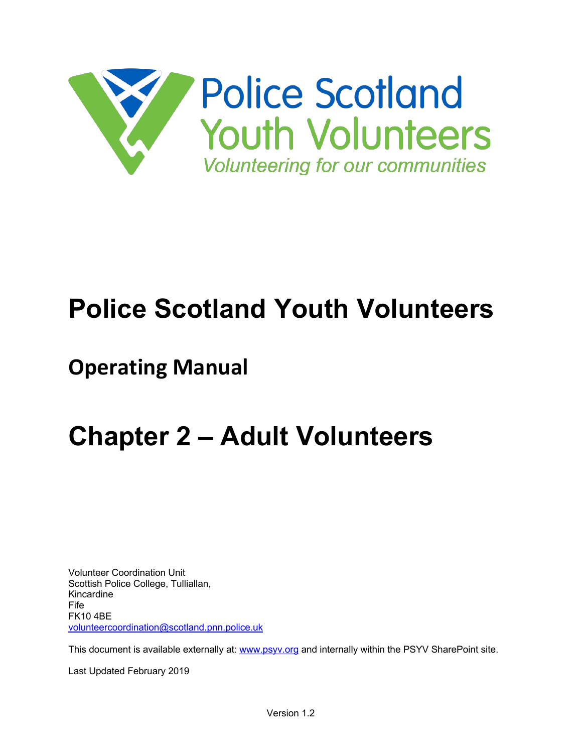

## **Police Scotland Youth Volunteers**

## **Operating Manual**

## **Chapter 2 – Adult Volunteers**

Volunteer Coordination Unit Scottish Police College, Tulliallan, Kincardine Fife FK10 4BE volunteercoordination@scotland.pnn.police.uk

This document is available externally at: www.psyv.org and internally within the PSYV SharePoint site.

Last Updated February 2019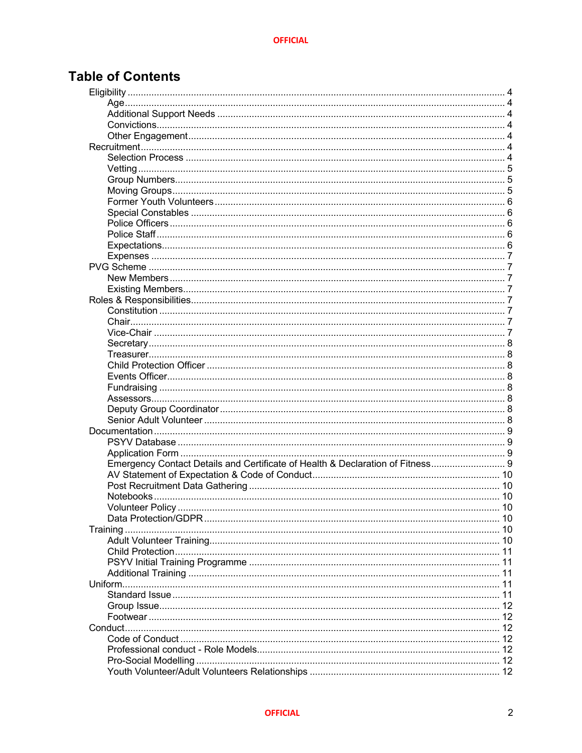## **Table of Contents**

| Emergency Contact Details and Certificate of Health & Declaration of Fitness 9 |    |
|--------------------------------------------------------------------------------|----|
|                                                                                |    |
|                                                                                |    |
|                                                                                |    |
|                                                                                |    |
|                                                                                | 10 |
|                                                                                | 10 |
|                                                                                |    |
|                                                                                |    |
|                                                                                |    |
|                                                                                |    |
|                                                                                |    |
|                                                                                |    |
|                                                                                |    |
|                                                                                |    |
|                                                                                |    |
|                                                                                |    |
|                                                                                | 12 |
|                                                                                |    |
|                                                                                | 12 |
|                                                                                |    |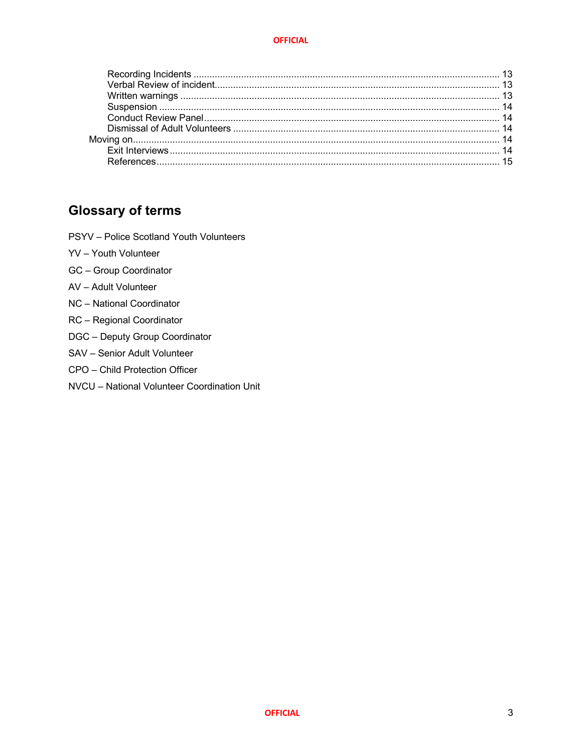## **Glossary of terms**

- PSYV Police Scotland Youth Volunteers
- YV Youth Volunteer
- GC Group Coordinator
- AV Adult Volunteer
- NC National Coordinator
- RC Regional Coordinator
- DGC Deputy Group Coordinator
- SAV Senior Adult Volunteer
- CPO Child Protection Officer
- NVCU National Volunteer Coordination Unit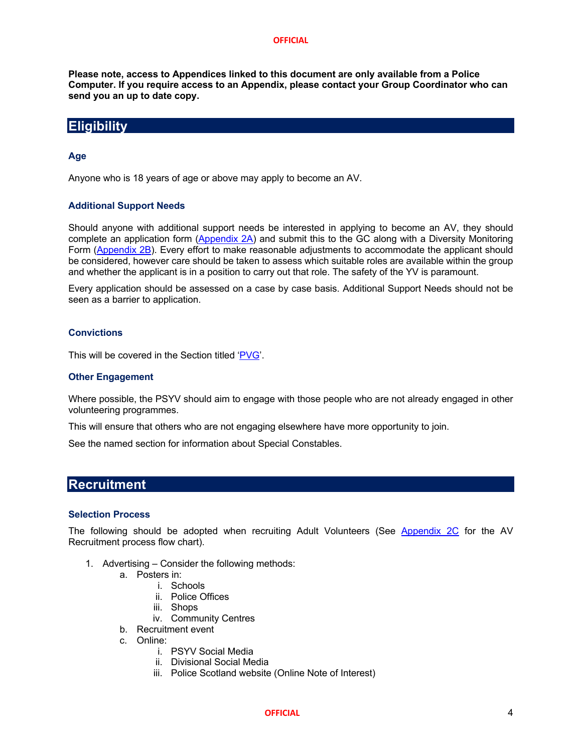**Please note, access to Appendices linked to this document are only available from a Police Computer. If you require access to an Appendix, please contact your Group Coordinator who can send you an up to date copy.**

### **Eligibility**

#### **Age**

Anyone who is 18 years of age or above may apply to become an AV.

#### **Additional Support Needs**

Should anyone with additional support needs be interested in applying to become an AV, they should complete an application form (Appendix 2A) and submit this to the GC along with a Diversity Monitoring Form (Appendix 2B). Every effort to make reasonable adjustments to accommodate the applicant should be considered, however care should be taken to assess which suitable roles are available within the group and whether the applicant is in a position to carry out that role. The safety of the YV is paramount.

Every application should be assessed on a case by case basis. Additional Support Needs should not be seen as a barrier to application.

#### **Convictions**

This will be covered in the Section titled 'PVG'.

#### **Other Engagement**

Where possible, the PSYV should aim to engage with those people who are not already engaged in other volunteering programmes.

This will ensure that others who are not engaging elsewhere have more opportunity to join.

See the named section for information about Special Constables.

## **Recruitment**

#### **Selection Process**

The following should be adopted when recruiting Adult Volunteers (See Appendix 2C for the AV Recruitment process flow chart).

- 1. Advertising Consider the following methods:
	- a. Posters in:
		- i. Schools
		- ii. Police Offices
		- iii. Shops
		- iv. Community Centres
	- b. Recruitment event
	- c. Online:
		- i. PSYV Social Media
		- ii. Divisional Social Media
		- iii. Police Scotland website (Online Note of Interest)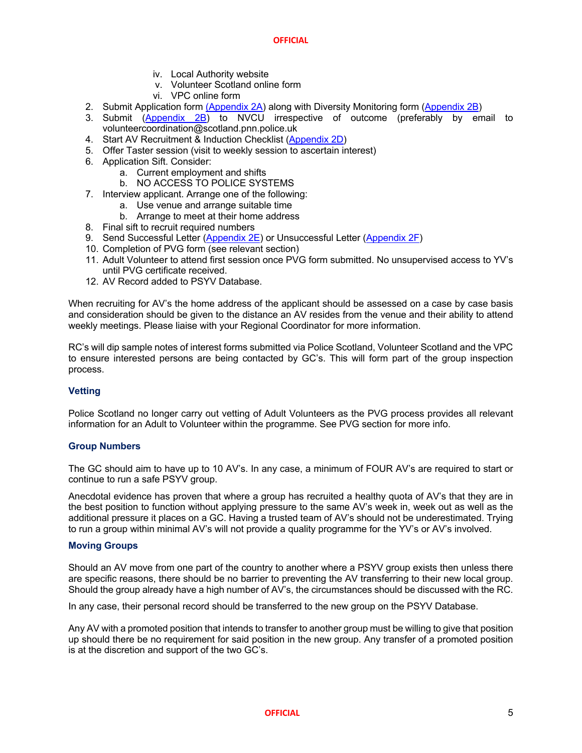- iv. Local Authority website
- v. Volunteer Scotland online form
- vi. VPC online form
- 2. Submit Application form (Appendix 2A) along with Diversity Monitoring form (Appendix 2B)
- 3. Submit (Appendix 2B) to NVCU irrespective of outcome (preferably by email to volunteercoordination@scotland.pnn.police.uk
- 4. Start AV Recruitment & Induction Checklist (Appendix 2D)
- 5. Offer Taster session (visit to weekly session to ascertain interest)
- 6. Application Sift. Consider:
	- a. Current employment and shifts
	- b. NO ACCESS TO POLICE SYSTEMS
- 7. Interview applicant. Arrange one of the following:
	- a. Use venue and arrange suitable time
	- b. Arrange to meet at their home address
- 8. Final sift to recruit required numbers
- 9. Send Successful Letter (Appendix 2E) or Unsuccessful Letter (Appendix 2F)
- 10. Completion of PVG form (see relevant section)
- 11. Adult Volunteer to attend first session once PVG form submitted. No unsupervised access to YV's until PVG certificate received.
- 12. AV Record added to PSYV Database.

When recruiting for AV's the home address of the applicant should be assessed on a case by case basis and consideration should be given to the distance an AV resides from the venue and their ability to attend weekly meetings. Please liaise with your Regional Coordinator for more information.

RC's will dip sample notes of interest forms submitted via Police Scotland, Volunteer Scotland and the VPC to ensure interested persons are being contacted by GC's. This will form part of the group inspection process.

#### **Vetting**

Police Scotland no longer carry out vetting of Adult Volunteers as the PVG process provides all relevant information for an Adult to Volunteer within the programme. See PVG section for more info.

#### **Group Numbers**

The GC should aim to have up to 10 AV's. In any case, a minimum of FOUR AV's are required to start or continue to run a safe PSYV group.

Anecdotal evidence has proven that where a group has recruited a healthy quota of AV's that they are in the best position to function without applying pressure to the same AV's week in, week out as well as the additional pressure it places on a GC. Having a trusted team of AV's should not be underestimated. Trying to run a group within minimal AV's will not provide a quality programme for the YV's or AV's involved.

#### **Moving Groups**

Should an AV move from one part of the country to another where a PSYV group exists then unless there are specific reasons, there should be no barrier to preventing the AV transferring to their new local group. Should the group already have a high number of AV's, the circumstances should be discussed with the RC.

In any case, their personal record should be transferred to the new group on the PSYV Database.

Any AV with a promoted position that intends to transfer to another group must be willing to give that position up should there be no requirement for said position in the new group. Any transfer of a promoted position is at the discretion and support of the two GC's.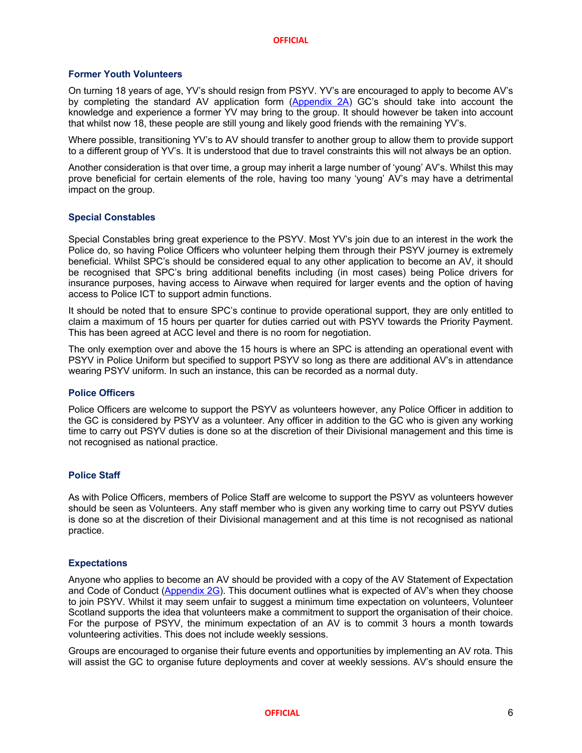#### **Former Youth Volunteers**

On turning 18 years of age, YV's should resign from PSYV. YV's are encouraged to apply to become AV's by completing the standard AV application form (Appendix 2A) GC's should take into account the knowledge and experience a former YV may bring to the group. It should however be taken into account that whilst now 18, these people are still young and likely good friends with the remaining YV's.

Where possible, transitioning YV's to AV should transfer to another group to allow them to provide support to a different group of YV's. It is understood that due to travel constraints this will not always be an option.

Another consideration is that over time, a group may inherit a large number of 'young' AV's. Whilst this may prove beneficial for certain elements of the role, having too many 'young' AV's may have a detrimental impact on the group.

#### **Special Constables**

Special Constables bring great experience to the PSYV. Most YV's join due to an interest in the work the Police do, so having Police Officers who volunteer helping them through their PSYV journey is extremely beneficial. Whilst SPC's should be considered equal to any other application to become an AV, it should be recognised that SPC's bring additional benefits including (in most cases) being Police drivers for insurance purposes, having access to Airwave when required for larger events and the option of having access to Police ICT to support admin functions.

It should be noted that to ensure SPC's continue to provide operational support, they are only entitled to claim a maximum of 15 hours per quarter for duties carried out with PSYV towards the Priority Payment. This has been agreed at ACC level and there is no room for negotiation.

The only exemption over and above the 15 hours is where an SPC is attending an operational event with PSYV in Police Uniform but specified to support PSYV so long as there are additional AV's in attendance wearing PSYV uniform. In such an instance, this can be recorded as a normal duty.

#### **Police Officers**

Police Officers are welcome to support the PSYV as volunteers however, any Police Officer in addition to the GC is considered by PSYV as a volunteer. Any officer in addition to the GC who is given any working time to carry out PSYV duties is done so at the discretion of their Divisional management and this time is not recognised as national practice.

#### **Police Staff**

As with Police Officers, members of Police Staff are welcome to support the PSYV as volunteers however should be seen as Volunteers. Any staff member who is given any working time to carry out PSYV duties is done so at the discretion of their Divisional management and at this time is not recognised as national practice.

#### **Expectations**

Anyone who applies to become an AV should be provided with a copy of the AV Statement of Expectation and Code of Conduct (Appendix 2G). This document outlines what is expected of AV's when they choose to join PSYV. Whilst it may seem unfair to suggest a minimum time expectation on volunteers, Volunteer Scotland supports the idea that volunteers make a commitment to support the organisation of their choice. For the purpose of PSYV, the minimum expectation of an AV is to commit 3 hours a month towards volunteering activities. This does not include weekly sessions.

Groups are encouraged to organise their future events and opportunities by implementing an AV rota. This will assist the GC to organise future deployments and cover at weekly sessions. AV's should ensure the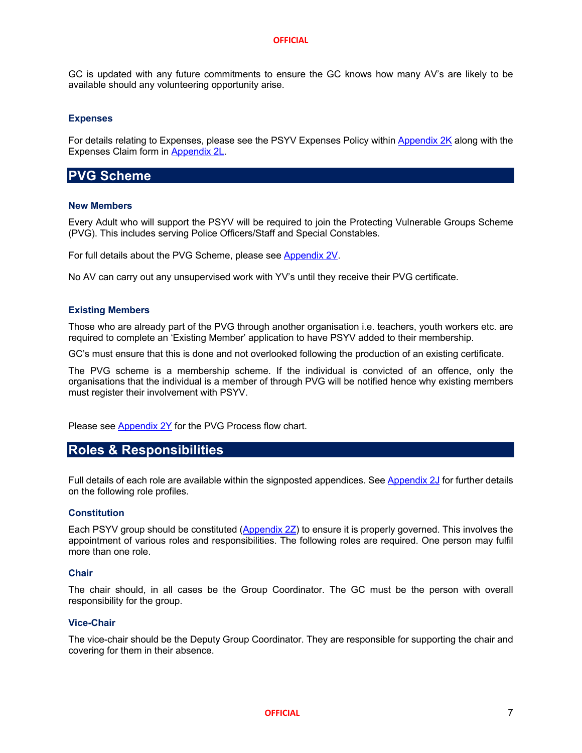GC is updated with any future commitments to ensure the GC knows how many AV's are likely to be available should any volunteering opportunity arise.

#### **Expenses**

For details relating to Expenses, please see the PSYV Expenses Policy within Appendix 2K along with the Expenses Claim form in Appendix 2L.

### **PVG Scheme**

#### **New Members**

Every Adult who will support the PSYV will be required to join the Protecting Vulnerable Groups Scheme (PVG). This includes serving Police Officers/Staff and Special Constables.

For full details about the PVG Scheme, please see Appendix 2V.

No AV can carry out any unsupervised work with YV's until they receive their PVG certificate.

#### **Existing Members**

Those who are already part of the PVG through another organisation i.e. teachers, youth workers etc. are required to complete an 'Existing Member' application to have PSYV added to their membership.

GC's must ensure that this is done and not overlooked following the production of an existing certificate.

The PVG scheme is a membership scheme. If the individual is convicted of an offence, only the organisations that the individual is a member of through PVG will be notified hence why existing members must register their involvement with PSYV.

Please see Appendix 2Y for the PVG Process flow chart.

## **Roles & Responsibilities**

Full details of each role are available within the signposted appendices. See Appendix 2J for further details on the following role profiles.

#### **Constitution**

Each PSYV group should be constituted (Appendix 2Z) to ensure it is properly governed. This involves the appointment of various roles and responsibilities. The following roles are required. One person may fulfil more than one role.

#### **Chair**

The chair should, in all cases be the Group Coordinator. The GC must be the person with overall responsibility for the group.

#### **Vice-Chair**

The vice-chair should be the Deputy Group Coordinator. They are responsible for supporting the chair and covering for them in their absence.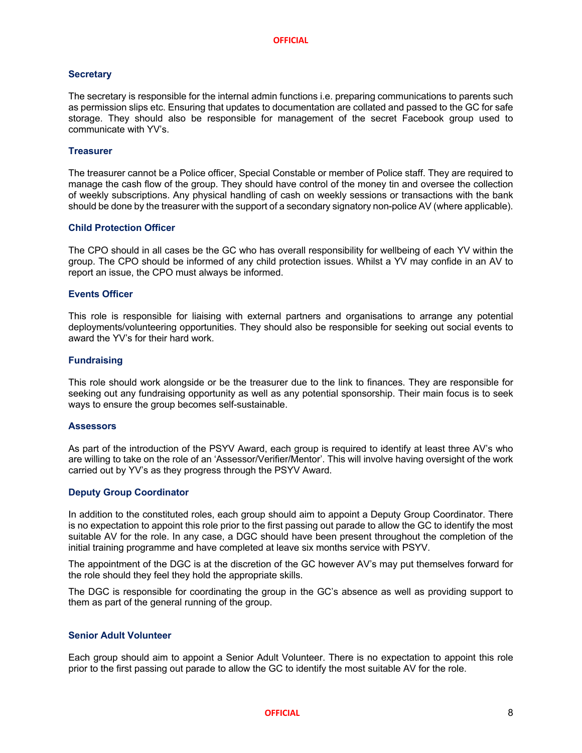#### **Secretary**

The secretary is responsible for the internal admin functions i.e. preparing communications to parents such as permission slips etc. Ensuring that updates to documentation are collated and passed to the GC for safe storage. They should also be responsible for management of the secret Facebook group used to communicate with YV's.

#### **Treasurer**

The treasurer cannot be a Police officer, Special Constable or member of Police staff. They are required to manage the cash flow of the group. They should have control of the money tin and oversee the collection of weekly subscriptions. Any physical handling of cash on weekly sessions or transactions with the bank should be done by the treasurer with the support of a secondary signatory non-police AV (where applicable).

#### **Child Protection Officer**

The CPO should in all cases be the GC who has overall responsibility for wellbeing of each YV within the group. The CPO should be informed of any child protection issues. Whilst a YV may confide in an AV to report an issue, the CPO must always be informed.

#### **Events Officer**

This role is responsible for liaising with external partners and organisations to arrange any potential deployments/volunteering opportunities. They should also be responsible for seeking out social events to award the YV's for their hard work.

#### **Fundraising**

This role should work alongside or be the treasurer due to the link to finances. They are responsible for seeking out any fundraising opportunity as well as any potential sponsorship. Their main focus is to seek ways to ensure the group becomes self-sustainable.

#### **Assessors**

As part of the introduction of the PSYV Award, each group is required to identify at least three AV's who are willing to take on the role of an 'Assessor/Verifier/Mentor'. This will involve having oversight of the work carried out by YV's as they progress through the PSYV Award.

#### **Deputy Group Coordinator**

In addition to the constituted roles, each group should aim to appoint a Deputy Group Coordinator. There is no expectation to appoint this role prior to the first passing out parade to allow the GC to identify the most suitable AV for the role. In any case, a DGC should have been present throughout the completion of the initial training programme and have completed at leave six months service with PSYV.

The appointment of the DGC is at the discretion of the GC however AV's may put themselves forward for the role should they feel they hold the appropriate skills.

The DGC is responsible for coordinating the group in the GC's absence as well as providing support to them as part of the general running of the group.

#### **Senior Adult Volunteer**

Each group should aim to appoint a Senior Adult Volunteer. There is no expectation to appoint this role prior to the first passing out parade to allow the GC to identify the most suitable AV for the role.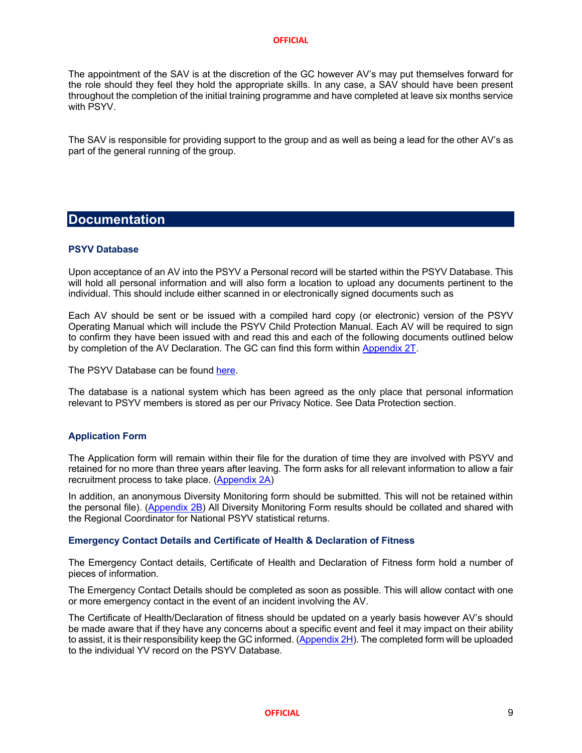The appointment of the SAV is at the discretion of the GC however AV's may put themselves forward for the role should they feel they hold the appropriate skills. In any case, a SAV should have been present throughout the completion of the initial training programme and have completed at leave six months service with PSYV.

The SAV is responsible for providing support to the group and as well as being a lead for the other AV's as part of the general running of the group.

### **Documentation**

#### **PSYV Database**

Upon acceptance of an AV into the PSYV a Personal record will be started within the PSYV Database. This will hold all personal information and will also form a location to upload any documents pertinent to the individual. This should include either scanned in or electronically signed documents such as

Each AV should be sent or be issued with a compiled hard copy (or electronic) version of the PSYV Operating Manual which will include the PSYV Child Protection Manual. Each AV will be required to sign to confirm they have been issued with and read this and each of the following documents outlined below by completion of the AV Declaration. The GC can find this form within Appendix 2T.

The PSYV Database can be found here.

The database is a national system which has been agreed as the only place that personal information relevant to PSYV members is stored as per our Privacy Notice. See Data Protection section.

#### **Application Form**

The Application form will remain within their file for the duration of time they are involved with PSYV and retained for no more than three years after leaving. The form asks for all relevant information to allow a fair recruitment process to take place. (Appendix 2A)

In addition, an anonymous Diversity Monitoring form should be submitted. This will not be retained within the personal file). (Appendix 2B) All Diversity Monitoring Form results should be collated and shared with the Regional Coordinator for National PSYV statistical returns.

#### **Emergency Contact Details and Certificate of Health & Declaration of Fitness**

The Emergency Contact details, Certificate of Health and Declaration of Fitness form hold a number of pieces of information.

The Emergency Contact Details should be completed as soon as possible. This will allow contact with one or more emergency contact in the event of an incident involving the AV.

The Certificate of Health/Declaration of fitness should be updated on a yearly basis however AV's should be made aware that if they have any concerns about a specific event and feel it may impact on their ability to assist, it is their responsibility keep the GC informed. (Appendix 2H). The completed form will be uploaded to the individual YV record on the PSYV Database.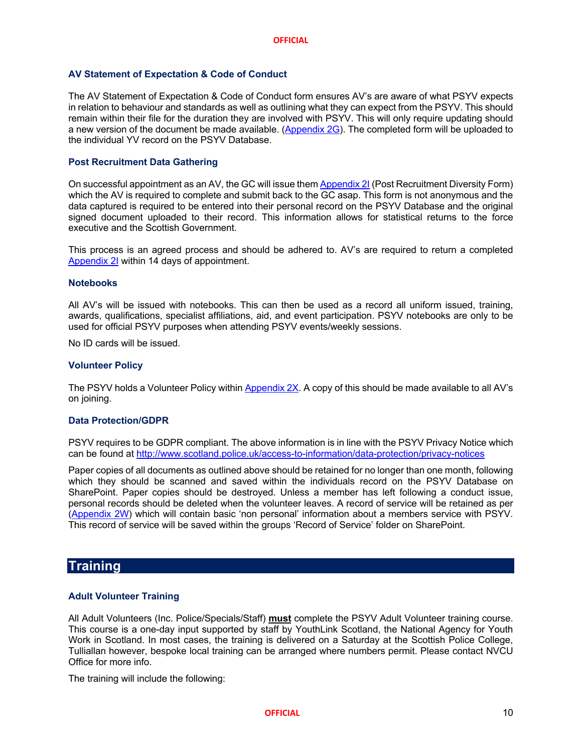#### **AV Statement of Expectation & Code of Conduct**

The AV Statement of Expectation & Code of Conduct form ensures AV's are aware of what PSYV expects in relation to behaviour and standards as well as outlining what they can expect from the PSYV. This should remain within their file for the duration they are involved with PSYV. This will only require updating should a new version of the document be made available. (Appendix 2G). The completed form will be uploaded to the individual YV record on the PSYV Database.

#### **Post Recruitment Data Gathering**

On successful appointment as an AV, the GC will issue them Appendix 2I (Post Recruitment Diversity Form) which the AV is required to complete and submit back to the GC asap. This form is not anonymous and the data captured is required to be entered into their personal record on the PSYV Database and the original signed document uploaded to their record. This information allows for statistical returns to the force executive and the Scottish Government.

This process is an agreed process and should be adhered to. AV's are required to return a completed Appendix 2I within 14 days of appointment.

#### **Notebooks**

All AV's will be issued with notebooks. This can then be used as a record all uniform issued, training, awards, qualifications, specialist affiliations, aid, and event participation. PSYV notebooks are only to be used for official PSYV purposes when attending PSYV events/weekly sessions.

No ID cards will be issued.

#### **Volunteer Policy**

The PSYV holds a Volunteer Policy within Appendix 2X. A copy of this should be made available to all AV's on joining.

#### **Data Protection/GDPR**

PSYV requires to be GDPR compliant. The above information is in line with the PSYV Privacy Notice which can be found at http://www.scotland.police.uk/access-to-information/data-protection/privacy-notices

Paper copies of all documents as outlined above should be retained for no longer than one month, following which they should be scanned and saved within the individuals record on the PSYV Database on SharePoint. Paper copies should be destroyed. Unless a member has left following a conduct issue, personal records should be deleted when the volunteer leaves. A record of service will be retained as per (Appendix 2W) which will contain basic 'non personal' information about a members service with PSYV. This record of service will be saved within the groups 'Record of Service' folder on SharePoint.

#### **Training**

#### **Adult Volunteer Training**

All Adult Volunteers (Inc. Police/Specials/Staff) **must** complete the PSYV Adult Volunteer training course. This course is a one-day input supported by staff by YouthLink Scotland, the National Agency for Youth Work in Scotland. In most cases, the training is delivered on a Saturday at the Scottish Police College, Tulliallan however, bespoke local training can be arranged where numbers permit. Please contact NVCU Office for more info.

The training will include the following: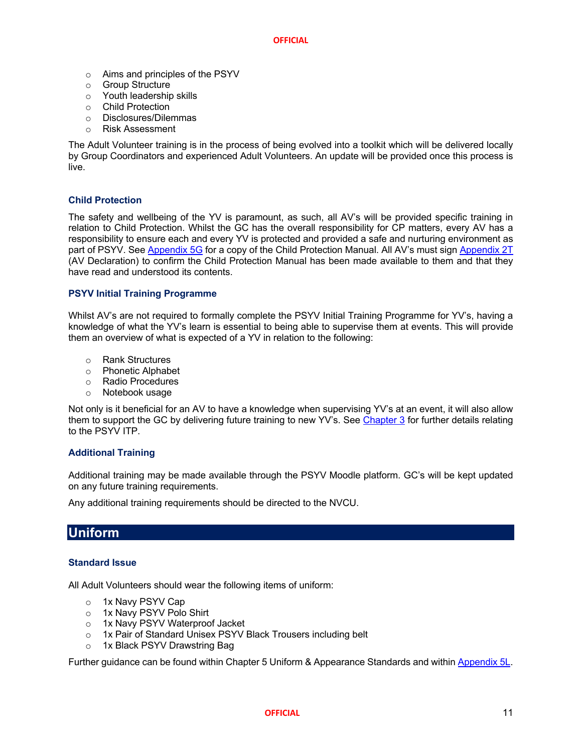- o Aims and principles of the PSYV
- o Group Structure
- o Youth leadership skills
- o Child Protection
- o Disclosures/Dilemmas
- o Risk Assessment

The Adult Volunteer training is in the process of being evolved into a toolkit which will be delivered locally by Group Coordinators and experienced Adult Volunteers. An update will be provided once this process is live.

#### **Child Protection**

The safety and wellbeing of the YV is paramount, as such, all AV's will be provided specific training in relation to Child Protection. Whilst the GC has the overall responsibility for CP matters, every AV has a responsibility to ensure each and every YV is protected and provided a safe and nurturing environment as part of PSYV. See Appendix 5G for a copy of the Child Protection Manual. All AV's must sign Appendix 2T (AV Declaration) to confirm the Child Protection Manual has been made available to them and that they have read and understood its contents.

#### **PSYV Initial Training Programme**

Whilst AV's are not required to formally complete the PSYV Initial Training Programme for YV's, having a knowledge of what the YV's learn is essential to being able to supervise them at events. This will provide them an overview of what is expected of a YV in relation to the following:

- o Rank Structures
- o Phonetic Alphabet
- o Radio Procedures
- o Notebook usage

Not only is it beneficial for an AV to have a knowledge when supervising YV's at an event, it will also allow them to support the GC by delivering future training to new YV's. See Chapter 3 for further details relating to the PSYV ITP.

#### **Additional Training**

Additional training may be made available through the PSYV Moodle platform. GC's will be kept updated on any future training requirements.

Any additional training requirements should be directed to the NVCU.

## **Uniform**

#### **Standard Issue**

All Adult Volunteers should wear the following items of uniform:

- o 1x Navy PSYV Cap
- o 1x Navy PSYV Polo Shirt
- o 1x Navy PSYV Waterproof Jacket
- o 1x Pair of Standard Unisex PSYV Black Trousers including belt
- o 1x Black PSYV Drawstring Bag

Further guidance can be found within Chapter 5 Uniform & Appearance Standards and within Appendix 5L.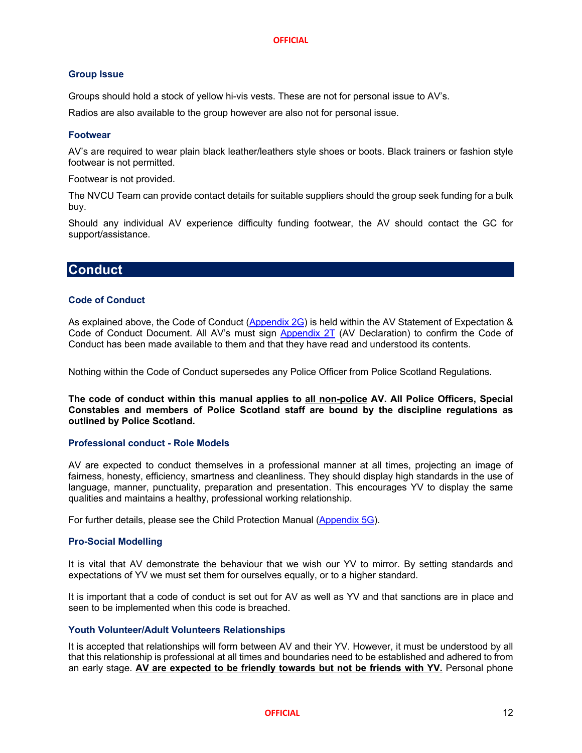#### **Group Issue**

Groups should hold a stock of yellow hi-vis vests. These are not for personal issue to AV's.

Radios are also available to the group however are also not for personal issue.

#### **Footwear**

AV's are required to wear plain black leather/leathers style shoes or boots. Black trainers or fashion style footwear is not permitted.

Footwear is not provided.

The NVCU Team can provide contact details for suitable suppliers should the group seek funding for a bulk buy.

Should any individual AV experience difficulty funding footwear, the AV should contact the GC for support/assistance.

## **Conduct**

#### **Code of Conduct**

As explained above, the Code of Conduct (Appendix 2G) is held within the AV Statement of Expectation & Code of Conduct Document. All AV's must sign Appendix 2T (AV Declaration) to confirm the Code of Conduct has been made available to them and that they have read and understood its contents.

Nothing within the Code of Conduct supersedes any Police Officer from Police Scotland Regulations.

**The code of conduct within this manual applies to all non-police AV. All Police Officers, Special Constables and members of Police Scotland staff are bound by the discipline regulations as outlined by Police Scotland.**

#### **Professional conduct - Role Models**

AV are expected to conduct themselves in a professional manner at all times, projecting an image of fairness, honesty, efficiency, smartness and cleanliness. They should display high standards in the use of language, manner, punctuality, preparation and presentation. This encourages YV to display the same qualities and maintains a healthy, professional working relationship.

For further details, please see the Child Protection Manual (Appendix 5G).

#### **Pro-Social Modelling**

It is vital that AV demonstrate the behaviour that we wish our YV to mirror. By setting standards and expectations of YV we must set them for ourselves equally, or to a higher standard.

It is important that a code of conduct is set out for AV as well as YV and that sanctions are in place and seen to be implemented when this code is breached.

#### **Youth Volunteer/Adult Volunteers Relationships**

It is accepted that relationships will form between AV and their YV. However, it must be understood by all that this relationship is professional at all times and boundaries need to be established and adhered to from an early stage. **AV are expected to be friendly towards but not be friends with YV.** Personal phone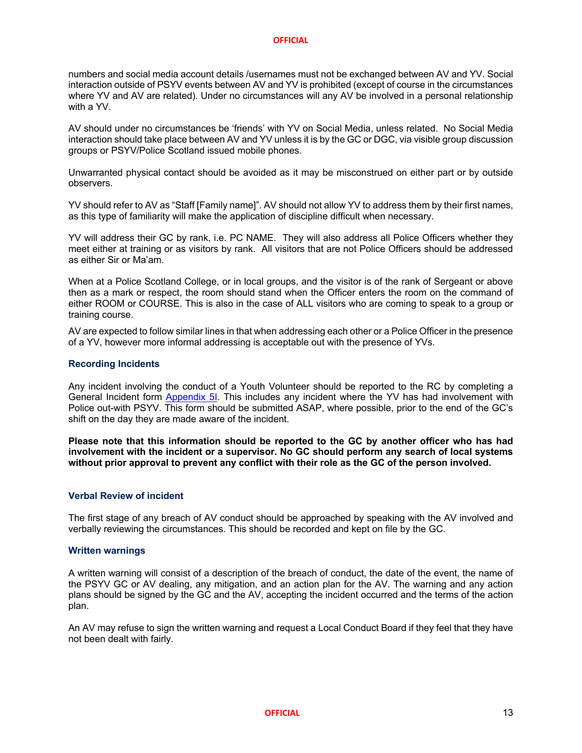numbers and social media account details /usernames must not be exchanged between AV and YV. Social interaction outside of PSYV events between AV and YV is prohibited (except of course in the circumstances where YV and AV are related). Under no circumstances will any AV be involved in a personal relationship with a YV.

AV should under no circumstances be 'friends' with YV on Social Media, unless related. No Social Media interaction should take place between AV and YV unless it is by the GC or DGC, via visible group discussion groups or PSYV/Police Scotland issued mobile phones.

Unwarranted physical contact should be avoided as it may be misconstrued on either part or by outside observers.

YV should refer to AV as "Staff [Family name]". AV should not allow YV to address them by their first names, as this type of familiarity will make the application of discipline difficult when necessary.

YV will address their GC by rank, i.e. PC NAME. They will also address all Police Officers whether they meet either at training or as visitors by rank. All visitors that are not Police Officers should be addressed as either Sir or Ma'am.

When at a Police Scotland College, or in local groups, and the visitor is of the rank of Sergeant or above then as a mark or respect, the room should stand when the Officer enters the room on the command of either ROOM or COURSE. This is also in the case of ALL visitors who are coming to speak to a group or training course.

AV are expected to follow similar lines in that when addressing each other or a Police Officer in the presence of a YV, however more informal addressing is acceptable out with the presence of YVs.

#### **Recording Incidents**

Any incident involving the conduct of a Youth Volunteer should be reported to the RC by completing a General Incident form **Appendix 5I**. This includes any incident where the YV has had involvement with Police out-with PSYV. This form should be submitted ASAP, where possible, prior to the end of the GC's shift on the day they are made aware of the incident.

**Please note that this information should be reported to the GC by another officer who has had involvement with the incident or a supervisor. No GC should perform any search of local systems without prior approval to prevent any conflict with their role as the GC of the person involved.**

#### **Verbal Review of incident**

The first stage of any breach of AV conduct should be approached by speaking with the AV involved and verbally reviewing the circumstances. This should be recorded and kept on file by the GC.

#### **Written warnings**

A written warning will consist of a description of the breach of conduct, the date of the event, the name of the PSYV GC or AV dealing, any mitigation, and an action plan for the AV. The warning and any action plans should be signed by the GC and the AV, accepting the incident occurred and the terms of the action plan.

An AV may refuse to sign the written warning and request a Local Conduct Board if they feel that they have not been dealt with fairly.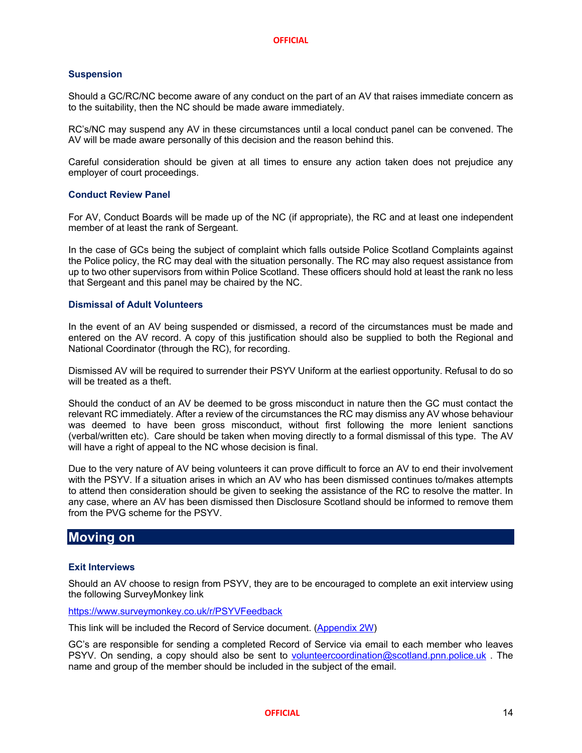#### **Suspension**

Should a GC/RC/NC become aware of any conduct on the part of an AV that raises immediate concern as to the suitability, then the NC should be made aware immediately.

RC's/NC may suspend any AV in these circumstances until a local conduct panel can be convened. The AV will be made aware personally of this decision and the reason behind this.

Careful consideration should be given at all times to ensure any action taken does not prejudice any employer of court proceedings.

#### **Conduct Review Panel**

For AV, Conduct Boards will be made up of the NC (if appropriate), the RC and at least one independent member of at least the rank of Sergeant.

In the case of GCs being the subject of complaint which falls outside Police Scotland Complaints against the Police policy, the RC may deal with the situation personally. The RC may also request assistance from up to two other supervisors from within Police Scotland. These officers should hold at least the rank no less that Sergeant and this panel may be chaired by the NC.

#### **Dismissal of Adult Volunteers**

In the event of an AV being suspended or dismissed, a record of the circumstances must be made and entered on the AV record. A copy of this justification should also be supplied to both the Regional and National Coordinator (through the RC), for recording.

Dismissed AV will be required to surrender their PSYV Uniform at the earliest opportunity. Refusal to do so will be treated as a theft.

Should the conduct of an AV be deemed to be gross misconduct in nature then the GC must contact the relevant RC immediately. After a review of the circumstances the RC may dismiss any AV whose behaviour was deemed to have been gross misconduct, without first following the more lenient sanctions (verbal/written etc). Care should be taken when moving directly to a formal dismissal of this type. The AV will have a right of appeal to the NC whose decision is final.

Due to the very nature of AV being volunteers it can prove difficult to force an AV to end their involvement with the PSYV. If a situation arises in which an AV who has been dismissed continues to/makes attempts to attend then consideration should be given to seeking the assistance of the RC to resolve the matter. In any case, where an AV has been dismissed then Disclosure Scotland should be informed to remove them from the PVG scheme for the PSYV.

### **Moving on**

#### **Exit Interviews**

Should an AV choose to resign from PSYV, they are to be encouraged to complete an exit interview using the following SurveyMonkey link

https://www.surveymonkey.co.uk/r/PSYVFeedback

This link will be included the Record of Service document. (Appendix 2W)

GC's are responsible for sending a completed Record of Service via email to each member who leaves PSYV. On sending, a copy should also be sent to volunteercoordination@scotland.pnn.police.uk . The name and group of the member should be included in the subject of the email.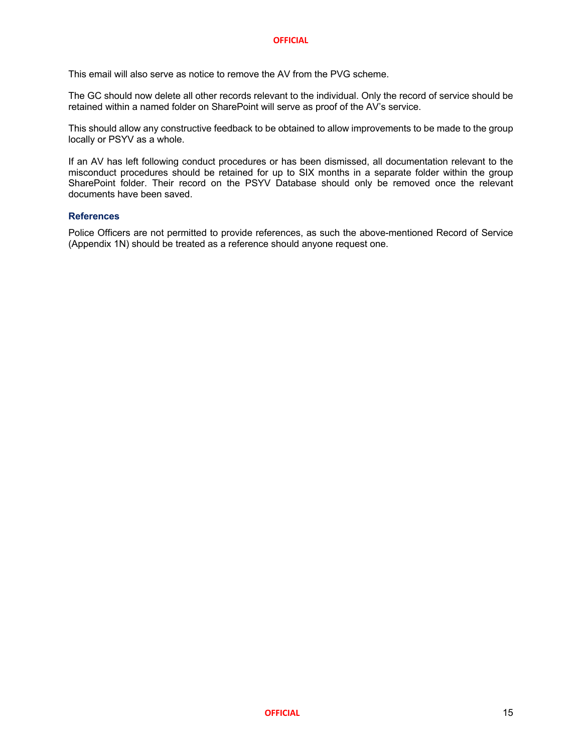This email will also serve as notice to remove the AV from the PVG scheme.

The GC should now delete all other records relevant to the individual. Only the record of service should be retained within a named folder on SharePoint will serve as proof of the AV's service.

This should allow any constructive feedback to be obtained to allow improvements to be made to the group locally or PSYV as a whole.

If an AV has left following conduct procedures or has been dismissed, all documentation relevant to the misconduct procedures should be retained for up to SIX months in a separate folder within the group SharePoint folder. Their record on the PSYV Database should only be removed once the relevant documents have been saved.

#### **References**

Police Officers are not permitted to provide references, as such the above-mentioned Record of Service (Appendix 1N) should be treated as a reference should anyone request one.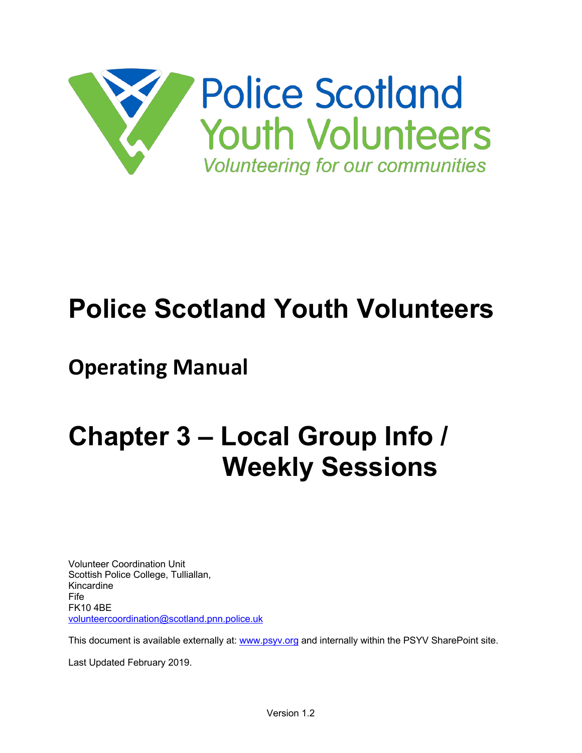

## **Police Scotland Youth Volunteers**

## **Operating Manual**

## **Chapter 3 – Local Group Info / Weekly Sessions**

Volunteer Coordination Unit Scottish Police College, Tulliallan, Kincardine Fife FK10 4BE volunteercoordination@scotland.pnn.police.uk

This document is available externally at: www.psyv.org and internally within the PSYV SharePoint site.

Last Updated February 2019.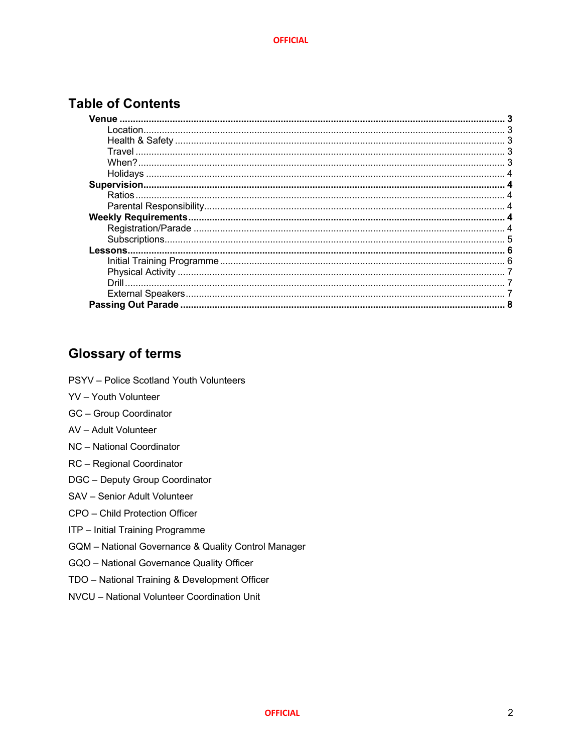## **Table of Contents**

## **Glossary of terms**

- PSYV Police Scotland Youth Volunteers
- YV Youth Volunteer
- **GC** Group Coordinator
- AV Adult Volunteer
- NC National Coordinator
- RC Regional Coordinator
- DGC Deputy Group Coordinator
- SAV Senior Adult Volunteer
- CPO Child Protection Officer
- ITP Initial Training Programme
- GQM National Governance & Quality Control Manager
- GQO National Governance Quality Officer
- TDO National Training & Development Officer
- NVCU National Volunteer Coordination Unit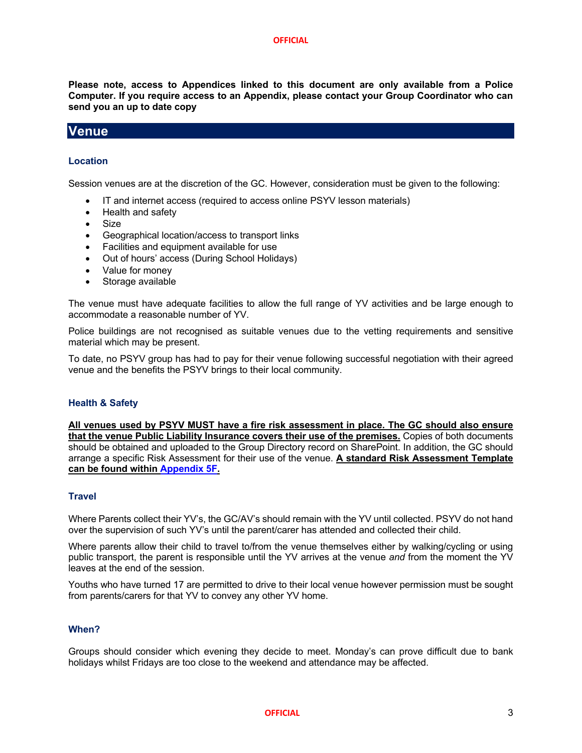**Please note, access to Appendices linked to this document are only available from a Police Computer. If you require access to an Appendix, please contact your Group Coordinator who can send you an up to date copy**

### **Venue**

#### **Location**

Session venues are at the discretion of the GC. However, consideration must be given to the following:

- IT and internet access (required to access online PSYV lesson materials)
- Health and safety
- Size
- Geographical location/access to transport links
- Facilities and equipment available for use
- Out of hours' access (During School Holidays)
- Value for money
- Storage available

The venue must have adequate facilities to allow the full range of YV activities and be large enough to accommodate a reasonable number of YV.

Police buildings are not recognised as suitable venues due to the vetting requirements and sensitive material which may be present.

To date, no PSYV group has had to pay for their venue following successful negotiation with their agreed venue and the benefits the PSYV brings to their local community.

#### **Health & Safety**

**All venues used by PSYV MUST have a fire risk assessment in place. The GC should also ensure that the venue Public Liability Insurance covers their use of the premises.** Copies of both documents should be obtained and uploaded to the Group Directory record on SharePoint. In addition, the GC should arrange a specific Risk Assessment for their use of the venue. **A standard Risk Assessment Template can be found within Appendix 5F.**

#### **Travel**

Where Parents collect their YV's, the GC/AV's should remain with the YV until collected. PSYV do not hand over the supervision of such YV's until the parent/carer has attended and collected their child.

Where parents allow their child to travel to/from the venue themselves either by walking/cycling or using public transport, the parent is responsible until the YV arrives at the venue *and* from the moment the YV leaves at the end of the session.

Youths who have turned 17 are permitted to drive to their local venue however permission must be sought from parents/carers for that YV to convey any other YV home.

#### **When?**

Groups should consider which evening they decide to meet. Monday's can prove difficult due to bank holidays whilst Fridays are too close to the weekend and attendance may be affected.

#### **OFFICIAL** 3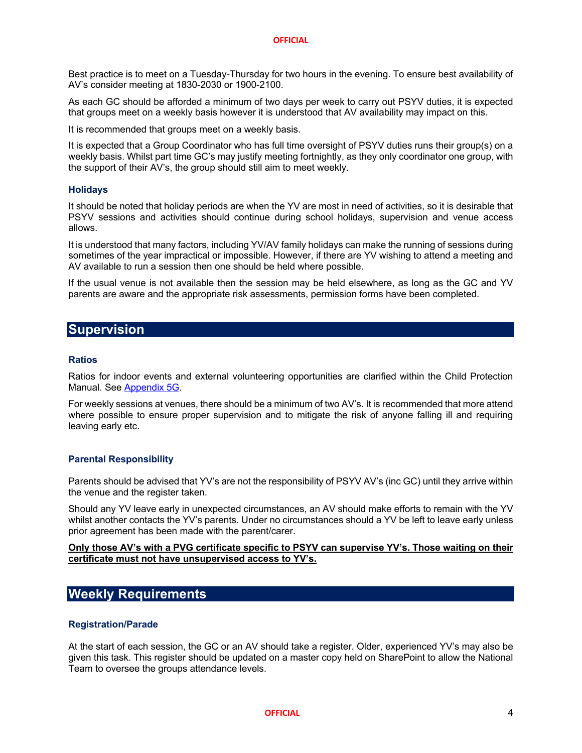Best practice is to meet on a Tuesday-Thursday for two hours in the evening. To ensure best availability of AV's consider meeting at 1830-2030 or 1900-2100.

As each GC should be afforded a minimum of two days per week to carry out PSYV duties, it is expected that groups meet on a weekly basis however it is understood that AV availability may impact on this.

It is recommended that groups meet on a weekly basis.

It is expected that a Group Coordinator who has full time oversight of PSYV duties runs their group(s) on a weekly basis. Whilst part time GC's may justify meeting fortnightly, as they only coordinator one group, with the support of their AV's, the group should still aim to meet weekly.

#### **Holidays**

It should be noted that holiday periods are when the YV are most in need of activities, so it is desirable that PSYV sessions and activities should continue during school holidays, supervision and venue access allows.

It is understood that many factors, including YV/AV family holidays can make the running of sessions during sometimes of the year impractical or impossible. However, if there are YV wishing to attend a meeting and AV available to run a session then one should be held where possible.

If the usual venue is not available then the session may be held elsewhere, as long as the GC and YV parents are aware and the appropriate risk assessments, permission forms have been completed.

### **Supervision**

#### **Ratios**

Ratios for indoor events and external volunteering opportunities are clarified within the Child Protection Manual. See Appendix 5G.

For weekly sessions at venues, there should be a minimum of two AV's. It is recommended that more attend where possible to ensure proper supervision and to mitigate the risk of anyone falling ill and requiring leaving early etc.

#### **Parental Responsibility**

Parents should be advised that YV's are not the responsibility of PSYV AV's (inc GC) until they arrive within the venue and the register taken.

Should any YV leave early in unexpected circumstances, an AV should make efforts to remain with the YV whilst another contacts the YV's parents. Under no circumstances should a YV be left to leave early unless prior agreement has been made with the parent/carer.

**Only those AV's with a PVG certificate specific to PSYV can supervise YV's. Those waiting on their certificate must not have unsupervised access to YV's.**

## **Weekly Requirements**

#### **Registration/Parade**

At the start of each session, the GC or an AV should take a register. Older, experienced YV's may also be given this task. This register should be updated on a master copy held on SharePoint to allow the National Team to oversee the groups attendance levels.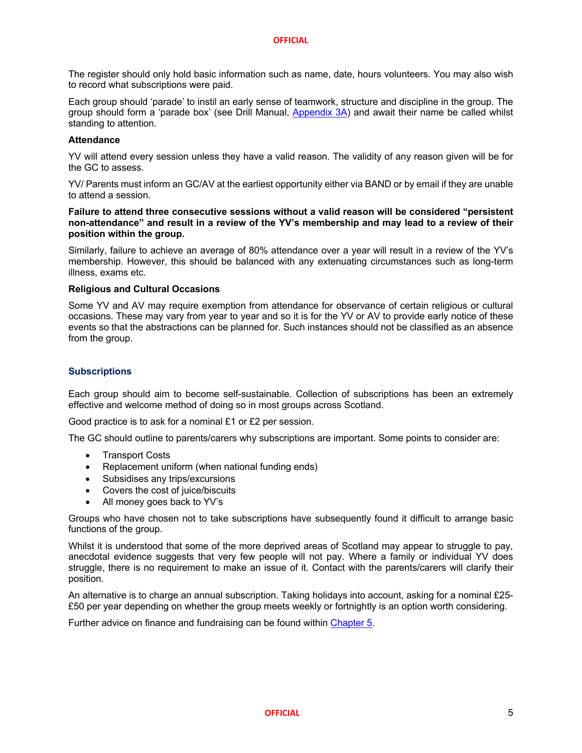The register should only hold basic information such as name, date, hours volunteers. You may also wish to record what subscriptions were paid.

Each group should 'parade' to instil an early sense of teamwork, structure and discipline in the group. The group should form a 'parade box' (see Drill Manual, Appendix 3A) and await their name be called whilst standing to attention.

#### **Attendance**

YV will attend every session unless they have a valid reason. The validity of any reason given will be for the GC to assess.

YV/ Parents must inform an GC/AV at the earliest opportunity either via BAND or by email if they are unable to attend a session.

#### **Failure to attend three consecutive sessions without a valid reason will be considered "persistent non-attendance" and result in a review of the YV's membership and may lead to a review of their position within the group.**

Similarly, failure to achieve an average of 80% attendance over a year will result in a review of the YV's membership. However, this should be balanced with any extenuating circumstances such as long-term illness, exams etc.

#### **Religious and Cultural Occasions**

Some YV and AV may require exemption from attendance for observance of certain religious or cultural occasions. These may vary from year to year and so it is for the YV or AV to provide early notice of these events so that the abstractions can be planned for. Such instances should not be classified as an absence from the group.

#### **Subscriptions**

Each group should aim to become self-sustainable. Collection of subscriptions has been an extremely effective and welcome method of doing so in most groups across Scotland.

Good practice is to ask for a nominal £1 or £2 per session.

The GC should outline to parents/carers why subscriptions are important. Some points to consider are:

- Transport Costs
- Replacement uniform (when national funding ends)
- Subsidises any trips/excursions
- Covers the cost of juice/biscuits
- All money goes back to YV's

Groups who have chosen not to take subscriptions have subsequently found it difficult to arrange basic functions of the group.

Whilst it is understood that some of the more deprived areas of Scotland may appear to struggle to pay, anecdotal evidence suggests that very few people will not pay. Where a family or individual YV does struggle, there is no requirement to make an issue of it. Contact with the parents/carers will clarify their position.

An alternative is to charge an annual subscription. Taking holidays into account, asking for a nominal £25- £50 per year depending on whether the group meets weekly or fortnightly is an option worth considering.

Further advice on finance and fundraising can be found within Chapter 5.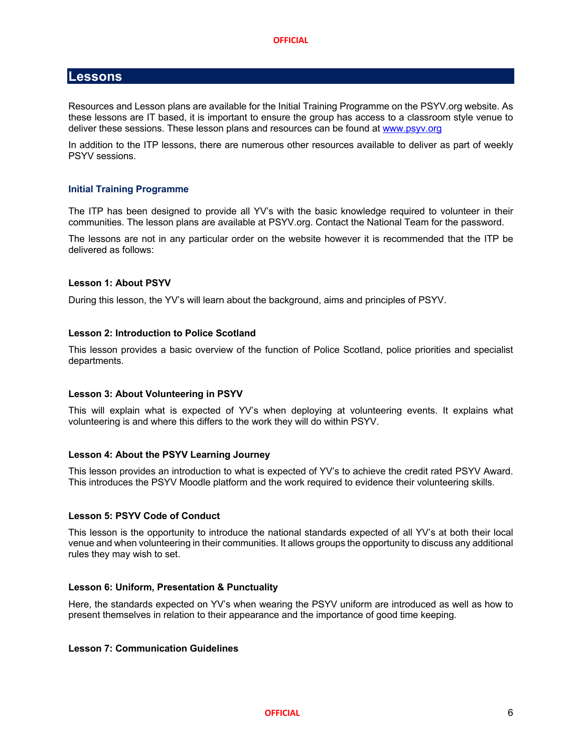#### **Lessons**

Resources and Lesson plans are available for the Initial Training Programme on the PSYV.org website. As these lessons are IT based, it is important to ensure the group has access to a classroom style venue to deliver these sessions. These lesson plans and resources can be found at www.psyv.org

In addition to the ITP lessons, there are numerous other resources available to deliver as part of weekly PSYV sessions.

#### **Initial Training Programme**

The ITP has been designed to provide all YV's with the basic knowledge required to volunteer in their communities. The lesson plans are available at PSYV.org. Contact the National Team for the password.

The lessons are not in any particular order on the website however it is recommended that the ITP be delivered as follows:

#### **Lesson 1: About PSYV**

During this lesson, the YV's will learn about the background, aims and principles of PSYV.

#### **Lesson 2: Introduction to Police Scotland**

This lesson provides a basic overview of the function of Police Scotland, police priorities and specialist departments.

#### **Lesson 3: About Volunteering in PSYV**

This will explain what is expected of YV's when deploying at volunteering events. It explains what volunteering is and where this differs to the work they will do within PSYV.

#### **Lesson 4: About the PSYV Learning Journey**

This lesson provides an introduction to what is expected of YV's to achieve the credit rated PSYV Award. This introduces the PSYV Moodle platform and the work required to evidence their volunteering skills.

#### **Lesson 5: PSYV Code of Conduct**

This lesson is the opportunity to introduce the national standards expected of all YV's at both their local venue and when volunteering in their communities. It allows groups the opportunity to discuss any additional rules they may wish to set.

#### **Lesson 6: Uniform, Presentation & Punctuality**

Here, the standards expected on YV's when wearing the PSYV uniform are introduced as well as how to present themselves in relation to their appearance and the importance of good time keeping.

#### **Lesson 7: Communication Guidelines**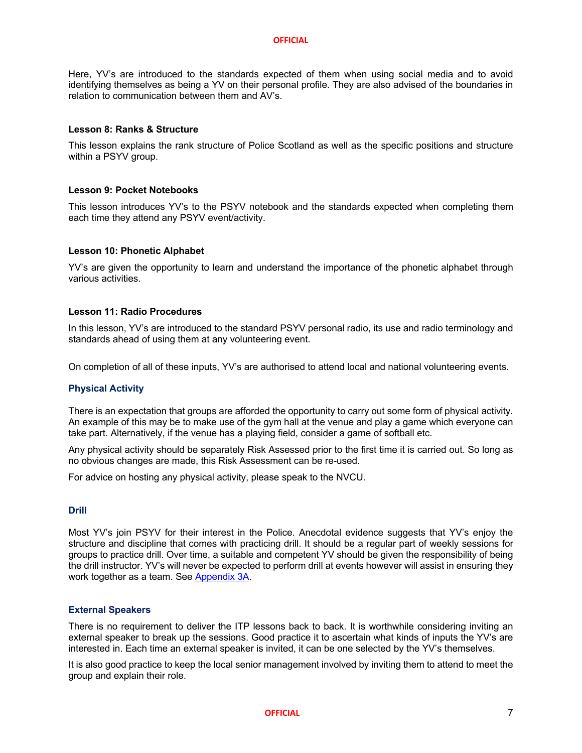Here, YV's are introduced to the standards expected of them when using social media and to avoid identifying themselves as being a YV on their personal profile. They are also advised of the boundaries in relation to communication between them and AV's.

#### **Lesson 8: Ranks & Structure**

This lesson explains the rank structure of Police Scotland as well as the specific positions and structure within a PSYV group.

#### **Lesson 9: Pocket Notebooks**

This lesson introduces YV's to the PSYV notebook and the standards expected when completing them each time they attend any PSYV event/activity.

#### **Lesson 10: Phonetic Alphabet**

YV's are given the opportunity to learn and understand the importance of the phonetic alphabet through various activities.

#### **Lesson 11: Radio Procedures**

In this lesson, YV's are introduced to the standard PSYV personal radio, its use and radio terminology and standards ahead of using them at any volunteering event.

On completion of all of these inputs, YV's are authorised to attend local and national volunteering events.

#### **Physical Activity**

There is an expectation that groups are afforded the opportunity to carry out some form of physical activity. An example of this may be to make use of the gym hall at the venue and play a game which everyone can take part. Alternatively, if the venue has a playing field, consider a game of softball etc.

Any physical activity should be separately Risk Assessed prior to the first time it is carried out. So long as no obvious changes are made, this Risk Assessment can be re-used.

For advice on hosting any physical activity, please speak to the NVCU.

#### **Drill**

Most YV's join PSYV for their interest in the Police. Anecdotal evidence suggests that YV's enjoy the structure and discipline that comes with practicing drill. It should be a regular part of weekly sessions for groups to practice drill. Over time, a suitable and competent YV should be given the responsibility of being the drill instructor. YV's will never be expected to perform drill at events however will assist in ensuring they work together as a team. See Appendix 3A.

#### **External Speakers**

There is no requirement to deliver the ITP lessons back to back. It is worthwhile considering inviting an external speaker to break up the sessions. Good practice it to ascertain what kinds of inputs the YV's are interested in. Each time an external speaker is invited, it can be one selected by the YV's themselves.

It is also good practice to keep the local senior management involved by inviting them to attend to meet the group and explain their role.

**OFFICIAL** 7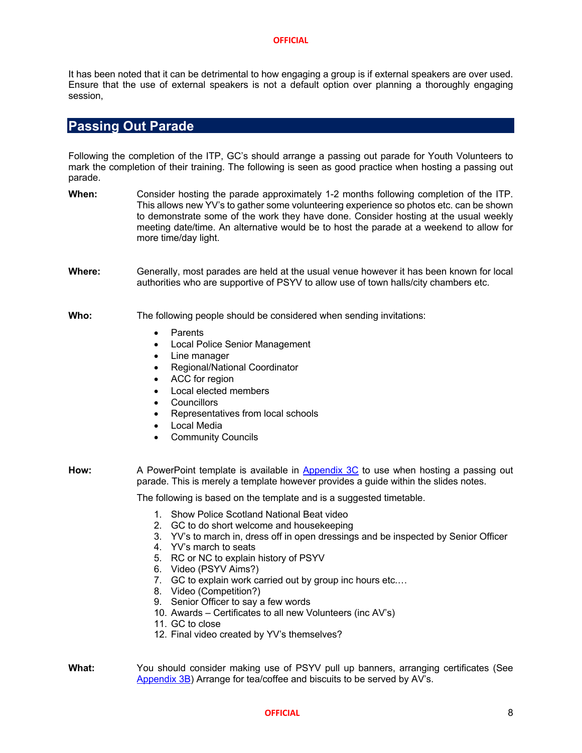It has been noted that it can be detrimental to how engaging a group is if external speakers are over used. Ensure that the use of external speakers is not a default option over planning a thoroughly engaging session,

## **Passing Out Parade**

Following the completion of the ITP, GC's should arrange a passing out parade for Youth Volunteers to mark the completion of their training. The following is seen as good practice when hosting a passing out parade.

- **When:** Consider hosting the parade approximately 1-2 months following completion of the ITP. This allows new YV's to gather some volunteering experience so photos etc. can be shown to demonstrate some of the work they have done. Consider hosting at the usual weekly meeting date/time. An alternative would be to host the parade at a weekend to allow for more time/day light.
- **Where:** Generally, most parades are held at the usual venue however it has been known for local authorities who are supportive of PSYV to allow use of town halls/city chambers etc.

#### **Who:** The following people should be considered when sending invitations:

- **Parents**
- Local Police Senior Management
- Line manager
- Regional/National Coordinator
- ACC for region
- Local elected members
- Councillors
- Representatives from local schools
- **Local Media**
- Community Councils
- How: A PowerPoint template is available in Appendix 3C to use when hosting a passing out parade. This is merely a template however provides a guide within the slides notes.

The following is based on the template and is a suggested timetable.

- 1. Show Police Scotland National Beat video
- 2. GC to do short welcome and housekeeping
- 3. YV's to march in, dress off in open dressings and be inspected by Senior Officer
- 4. YV's march to seats
- 5. RC or NC to explain history of PSYV
- 6. Video (PSYV Aims?)
- 7. GC to explain work carried out by group inc hours etc.…
- 8. Video (Competition?)
- 9. Senior Officer to say a few words
- 10. Awards Certificates to all new Volunteers (inc AV's)
- 11. GC to close
- 12. Final video created by YV's themselves?

**What:** You should consider making use of PSYV pull up banners, arranging certificates (See Appendix 3B) Arrange for tea/coffee and biscuits to be served by AV's.

#### **OFFICIAL** 8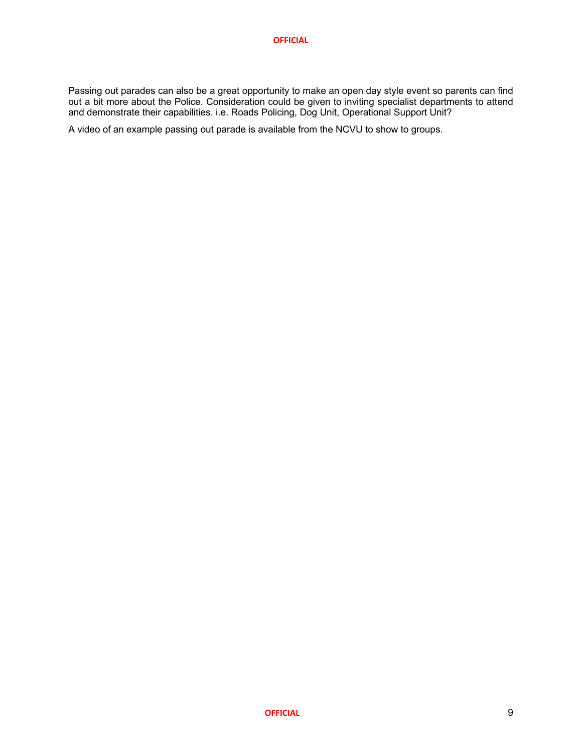Passing out parades can also be a great opportunity to make an open day style event so parents can find out a bit more about the Police. Consideration could be given to inviting specialist departments to attend and demonstrate their capabilities. i.e. Roads Policing, Dog Unit, Operational Support Unit?

A video of an example passing out parade is available from the NCVU to show to groups.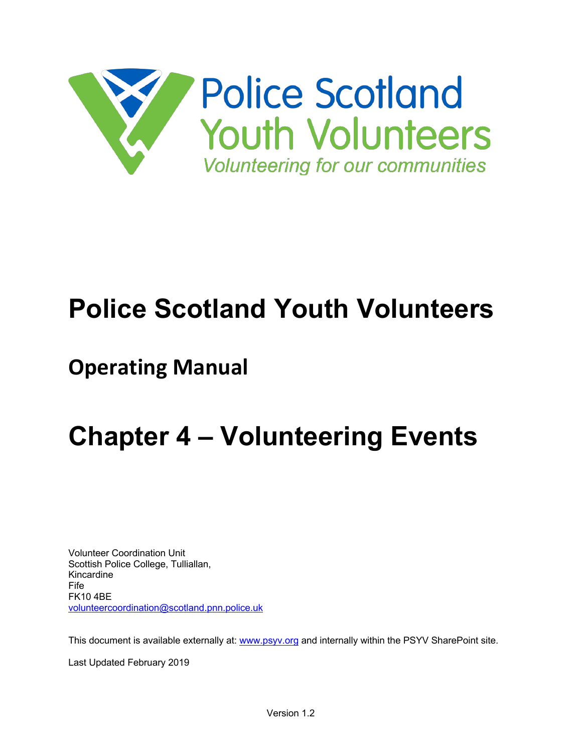

# **Police Scotland Youth Volunteers**

# **Operating Manual**

# **Chapter 4 – Volunteering Events**

Volunteer Coordination Unit Scottish Police College, Tulliallan, Kincardine Fife FK10 4BE volunteercoordination@scotland.pnn.police.uk

This document is available externally at: www.psyv.org and internally within the PSYV SharePoint site.

Last Updated February 2019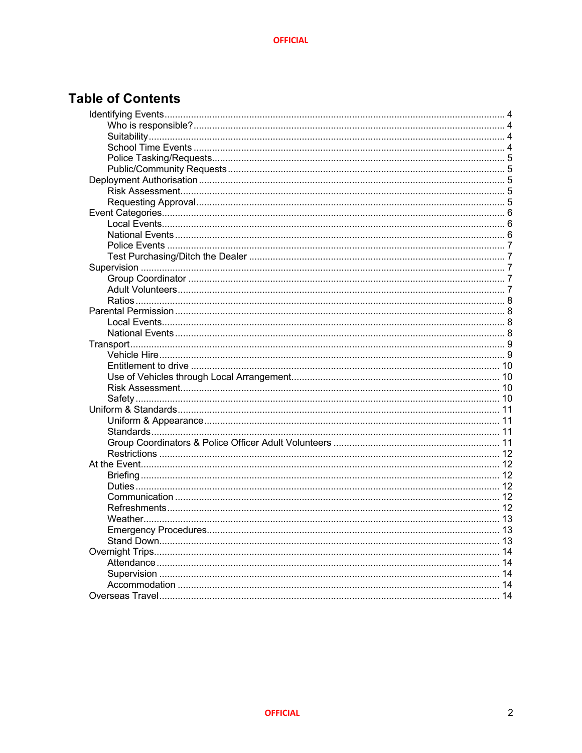## **Table of Contents**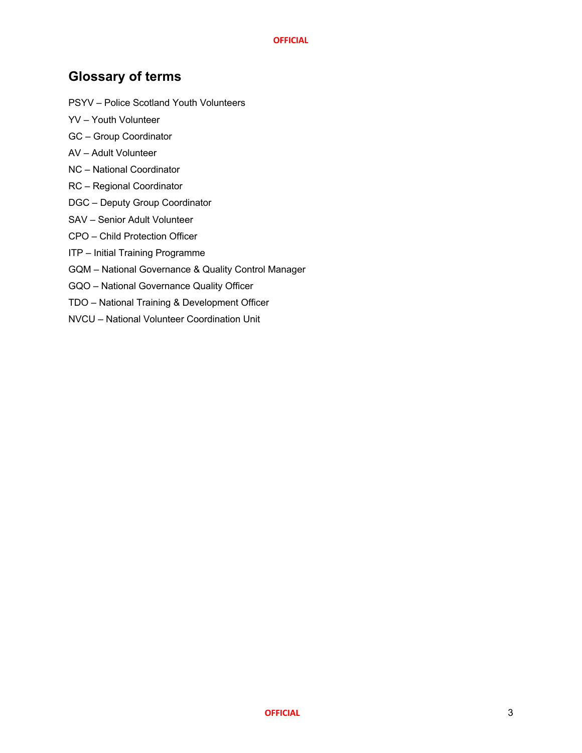## **Glossary of terms**

- PSYV Police Scotland Youth Volunteers
- YV Youth Volunteer
- GC Group Coordinator
- AV Adult Volunteer
- NC National Coordinator
- RC Regional Coordinator
- DGC Deputy Group Coordinator
- SAV Senior Adult Volunteer
- CPO Child Protection Officer
- ITP Initial Training Programme
- GQM National Governance & Quality Control Manager
- GQO National Governance Quality Officer
- TDO National Training & Development Officer
- NVCU National Volunteer Coordination Unit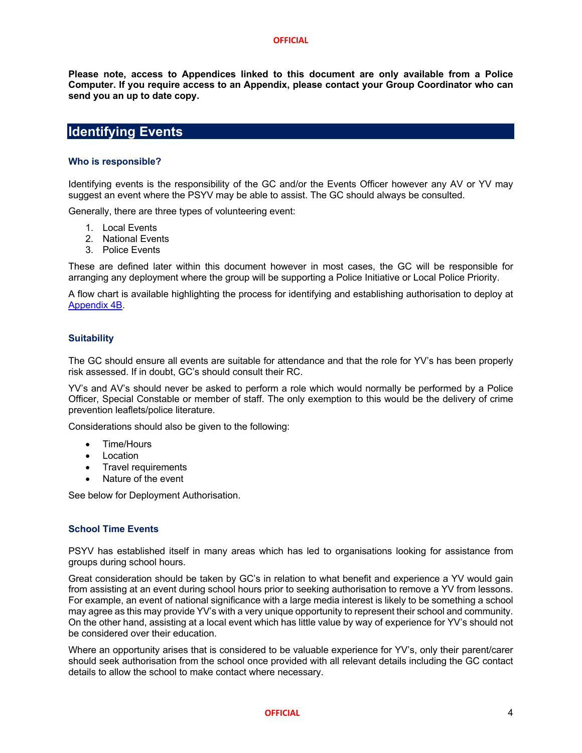**Please note, access to Appendices linked to this document are only available from a Police Computer. If you require access to an Appendix, please contact your Group Coordinator who can send you an up to date copy.**

## **Identifying Events**

## **Who is responsible?**

Identifying events is the responsibility of the GC and/or the Events Officer however any AV or YV may suggest an event where the PSYV may be able to assist. The GC should always be consulted.

Generally, there are three types of volunteering event:

- 1. Local Events
- 2. National Events
- 3. Police Events

These are defined later within this document however in most cases, the GC will be responsible for arranging any deployment where the group will be supporting a Police Initiative or Local Police Priority.

A flow chart is available highlighting the process for identifying and establishing authorisation to deploy at Appendix 4B.

## **Suitability**

The GC should ensure all events are suitable for attendance and that the role for YV's has been properly risk assessed. If in doubt, GC's should consult their RC.

YV's and AV's should never be asked to perform a role which would normally be performed by a Police Officer, Special Constable or member of staff. The only exemption to this would be the delivery of crime prevention leaflets/police literature.

Considerations should also be given to the following:

- Time/Hours
- **Location**
- Travel requirements
- Nature of the event

See below for Deployment Authorisation.

## **School Time Events**

PSYV has established itself in many areas which has led to organisations looking for assistance from groups during school hours.

Great consideration should be taken by GC's in relation to what benefit and experience a YV would gain from assisting at an event during school hours prior to seeking authorisation to remove a YV from lessons. For example, an event of national significance with a large media interest is likely to be something a school may agree as this may provide YV's with a very unique opportunity to represent their school and community. On the other hand, assisting at a local event which has little value by way of experience for YV's should not be considered over their education.

Where an opportunity arises that is considered to be valuable experience for YV's, only their parent/carer should seek authorisation from the school once provided with all relevant details including the GC contact details to allow the school to make contact where necessary.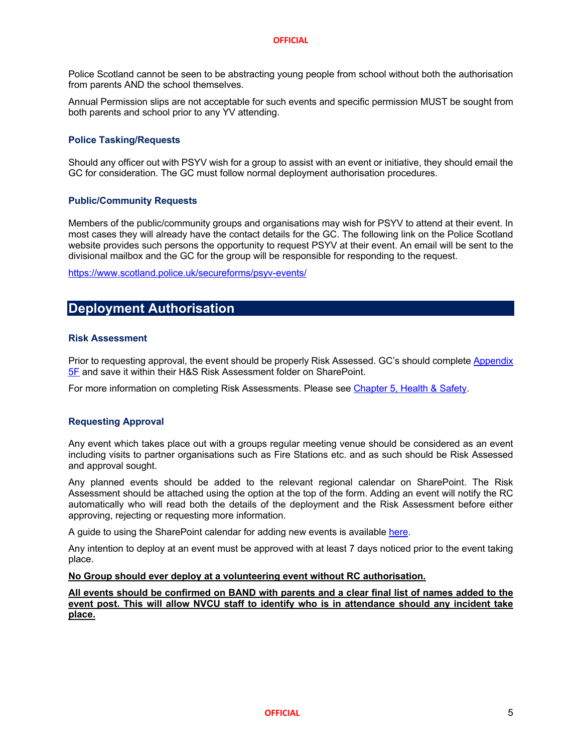Police Scotland cannot be seen to be abstracting young people from school without both the authorisation from parents AND the school themselves.

Annual Permission slips are not acceptable for such events and specific permission MUST be sought from both parents and school prior to any YV attending.

## **Police Tasking/Requests**

Should any officer out with PSYV wish for a group to assist with an event or initiative, they should email the GC for consideration. The GC must follow normal deployment authorisation procedures.

## **Public/Community Requests**

Members of the public/community groups and organisations may wish for PSYV to attend at their event. In most cases they will already have the contact details for the GC. The following link on the Police Scotland website provides such persons the opportunity to request PSYV at their event. An email will be sent to the divisional mailbox and the GC for the group will be responsible for responding to the request.

https://www.scotland.police.uk/secureforms/psyv-events/

## **Deployment Authorisation**

## **Risk Assessment**

Prior to requesting approval, the event should be properly Risk Assessed. GC's should complete Appendix 5F and save it within their H&S Risk Assessment folder on SharePoint.

For more information on completing Risk Assessments. Please see Chapter 5, Health & Safety.

## **Requesting Approval**

Any event which takes place out with a groups regular meeting venue should be considered as an event including visits to partner organisations such as Fire Stations etc. and as such should be Risk Assessed and approval sought.

Any planned events should be added to the relevant regional calendar on SharePoint. The Risk Assessment should be attached using the option at the top of the form. Adding an event will notify the RC automatically who will read both the details of the deployment and the Risk Assessment before either approving, rejecting or requesting more information.

A guide to using the SharePoint calendar for adding new events is available here.

Any intention to deploy at an event must be approved with at least 7 days noticed prior to the event taking place.

## **No Group should ever deploy at a volunteering event without RC authorisation.**

**All events should be confirmed on BAND with parents and a clear final list of names added to the event post. This will allow NVCU staff to identify who is in attendance should any incident take place.**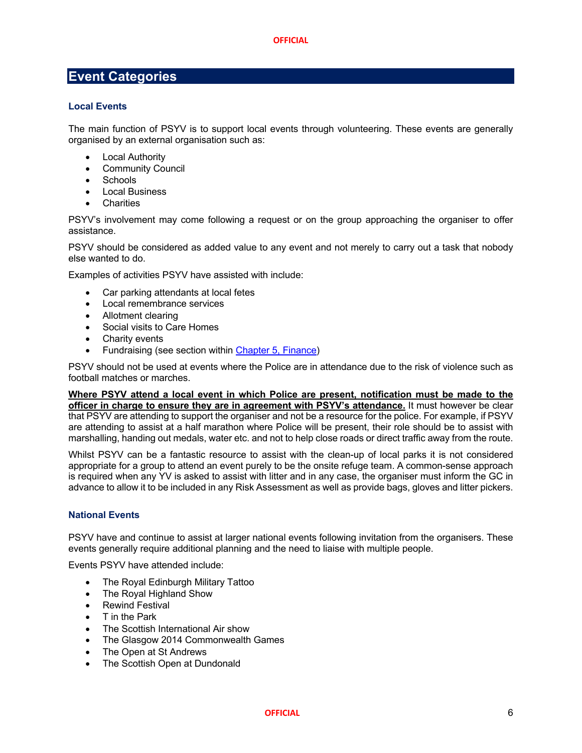## **Event Categories**

## **Local Events**

The main function of PSYV is to support local events through volunteering. These events are generally organised by an external organisation such as:

- **Local Authority**
- Community Council
- Schools
- Local Business
- **Charities**

PSYV's involvement may come following a request or on the group approaching the organiser to offer assistance.

PSYV should be considered as added value to any event and not merely to carry out a task that nobody else wanted to do.

Examples of activities PSYV have assisted with include:

- Car parking attendants at local fetes
- Local remembrance services
- Allotment clearing
- Social visits to Care Homes
- Charity events
- Fundraising (see section within Chapter 5, Finance)

PSYV should not be used at events where the Police are in attendance due to the risk of violence such as football matches or marches.

**Where PSYV attend a local event in which Police are present, notification must be made to the officer in charge to ensure they are in agreement with PSYV's attendance.** It must however be clear that PSYV are attending to support the organiser and not be a resource for the police. For example, if PSYV are attending to assist at a half marathon where Police will be present, their role should be to assist with marshalling, handing out medals, water etc. and not to help close roads or direct traffic away from the route.

Whilst PSYV can be a fantastic resource to assist with the clean-up of local parks it is not considered appropriate for a group to attend an event purely to be the onsite refuge team. A common-sense approach is required when any YV is asked to assist with litter and in any case, the organiser must inform the GC in advance to allow it to be included in any Risk Assessment as well as provide bags, gloves and litter pickers.

## **National Events**

PSYV have and continue to assist at larger national events following invitation from the organisers. These events generally require additional planning and the need to liaise with multiple people.

Events PSYV have attended include:

- The Royal Edinburgh Military Tattoo
- The Royal Highland Show
- Rewind Festival
- T in the Park
- The Scottish International Air show
- The Glasgow 2014 Commonwealth Games
- The Open at St Andrews
- The Scottish Open at Dundonald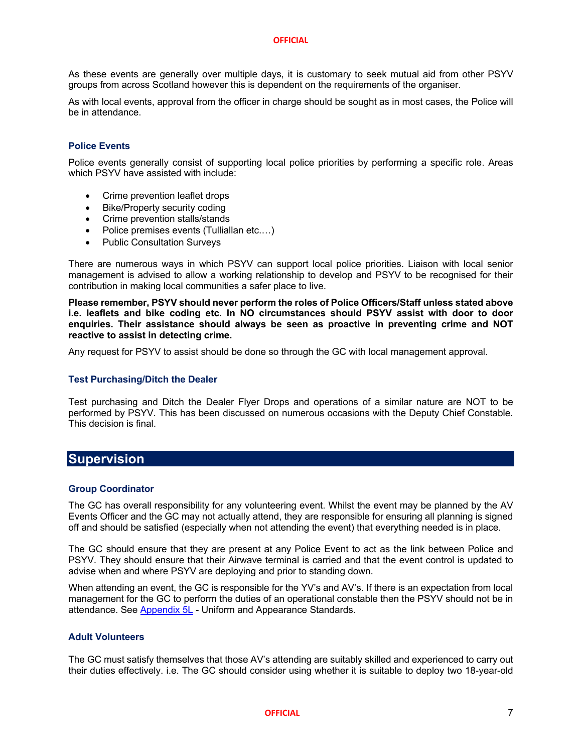As these events are generally over multiple days, it is customary to seek mutual aid from other PSYV groups from across Scotland however this is dependent on the requirements of the organiser.

As with local events, approval from the officer in charge should be sought as in most cases, the Police will be in attendance.

## **Police Events**

Police events generally consist of supporting local police priorities by performing a specific role. Areas which PSYV have assisted with include:

- Crime prevention leaflet drops
- Bike/Property security coding
- Crime prevention stalls/stands
- Police premises events (Tulliallan etc....)
- Public Consultation Surveys

There are numerous ways in which PSYV can support local police priorities. Liaison with local senior management is advised to allow a working relationship to develop and PSYV to be recognised for their contribution in making local communities a safer place to live.

**Please remember, PSYV should never perform the roles of Police Officers/Staff unless stated above i.e. leaflets and bike coding etc. In NO circumstances should PSYV assist with door to door enquiries. Their assistance should always be seen as proactive in preventing crime and NOT reactive to assist in detecting crime.**

Any request for PSYV to assist should be done so through the GC with local management approval.

## **Test Purchasing/Ditch the Dealer**

Test purchasing and Ditch the Dealer Flyer Drops and operations of a similar nature are NOT to be performed by PSYV. This has been discussed on numerous occasions with the Deputy Chief Constable. This decision is final.

## **Supervision**

## **Group Coordinator**

The GC has overall responsibility for any volunteering event. Whilst the event may be planned by the AV Events Officer and the GC may not actually attend, they are responsible for ensuring all planning is signed off and should be satisfied (especially when not attending the event) that everything needed is in place.

The GC should ensure that they are present at any Police Event to act as the link between Police and PSYV. They should ensure that their Airwave terminal is carried and that the event control is updated to advise when and where PSYV are deploying and prior to standing down.

When attending an event, the GC is responsible for the YV's and AV's. If there is an expectation from local management for the GC to perform the duties of an operational constable then the PSYV should not be in attendance. See Appendix 5L - Uniform and Appearance Standards.

## **Adult Volunteers**

The GC must satisfy themselves that those AV's attending are suitably skilled and experienced to carry out their duties effectively. i.e. The GC should consider using whether it is suitable to deploy two 18-year-old

## **OFFICIAL** 7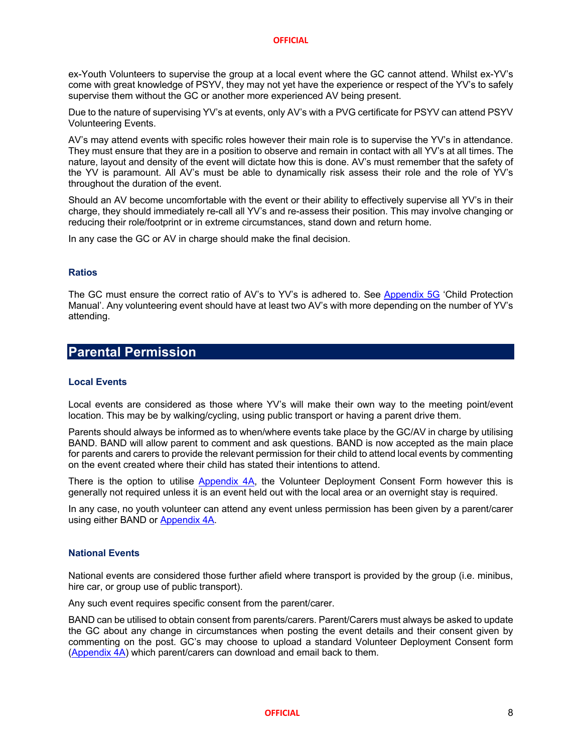ex-Youth Volunteers to supervise the group at a local event where the GC cannot attend. Whilst ex-YV's come with great knowledge of PSYV, they may not yet have the experience or respect of the YV's to safely supervise them without the GC or another more experienced AV being present.

Due to the nature of supervising YV's at events, only AV's with a PVG certificate for PSYV can attend PSYV Volunteering Events.

AV's may attend events with specific roles however their main role is to supervise the YV's in attendance. They must ensure that they are in a position to observe and remain in contact with all YV's at all times. The nature, layout and density of the event will dictate how this is done. AV's must remember that the safety of the YV is paramount. All AV's must be able to dynamically risk assess their role and the role of YV's throughout the duration of the event.

Should an AV become uncomfortable with the event or their ability to effectively supervise all YV's in their charge, they should immediately re-call all YV's and re-assess their position. This may involve changing or reducing their role/footprint or in extreme circumstances, stand down and return home.

In any case the GC or AV in charge should make the final decision.

## **Ratios**

The GC must ensure the correct ratio of AV's to YV's is adhered to. See Appendix 5G 'Child Protection Manual'. Any volunteering event should have at least two AV's with more depending on the number of YV's attending.

## **Parental Permission**

## **Local Events**

Local events are considered as those where YV's will make their own way to the meeting point/event location. This may be by walking/cycling, using public transport or having a parent drive them.

Parents should always be informed as to when/where events take place by the GC/AV in charge by utilising BAND. BAND will allow parent to comment and ask questions. BAND is now accepted as the main place for parents and carers to provide the relevant permission for their child to attend local events by commenting on the event created where their child has stated their intentions to attend.

There is the option to utilise Appendix 4A, the Volunteer Deployment Consent Form however this is generally not required unless it is an event held out with the local area or an overnight stay is required.

In any case, no youth volunteer can attend any event unless permission has been given by a parent/carer using either BAND or Appendix 4A.

#### **National Events**

National events are considered those further afield where transport is provided by the group (i.e. minibus, hire car, or group use of public transport).

Any such event requires specific consent from the parent/carer.

BAND can be utilised to obtain consent from parents/carers. Parent/Carers must always be asked to update the GC about any change in circumstances when posting the event details and their consent given by commenting on the post. GC's may choose to upload a standard Volunteer Deployment Consent form (Appendix 4A) which parent/carers can download and email back to them.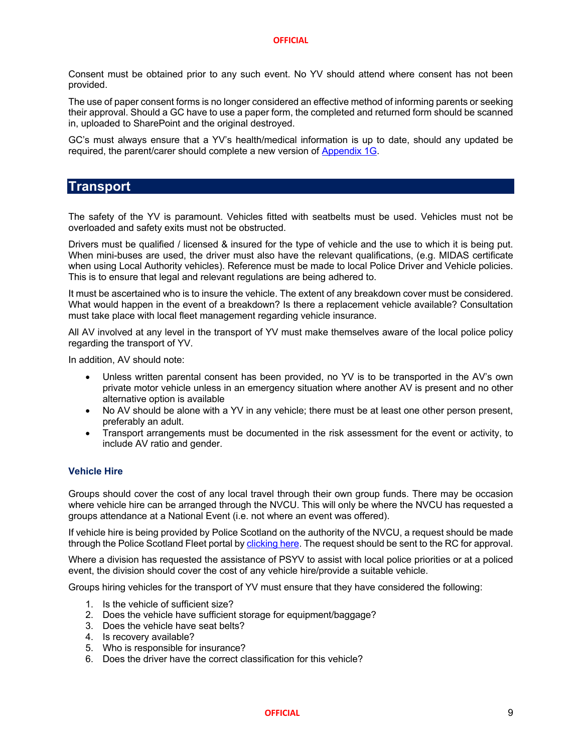Consent must be obtained prior to any such event. No YV should attend where consent has not been provided.

The use of paper consent forms is no longer considered an effective method of informing parents or seeking their approval. Should a GC have to use a paper form, the completed and returned form should be scanned in, uploaded to SharePoint and the original destroyed.

GC's must always ensure that a YV's health/medical information is up to date, should any updated be required, the parent/carer should complete a new version of Appendix 1G.

## **Transport**

The safety of the YV is paramount. Vehicles fitted with seatbelts must be used. Vehicles must not be overloaded and safety exits must not be obstructed.

Drivers must be qualified / licensed & insured for the type of vehicle and the use to which it is being put. When mini-buses are used, the driver must also have the relevant qualifications, (e.g. MIDAS certificate when using Local Authority vehicles). Reference must be made to local Police Driver and Vehicle policies. This is to ensure that legal and relevant regulations are being adhered to.

It must be ascertained who is to insure the vehicle. The extent of any breakdown cover must be considered. What would happen in the event of a breakdown? Is there a replacement vehicle available? Consultation must take place with local fleet management regarding vehicle insurance.

All AV involved at any level in the transport of YV must make themselves aware of the local police policy regarding the transport of YV.

In addition, AV should note:

- Unless written parental consent has been provided, no YV is to be transported in the AV's own private motor vehicle unless in an emergency situation where another AV is present and no other alternative option is available
- No AV should be alone with a YV in any vehicle; there must be at least one other person present, preferably an adult.
- Transport arrangements must be documented in the risk assessment for the event or activity, to include AV ratio and gender.

## **Vehicle Hire**

Groups should cover the cost of any local travel through their own group funds. There may be occasion where vehicle hire can be arranged through the NVCU. This will only be where the NVCU has requested a groups attendance at a National Event (i.e. not where an event was offered).

If vehicle hire is being provided by Police Scotland on the authority of the NVCU, a request should be made through the Police Scotland Fleet portal by clicking here. The request should be sent to the RC for approval.

Where a division has requested the assistance of PSYV to assist with local police priorities or at a policed event, the division should cover the cost of any vehicle hire/provide a suitable vehicle.

Groups hiring vehicles for the transport of YV must ensure that they have considered the following:

- 1. Is the vehicle of sufficient size?
- 2. Does the vehicle have sufficient storage for equipment/baggage?
- 3. Does the vehicle have seat belts?
- 4. Is recovery available?
- 5. Who is responsible for insurance?
- 6. Does the driver have the correct classification for this vehicle?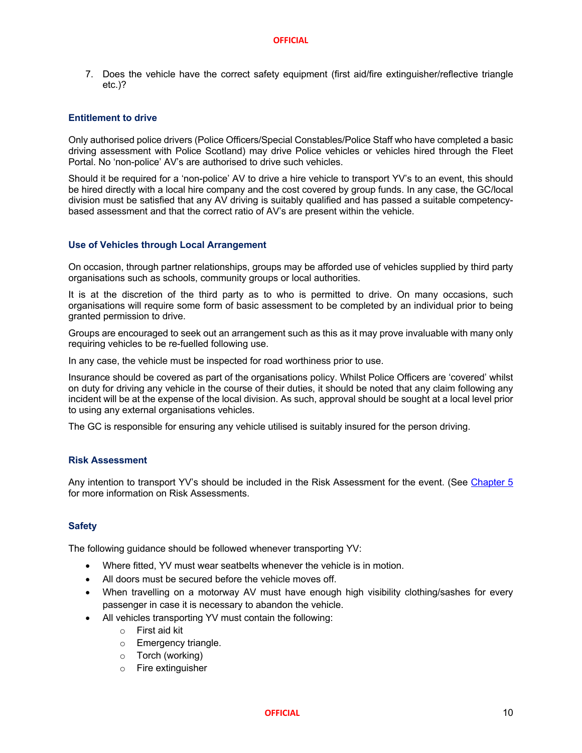7. Does the vehicle have the correct safety equipment (first aid/fire extinguisher/reflective triangle etc.)?

## **Entitlement to drive**

Only authorised police drivers (Police Officers/Special Constables/Police Staff who have completed a basic driving assessment with Police Scotland) may drive Police vehicles or vehicles hired through the Fleet Portal. No 'non-police' AV's are authorised to drive such vehicles.

Should it be required for a 'non-police' AV to drive a hire vehicle to transport YV's to an event, this should be hired directly with a local hire company and the cost covered by group funds. In any case, the GC/local division must be satisfied that any AV driving is suitably qualified and has passed a suitable competencybased assessment and that the correct ratio of AV's are present within the vehicle.

## **Use of Vehicles through Local Arrangement**

On occasion, through partner relationships, groups may be afforded use of vehicles supplied by third party organisations such as schools, community groups or local authorities.

It is at the discretion of the third party as to who is permitted to drive. On many occasions, such organisations will require some form of basic assessment to be completed by an individual prior to being granted permission to drive.

Groups are encouraged to seek out an arrangement such as this as it may prove invaluable with many only requiring vehicles to be re-fuelled following use.

In any case, the vehicle must be inspected for road worthiness prior to use.

Insurance should be covered as part of the organisations policy. Whilst Police Officers are 'covered' whilst on duty for driving any vehicle in the course of their duties, it should be noted that any claim following any incident will be at the expense of the local division. As such, approval should be sought at a local level prior to using any external organisations vehicles.

The GC is responsible for ensuring any vehicle utilised is suitably insured for the person driving.

## **Risk Assessment**

Any intention to transport YV's should be included in the Risk Assessment for the event. (See Chapter 5 for more information on Risk Assessments.

## **Safety**

The following guidance should be followed whenever transporting YV:

- Where fitted, YV must wear seatbelts whenever the vehicle is in motion.
- All doors must be secured before the vehicle moves off.
- When travelling on a motorway AV must have enough high visibility clothing/sashes for every passenger in case it is necessary to abandon the vehicle.
- All vehicles transporting YV must contain the following:
	- o First aid kit
	- o Emergency triangle.
	- o Torch (working)
	- o Fire extinguisher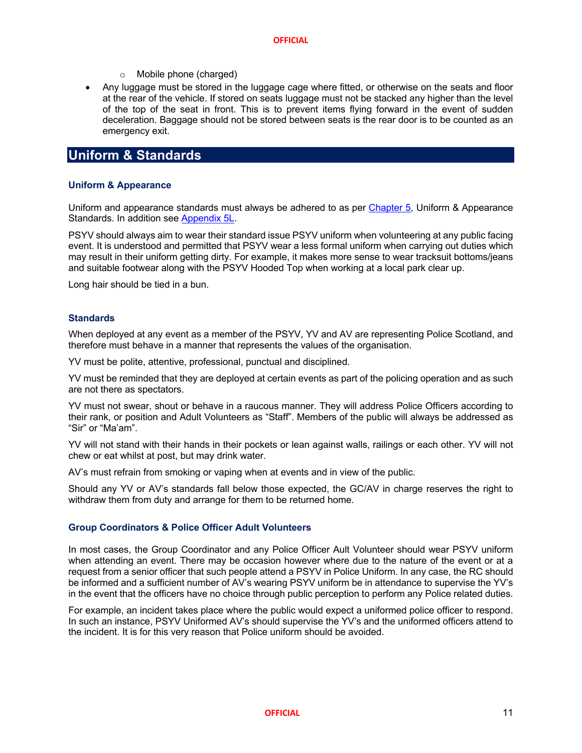- o Mobile phone (charged)
- Any luggage must be stored in the luggage cage where fitted, or otherwise on the seats and floor at the rear of the vehicle. If stored on seats luggage must not be stacked any higher than the level of the top of the seat in front. This is to prevent items flying forward in the event of sudden deceleration. Baggage should not be stored between seats is the rear door is to be counted as an emergency exit.

## **Uniform & Standards**

## **Uniform & Appearance**

Uniform and appearance standards must always be adhered to as per Chapter 5, Uniform & Appearance Standards. In addition see Appendix 5L.

PSYV should always aim to wear their standard issue PSYV uniform when volunteering at any public facing event. It is understood and permitted that PSYV wear a less formal uniform when carrying out duties which may result in their uniform getting dirty. For example, it makes more sense to wear tracksuit bottoms/jeans and suitable footwear along with the PSYV Hooded Top when working at a local park clear up.

Long hair should be tied in a bun.

## **Standards**

When deployed at any event as a member of the PSYV, YV and AV are representing Police Scotland, and therefore must behave in a manner that represents the values of the organisation.

YV must be polite, attentive, professional, punctual and disciplined.

YV must be reminded that they are deployed at certain events as part of the policing operation and as such are not there as spectators.

YV must not swear, shout or behave in a raucous manner. They will address Police Officers according to their rank, or position and Adult Volunteers as "Staff". Members of the public will always be addressed as "Sir" or "Ma'am".

YV will not stand with their hands in their pockets or lean against walls, railings or each other. YV will not chew or eat whilst at post, but may drink water.

AV's must refrain from smoking or vaping when at events and in view of the public.

Should any YV or AV's standards fall below those expected, the GC/AV in charge reserves the right to withdraw them from duty and arrange for them to be returned home.

## **Group Coordinators & Police Officer Adult Volunteers**

In most cases, the Group Coordinator and any Police Officer Ault Volunteer should wear PSYV uniform when attending an event. There may be occasion however where due to the nature of the event or at a request from a senior officer that such people attend a PSYV in Police Uniform. In any case, the RC should be informed and a sufficient number of AV's wearing PSYV uniform be in attendance to supervise the YV's in the event that the officers have no choice through public perception to perform any Police related duties.

For example, an incident takes place where the public would expect a uniformed police officer to respond. In such an instance, PSYV Uniformed AV's should supervise the YV's and the uniformed officers attend to the incident. It is for this very reason that Police uniform should be avoided.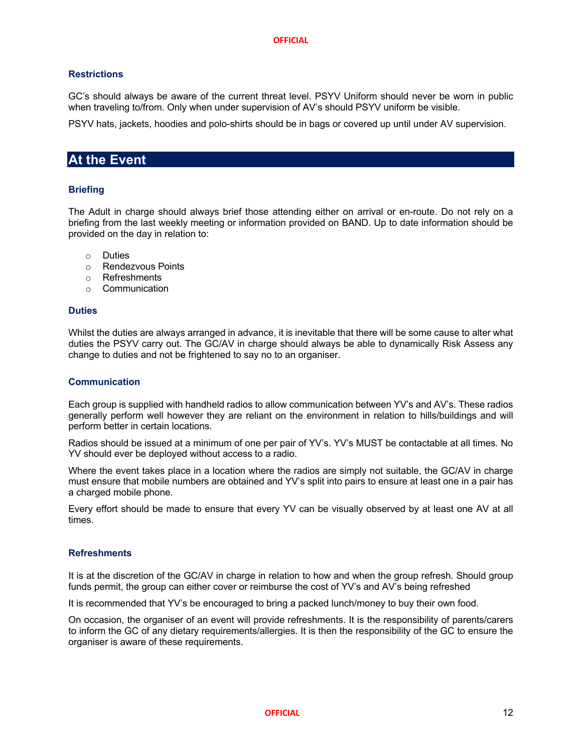## **Restrictions**

GC's should always be aware of the current threat level. PSYV Uniform should never be worn in public when traveling to/from. Only when under supervision of AV's should PSYV uniform be visible.

PSYV hats, jackets, hoodies and polo-shirts should be in bags or covered up until under AV supervision.

## **At the Event**

## **Briefing**

The Adult in charge should always brief those attending either on arrival or en-route. Do not rely on a briefing from the last weekly meeting or information provided on BAND. Up to date information should be provided on the day in relation to:

- o Duties
- o Rendezvous Points
- o Refreshments
- o Communication

## **Duties**

Whilst the duties are always arranged in advance, it is inevitable that there will be some cause to alter what duties the PSYV carry out. The GC/AV in charge should always be able to dynamically Risk Assess any change to duties and not be frightened to say no to an organiser.

## **Communication**

Each group is supplied with handheld radios to allow communication between YV's and AV's. These radios generally perform well however they are reliant on the environment in relation to hills/buildings and will perform better in certain locations.

Radios should be issued at a minimum of one per pair of YV's. YV's MUST be contactable at all times. No YV should ever be deployed without access to a radio.

Where the event takes place in a location where the radios are simply not suitable, the GC/AV in charge must ensure that mobile numbers are obtained and YV's split into pairs to ensure at least one in a pair has a charged mobile phone.

Every effort should be made to ensure that every YV can be visually observed by at least one AV at all times.

## **Refreshments**

It is at the discretion of the GC/AV in charge in relation to how and when the group refresh. Should group funds permit, the group can either cover or reimburse the cost of YV's and AV's being refreshed

It is recommended that YV's be encouraged to bring a packed lunch/money to buy their own food.

On occasion, the organiser of an event will provide refreshments. It is the responsibility of parents/carers to inform the GC of any dietary requirements/allergies. It is then the responsibility of the GC to ensure the organiser is aware of these requirements.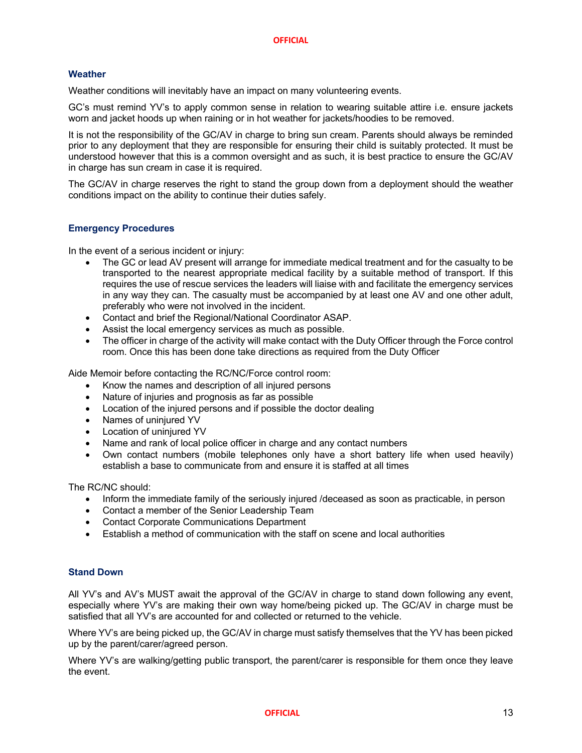## **Weather**

Weather conditions will inevitably have an impact on many volunteering events.

GC's must remind YV's to apply common sense in relation to wearing suitable attire i.e. ensure jackets worn and jacket hoods up when raining or in hot weather for jackets/hoodies to be removed.

It is not the responsibility of the GC/AV in charge to bring sun cream. Parents should always be reminded prior to any deployment that they are responsible for ensuring their child is suitably protected. It must be understood however that this is a common oversight and as such, it is best practice to ensure the GC/AV in charge has sun cream in case it is required.

The GC/AV in charge reserves the right to stand the group down from a deployment should the weather conditions impact on the ability to continue their duties safely.

## **Emergency Procedures**

In the event of a serious incident or injury:

- The GC or lead AV present will arrange for immediate medical treatment and for the casualty to be transported to the nearest appropriate medical facility by a suitable method of transport. If this requires the use of rescue services the leaders will liaise with and facilitate the emergency services in any way they can. The casualty must be accompanied by at least one AV and one other adult, preferably who were not involved in the incident.
- Contact and brief the Regional/National Coordinator ASAP.
- Assist the local emergency services as much as possible.
- The officer in charge of the activity will make contact with the Duty Officer through the Force control room. Once this has been done take directions as required from the Duty Officer

Aide Memoir before contacting the RC/NC/Force control room:

- Know the names and description of all injured persons
- Nature of injuries and prognosis as far as possible
- Location of the injured persons and if possible the doctor dealing
- Names of uninjured YV
- Location of uninjured YV
- Name and rank of local police officer in charge and any contact numbers
- Own contact numbers (mobile telephones only have a short battery life when used heavily) establish a base to communicate from and ensure it is staffed at all times

The RC/NC should:

- Inform the immediate family of the seriously injured /deceased as soon as practicable, in person
- Contact a member of the Senior Leadership Team
- Contact Corporate Communications Department
- Establish a method of communication with the staff on scene and local authorities

## **Stand Down**

All YV's and AV's MUST await the approval of the GC/AV in charge to stand down following any event, especially where YV's are making their own way home/being picked up. The GC/AV in charge must be satisfied that all YV's are accounted for and collected or returned to the vehicle.

Where YV's are being picked up, the GC/AV in charge must satisfy themselves that the YV has been picked up by the parent/carer/agreed person.

Where YV's are walking/getting public transport, the parent/carer is responsible for them once they leave the event.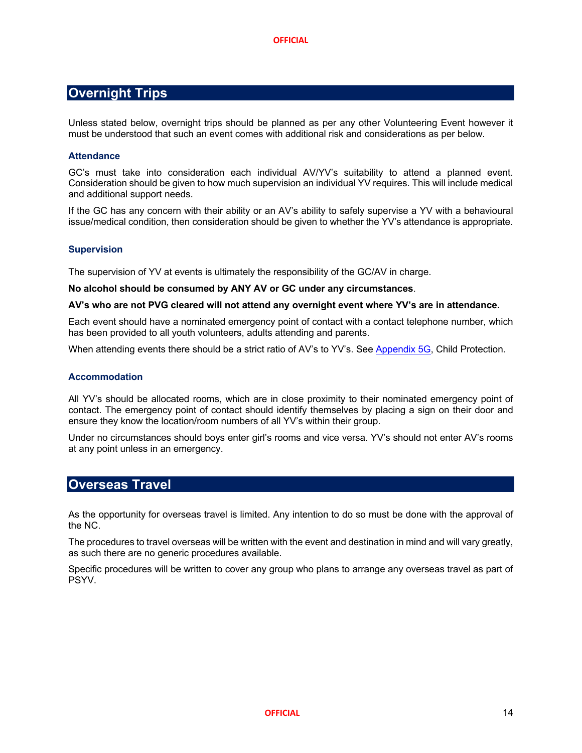## **Overnight Trips**

Unless stated below, overnight trips should be planned as per any other Volunteering Event however it must be understood that such an event comes with additional risk and considerations as per below.

## **Attendance**

GC's must take into consideration each individual AV/YV's suitability to attend a planned event. Consideration should be given to how much supervision an individual YV requires. This will include medical and additional support needs.

If the GC has any concern with their ability or an AV's ability to safely supervise a YV with a behavioural issue/medical condition, then consideration should be given to whether the YV's attendance is appropriate.

## **Supervision**

The supervision of YV at events is ultimately the responsibility of the GC/AV in charge.

## **No alcohol should be consumed by ANY AV or GC under any circumstances**.

## **AV's who are not PVG cleared will not attend any overnight event where YV's are in attendance.**

Each event should have a nominated emergency point of contact with a contact telephone number, which has been provided to all youth volunteers, adults attending and parents.

When attending events there should be a strict ratio of AV's to YV's. See Appendix 5G, Child Protection.

## **Accommodation**

All YV's should be allocated rooms, which are in close proximity to their nominated emergency point of contact. The emergency point of contact should identify themselves by placing a sign on their door and ensure they know the location/room numbers of all YV's within their group.

Under no circumstances should boys enter girl's rooms and vice versa. YV's should not enter AV's rooms at any point unless in an emergency.

## **Overseas Travel**

As the opportunity for overseas travel is limited. Any intention to do so must be done with the approval of the NC.

The procedures to travel overseas will be written with the event and destination in mind and will vary greatly, as such there are no generic procedures available.

Specific procedures will be written to cover any group who plans to arrange any overseas travel as part of PSYV.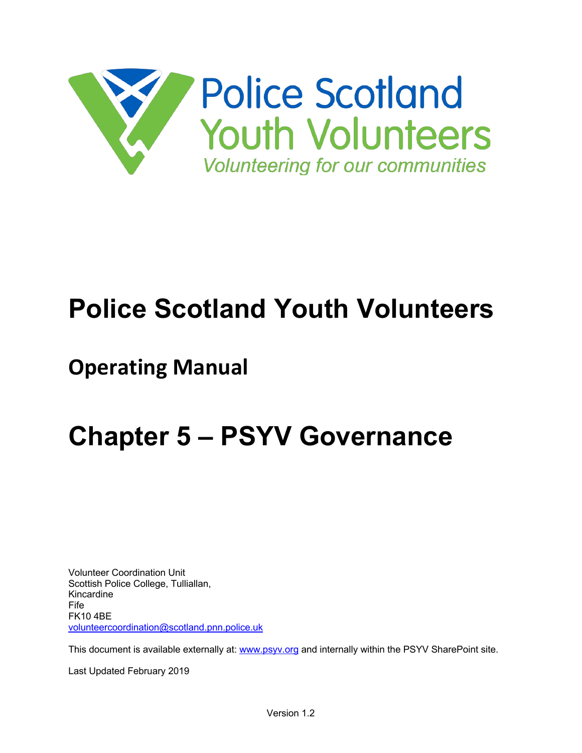

# **Police Scotland Youth Volunteers**

# **Operating Manual**

# **Chapter 5 – PSYV Governance**

Volunteer Coordination Unit Scottish Police College, Tulliallan, Kincardine Fife FK10 4BE volunteercoordination@scotland.pnn.police.uk

This document is available externally at: www.psyv.org and internally within the PSYV SharePoint site.

Last Updated February 2019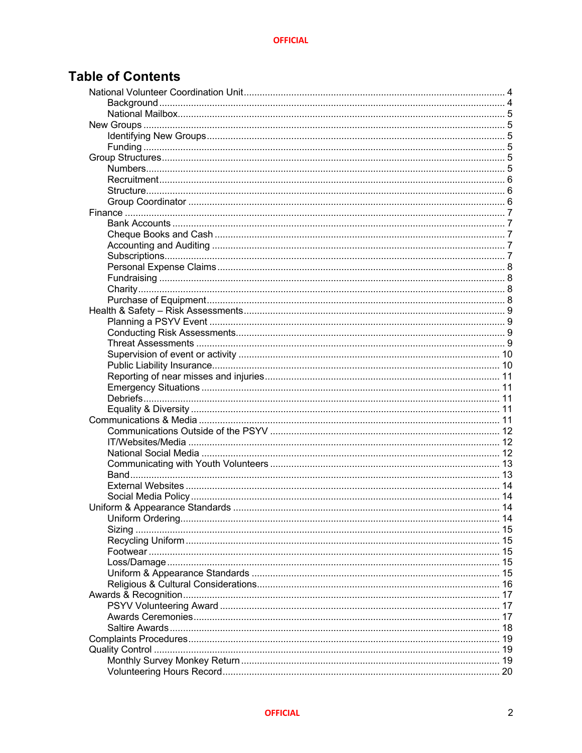## **Table of Contents**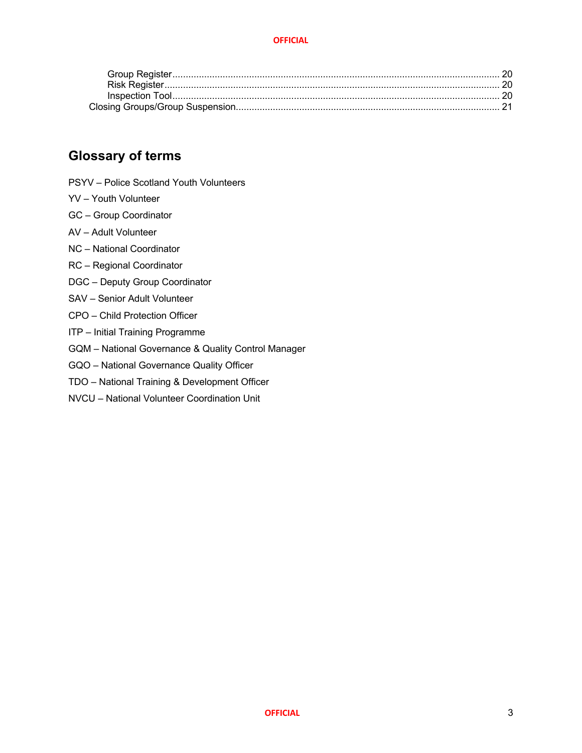## **Glossary of terms**

- PSYV Police Scotland Youth Volunteers
- YV Youth Volunteer
- GC Group Coordinator
- AV Adult Volunteer
- NC National Coordinator
- RC Regional Coordinator
- DGC Deputy Group Coordinator
- SAV Senior Adult Volunteer
- CPO Child Protection Officer
- ITP Initial Training Programme
- GQM National Governance & Quality Control Manager
- GQO National Governance Quality Officer
- TDO National Training & Development Officer
- NVCU National Volunteer Coordination Unit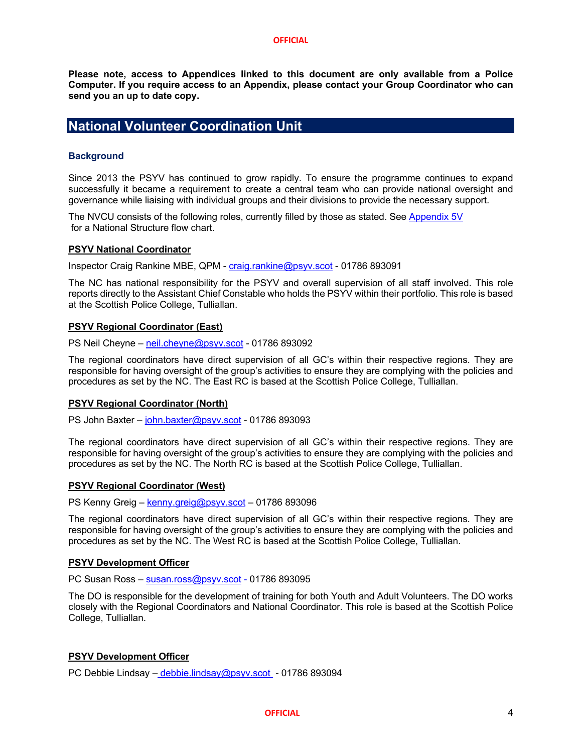**Please note, access to Appendices linked to this document are only available from a Police Computer. If you require access to an Appendix, please contact your Group Coordinator who can send you an up to date copy.**

## **National Volunteer Coordination Unit**

## **Background**

Since 2013 the PSYV has continued to grow rapidly. To ensure the programme continues to expand successfully it became a requirement to create a central team who can provide national oversight and governance while liaising with individual groups and their divisions to provide the necessary support.

The NVCU consists of the following roles, currently filled by those as stated. See Appendix 5V for a National Structure flow chart.

## **PSYV National Coordinator**

Inspector Craig Rankine MBE, QPM - craig.rankine@psyv.scot - 01786 893091

The NC has national responsibility for the PSYV and overall supervision of all staff involved. This role reports directly to the Assistant Chief Constable who holds the PSYV within their portfolio. This role is based at the Scottish Police College, Tulliallan.

## **PSYV Regional Coordinator (East)**

PS Neil Cheyne – neil.cheyne@psyv.scot - 01786 893092

The regional coordinators have direct supervision of all GC's within their respective regions. They are responsible for having oversight of the group's activities to ensure they are complying with the policies and procedures as set by the NC. The East RC is based at the Scottish Police College, Tulliallan.

## **PSYV Regional Coordinator (North)**

PS John Baxter – john.baxter@psyv.scot - 01786 893093

The regional coordinators have direct supervision of all GC's within their respective regions. They are responsible for having oversight of the group's activities to ensure they are complying with the policies and procedures as set by the NC. The North RC is based at the Scottish Police College, Tulliallan.

## **PSYV Regional Coordinator (West)**

PS Kenny Greig – kenny.greig@psyv.scot – 01786 893096

The regional coordinators have direct supervision of all GC's within their respective regions. They are responsible for having oversight of the group's activities to ensure they are complying with the policies and procedures as set by the NC. The West RC is based at the Scottish Police College, Tulliallan.

## **PSYV Development Officer**

PC Susan Ross – susan.ross@psyv.scot - 01786 893095

The DO is responsible for the development of training for both Youth and Adult Volunteers. The DO works closely with the Regional Coordinators and National Coordinator. This role is based at the Scottish Police College, Tulliallan.

## **PSYV Development Officer**

PC Debbie Lindsay – debbie.lindsay@psyv.scot - 01786 893094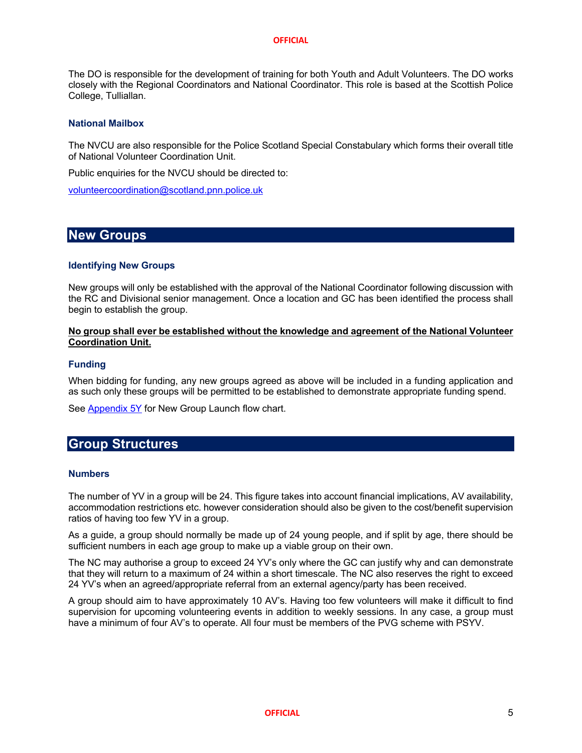The DO is responsible for the development of training for both Youth and Adult Volunteers. The DO works closely with the Regional Coordinators and National Coordinator. This role is based at the Scottish Police College, Tulliallan.

## **National Mailbox**

The NVCU are also responsible for the Police Scotland Special Constabulary which forms their overall title of National Volunteer Coordination Unit.

Public enquiries for the NVCU should be directed to:

volunteercoordination@scotland.pnn.police.uk

## **New Groups**

## **Identifying New Groups**

New groups will only be established with the approval of the National Coordinator following discussion with the RC and Divisional senior management. Once a location and GC has been identified the process shall begin to establish the group.

## **No group shall ever be established without the knowledge and agreement of the National Volunteer Coordination Unit.**

## **Funding**

When bidding for funding, any new groups agreed as above will be included in a funding application and as such only these groups will be permitted to be established to demonstrate appropriate funding spend.

See Appendix 5Y for New Group Launch flow chart.

## **Group Structures**

## **Numbers**

The number of YV in a group will be 24. This figure takes into account financial implications, AV availability, accommodation restrictions etc. however consideration should also be given to the cost/benefit supervision ratios of having too few YV in a group.

As a guide, a group should normally be made up of 24 young people, and if split by age, there should be sufficient numbers in each age group to make up a viable group on their own.

The NC may authorise a group to exceed 24 YV's only where the GC can justify why and can demonstrate that they will return to a maximum of 24 within a short timescale. The NC also reserves the right to exceed 24 YV's when an agreed/appropriate referral from an external agency/party has been received.

A group should aim to have approximately 10 AV's. Having too few volunteers will make it difficult to find supervision for upcoming volunteering events in addition to weekly sessions. In any case, a group must have a minimum of four AV's to operate. All four must be members of the PVG scheme with PSYV.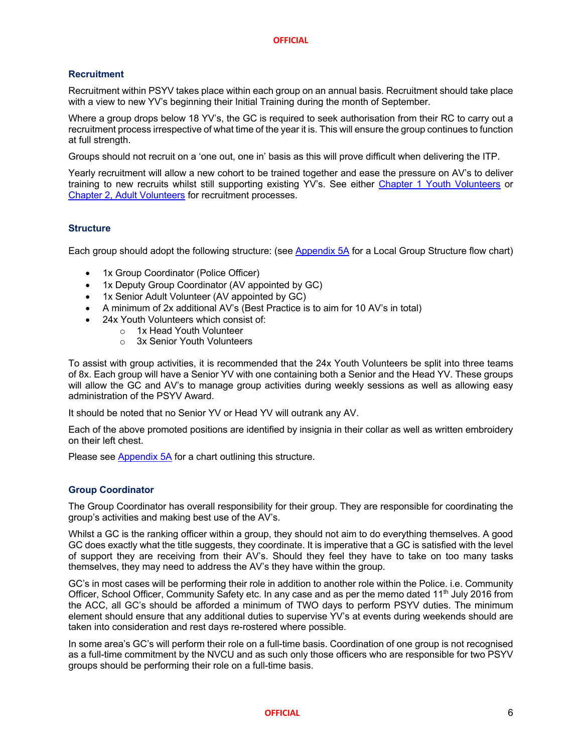## **Recruitment**

Recruitment within PSYV takes place within each group on an annual basis. Recruitment should take place with a view to new YV's beginning their Initial Training during the month of September.

Where a group drops below 18 YV's, the GC is required to seek authorisation from their RC to carry out a recruitment process irrespective of what time of the year it is. This will ensure the group continues to function at full strength.

Groups should not recruit on a 'one out, one in' basis as this will prove difficult when delivering the ITP.

Yearly recruitment will allow a new cohort to be trained together and ease the pressure on AV's to deliver training to new recruits whilst still supporting existing YV's. See either Chapter 1 Youth Volunteers or Chapter 2, Adult Volunteers for recruitment processes.

## **Structure**

Each group should adopt the following structure: (see Appendix 5A for a Local Group Structure flow chart)

- 1x Group Coordinator (Police Officer)
- 1x Deputy Group Coordinator (AV appointed by GC)
- 1x Senior Adult Volunteer (AV appointed by GC)
- A minimum of 2x additional AV's (Best Practice is to aim for 10 AV's in total)
- 24x Youth Volunteers which consist of:
	- o 1x Head Youth Volunteer
	- o 3x Senior Youth Volunteers

To assist with group activities, it is recommended that the 24x Youth Volunteers be split into three teams of 8x. Each group will have a Senior YV with one containing both a Senior and the Head YV. These groups will allow the GC and AV's to manage group activities during weekly sessions as well as allowing easy administration of the PSYV Award.

It should be noted that no Senior YV or Head YV will outrank any AV.

Each of the above promoted positions are identified by insignia in their collar as well as written embroidery on their left chest.

Please see Appendix 5A for a chart outlining this structure.

## **Group Coordinator**

The Group Coordinator has overall responsibility for their group. They are responsible for coordinating the group's activities and making best use of the AV's.

Whilst a GC is the ranking officer within a group, they should not aim to do everything themselves. A good GC does exactly what the title suggests, they coordinate. It is imperative that a GC is satisfied with the level of support they are receiving from their AV's. Should they feel they have to take on too many tasks themselves, they may need to address the AV's they have within the group.

GC's in most cases will be performing their role in addition to another role within the Police. i.e. Community Officer, School Officer, Community Safety etc. In any case and as per the memo dated 11<sup>th</sup> July 2016 from the ACC, all GC's should be afforded a minimum of TWO days to perform PSYV duties. The minimum element should ensure that any additional duties to supervise YV's at events during weekends should are taken into consideration and rest days re-rostered where possible.

In some area's GC's will perform their role on a full-time basis. Coordination of one group is not recognised as a full-time commitment by the NVCU and as such only those officers who are responsible for two PSYV groups should be performing their role on a full-time basis.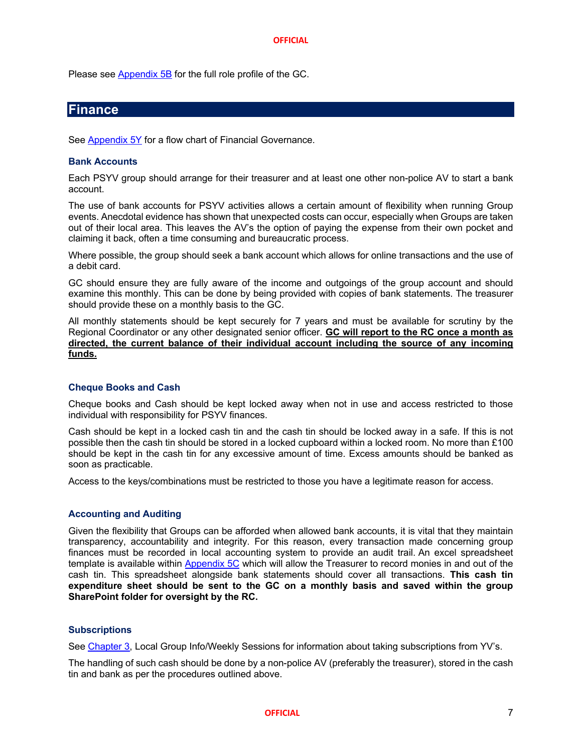Please see **Appendix 5B** for the full role profile of the GC.

## **Finance**

See Appendix 5Y for a flow chart of Financial Governance.

## **Bank Accounts**

Each PSYV group should arrange for their treasurer and at least one other non-police AV to start a bank account.

The use of bank accounts for PSYV activities allows a certain amount of flexibility when running Group events. Anecdotal evidence has shown that unexpected costs can occur, especially when Groups are taken out of their local area. This leaves the AV's the option of paying the expense from their own pocket and claiming it back, often a time consuming and bureaucratic process.

Where possible, the group should seek a bank account which allows for online transactions and the use of a debit card.

GC should ensure they are fully aware of the income and outgoings of the group account and should examine this monthly. This can be done by being provided with copies of bank statements. The treasurer should provide these on a monthly basis to the GC.

All monthly statements should be kept securely for 7 years and must be available for scrutiny by the Regional Coordinator or any other designated senior officer. **GC will report to the RC once a month as directed, the current balance of their individual account including the source of any incoming**  funds.

## **Cheque Books and Cash**

Cheque books and Cash should be kept locked away when not in use and access restricted to those individual with responsibility for PSYV finances.

Cash should be kept in a locked cash tin and the cash tin should be locked away in a safe. If this is not possible then the cash tin should be stored in a locked cupboard within a locked room. No more than £100 should be kept in the cash tin for any excessive amount of time. Excess amounts should be banked as soon as practicable.

Access to the keys/combinations must be restricted to those you have a legitimate reason for access.

## **Accounting and Auditing**

Given the flexibility that Groups can be afforded when allowed bank accounts, it is vital that they maintain transparency, accountability and integrity. For this reason, every transaction made concerning group finances must be recorded in local accounting system to provide an audit trail. An excel spreadsheet template is available within Appendix 5C which will allow the Treasurer to record monies in and out of the cash tin. This spreadsheet alongside bank statements should cover all transactions. **This cash tin expenditure sheet should be sent to the GC on a monthly basis and saved within the group SharePoint folder for oversight by the RC.**

## **Subscriptions**

See Chapter 3, Local Group Info/Weekly Sessions for information about taking subscriptions from YV's.

The handling of such cash should be done by a non-police AV (preferably the treasurer), stored in the cash tin and bank as per the procedures outlined above.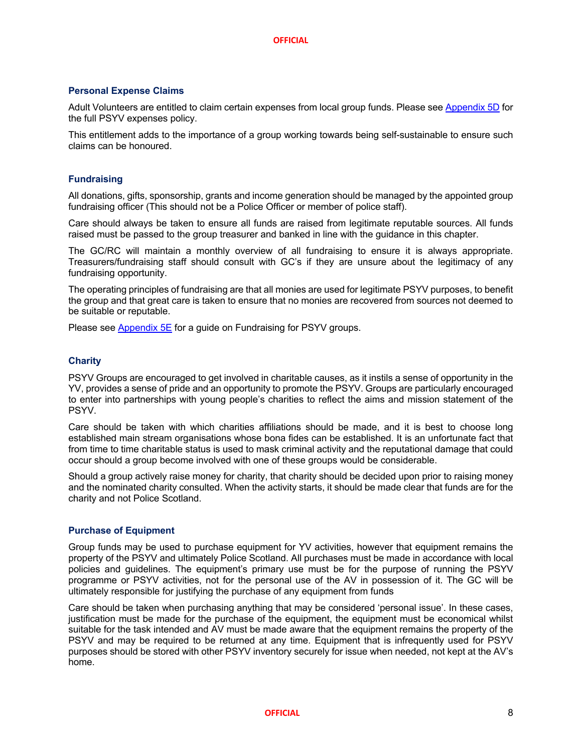## **Personal Expense Claims**

Adult Volunteers are entitled to claim certain expenses from local group funds. Please see Appendix 5D for the full PSYV expenses policy.

This entitlement adds to the importance of a group working towards being self-sustainable to ensure such claims can be honoured.

## **Fundraising**

All donations, gifts, sponsorship, grants and income generation should be managed by the appointed group fundraising officer (This should not be a Police Officer or member of police staff).

Care should always be taken to ensure all funds are raised from legitimate reputable sources. All funds raised must be passed to the group treasurer and banked in line with the guidance in this chapter.

The GC/RC will maintain a monthly overview of all fundraising to ensure it is always appropriate. Treasurers/fundraising staff should consult with GC's if they are unsure about the legitimacy of any fundraising opportunity.

The operating principles of fundraising are that all monies are used for legitimate PSYV purposes, to benefit the group and that great care is taken to ensure that no monies are recovered from sources not deemed to be suitable or reputable.

Please see Appendix 5E for a guide on Fundraising for PSYV groups.

## **Charity**

PSYV Groups are encouraged to get involved in charitable causes, as it instils a sense of opportunity in the YV, provides a sense of pride and an opportunity to promote the PSYV. Groups are particularly encouraged to enter into partnerships with young people's charities to reflect the aims and mission statement of the **PSYV.** 

Care should be taken with which charities affiliations should be made, and it is best to choose long established main stream organisations whose bona fides can be established. It is an unfortunate fact that from time to time charitable status is used to mask criminal activity and the reputational damage that could occur should a group become involved with one of these groups would be considerable.

Should a group actively raise money for charity, that charity should be decided upon prior to raising money and the nominated charity consulted. When the activity starts, it should be made clear that funds are for the charity and not Police Scotland.

## **Purchase of Equipment**

Group funds may be used to purchase equipment for YV activities, however that equipment remains the property of the PSYV and ultimately Police Scotland. All purchases must be made in accordance with local policies and guidelines. The equipment's primary use must be for the purpose of running the PSYV programme or PSYV activities, not for the personal use of the AV in possession of it. The GC will be ultimately responsible for justifying the purchase of any equipment from funds

Care should be taken when purchasing anything that may be considered 'personal issue'. In these cases, justification must be made for the purchase of the equipment, the equipment must be economical whilst suitable for the task intended and AV must be made aware that the equipment remains the property of the PSYV and may be required to be returned at any time. Equipment that is infrequently used for PSYV purposes should be stored with other PSYV inventory securely for issue when needed, not kept at the AV's home.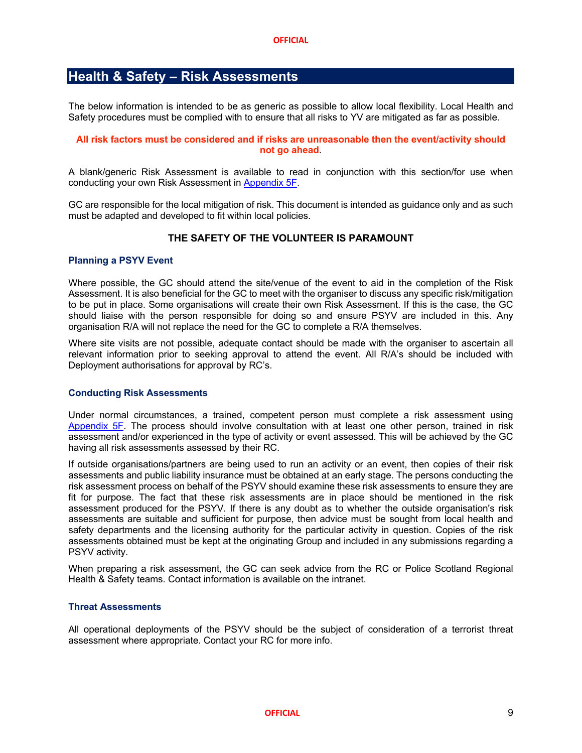## **Health & Safety – Risk Assessments**

The below information is intended to be as generic as possible to allow local flexibility. Local Health and Safety procedures must be complied with to ensure that all risks to YV are mitigated as far as possible.

## **All risk factors must be considered and if risks are unreasonable then the event/activity should not go ahead**.

A blank/generic Risk Assessment is available to read in conjunction with this section/for use when conducting your own Risk Assessment in Appendix 5F.

GC are responsible for the local mitigation of risk. This document is intended as guidance only and as such must be adapted and developed to fit within local policies.

## **THE SAFETY OF THE VOLUNTEER IS PARAMOUNT**

## **Planning a PSYV Event**

Where possible, the GC should attend the site/venue of the event to aid in the completion of the Risk Assessment. It is also beneficial for the GC to meet with the organiser to discuss any specific risk/mitigation to be put in place. Some organisations will create their own Risk Assessment. If this is the case, the GC should liaise with the person responsible for doing so and ensure PSYV are included in this. Any organisation R/A will not replace the need for the GC to complete a R/A themselves.

Where site visits are not possible, adequate contact should be made with the organiser to ascertain all relevant information prior to seeking approval to attend the event. All R/A's should be included with Deployment authorisations for approval by RC's.

## **Conducting Risk Assessments**

Under normal circumstances, a trained, competent person must complete a risk assessment using Appendix 5F. The process should involve consultation with at least one other person, trained in risk assessment and/or experienced in the type of activity or event assessed. This will be achieved by the GC having all risk assessments assessed by their RC.

If outside organisations/partners are being used to run an activity or an event, then copies of their risk assessments and public liability insurance must be obtained at an early stage. The persons conducting the risk assessment process on behalf of the PSYV should examine these risk assessments to ensure they are fit for purpose. The fact that these risk assessments are in place should be mentioned in the risk assessment produced for the PSYV. If there is any doubt as to whether the outside organisation's risk assessments are suitable and sufficient for purpose, then advice must be sought from local health and safety departments and the licensing authority for the particular activity in question. Copies of the risk assessments obtained must be kept at the originating Group and included in any submissions regarding a PSYV activity.

When preparing a risk assessment, the GC can seek advice from the RC or Police Scotland Regional Health & Safety teams. Contact information is available on the intranet.

## **Threat Assessments**

All operational deployments of the PSYV should be the subject of consideration of a terrorist threat assessment where appropriate. Contact your RC for more info.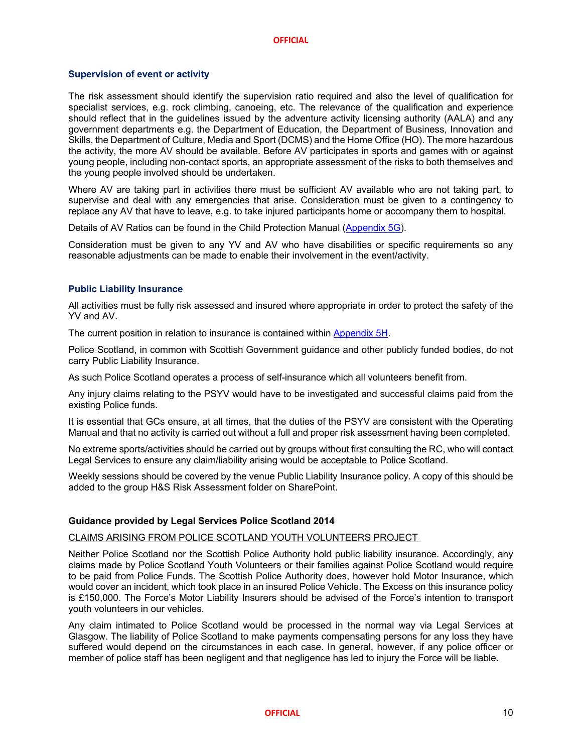## **Supervision of event or activity**

The risk assessment should identify the supervision ratio required and also the level of qualification for specialist services, e.g. rock climbing, canoeing, etc. The relevance of the qualification and experience should reflect that in the guidelines issued by the adventure activity licensing authority (AALA) and any government departments e.g. the Department of Education, the Department of Business, Innovation and Skills, the Department of Culture, Media and Sport (DCMS) and the Home Office (HO). The more hazardous the activity, the more AV should be available. Before AV participates in sports and games with or against young people, including non-contact sports, an appropriate assessment of the risks to both themselves and the young people involved should be undertaken.

Where AV are taking part in activities there must be sufficient AV available who are not taking part, to supervise and deal with any emergencies that arise. Consideration must be given to a contingency to replace any AV that have to leave, e.g. to take injured participants home or accompany them to hospital.

Details of AV Ratios can be found in the Child Protection Manual (Appendix 5G).

Consideration must be given to any YV and AV who have disabilities or specific requirements so any reasonable adjustments can be made to enable their involvement in the event/activity.

## **Public Liability Insurance**

All activities must be fully risk assessed and insured where appropriate in order to protect the safety of the YV and AV

The current position in relation to insurance is contained within Appendix 5H.

Police Scotland, in common with Scottish Government guidance and other publicly funded bodies, do not carry Public Liability Insurance.

As such Police Scotland operates a process of self-insurance which all volunteers benefit from.

Any injury claims relating to the PSYV would have to be investigated and successful claims paid from the existing Police funds.

It is essential that GCs ensure, at all times, that the duties of the PSYV are consistent with the Operating Manual and that no activity is carried out without a full and proper risk assessment having been completed.

No extreme sports/activities should be carried out by groups without first consulting the RC, who will contact Legal Services to ensure any claim/liability arising would be acceptable to Police Scotland.

Weekly sessions should be covered by the venue Public Liability Insurance policy. A copy of this should be added to the group H&S Risk Assessment folder on SharePoint.

## **Guidance provided by Legal Services Police Scotland 2014**

## CLAIMS ARISING FROM POLICE SCOTLAND YOUTH VOLUNTEERS PROJECT

Neither Police Scotland nor the Scottish Police Authority hold public liability insurance. Accordingly, any claims made by Police Scotland Youth Volunteers or their families against Police Scotland would require to be paid from Police Funds. The Scottish Police Authority does, however hold Motor Insurance, which would cover an incident, which took place in an insured Police Vehicle. The Excess on this insurance policy is £150,000. The Force's Motor Liability Insurers should be advised of the Force's intention to transport youth volunteers in our vehicles.

Any claim intimated to Police Scotland would be processed in the normal way via Legal Services at Glasgow. The liability of Police Scotland to make payments compensating persons for any loss they have suffered would depend on the circumstances in each case. In general, however, if any police officer or member of police staff has been negligent and that negligence has led to injury the Force will be liable.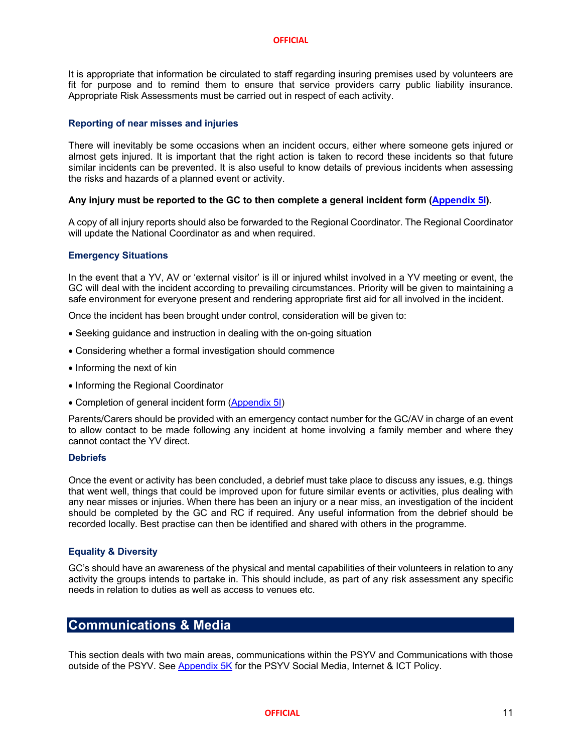It is appropriate that information be circulated to staff regarding insuring premises used by volunteers are fit for purpose and to remind them to ensure that service providers carry public liability insurance. Appropriate Risk Assessments must be carried out in respect of each activity.

## **Reporting of near misses and injuries**

There will inevitably be some occasions when an incident occurs, either where someone gets injured or almost gets injured. It is important that the right action is taken to record these incidents so that future similar incidents can be prevented. It is also useful to know details of previous incidents when assessing the risks and hazards of a planned event or activity.

## **Any injury must be reported to the GC to then complete a general incident form (Appendix 5I).**

A copy of all injury reports should also be forwarded to the Regional Coordinator. The Regional Coordinator will update the National Coordinator as and when required.

## **Emergency Situations**

In the event that a YV, AV or 'external visitor' is ill or injured whilst involved in a YV meeting or event, the GC will deal with the incident according to prevailing circumstances. Priority will be given to maintaining a safe environment for everyone present and rendering appropriate first aid for all involved in the incident.

Once the incident has been brought under control, consideration will be given to:

- Seeking guidance and instruction in dealing with the on-going situation
- Considering whether a formal investigation should commence
- Informing the next of kin
- Informing the Regional Coordinator
- Completion of general incident form (Appendix 5I)

Parents/Carers should be provided with an emergency contact number for the GC/AV in charge of an event to allow contact to be made following any incident at home involving a family member and where they cannot contact the YV direct.

## **Debriefs**

Once the event or activity has been concluded, a debrief must take place to discuss any issues, e.g. things that went well, things that could be improved upon for future similar events or activities, plus dealing with any near misses or injuries. When there has been an injury or a near miss, an investigation of the incident should be completed by the GC and RC if required. Any useful information from the debrief should be recorded locally. Best practise can then be identified and shared with others in the programme.

## **Equality & Diversity**

GC's should have an awareness of the physical and mental capabilities of their volunteers in relation to any activity the groups intends to partake in. This should include, as part of any risk assessment any specific needs in relation to duties as well as access to venues etc.

## **Communications & Media**

This section deals with two main areas, communications within the PSYV and Communications with those outside of the PSYV. See Appendix 5K for the PSYV Social Media, Internet & ICT Policy.

## **OFFICIAL** 11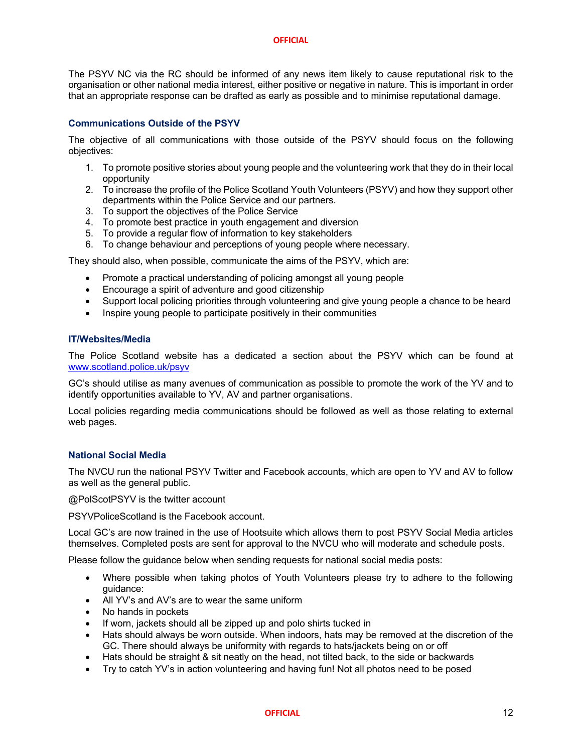The PSYV NC via the RC should be informed of any news item likely to cause reputational risk to the organisation or other national media interest, either positive or negative in nature. This is important in order that an appropriate response can be drafted as early as possible and to minimise reputational damage.

## **Communications Outside of the PSYV**

The objective of all communications with those outside of the PSYV should focus on the following objectives:

- 1. To promote positive stories about young people and the volunteering work that they do in their local opportunity
- 2. To increase the profile of the Police Scotland Youth Volunteers (PSYV) and how they support other departments within the Police Service and our partners.
- 3. To support the objectives of the Police Service
- 4. To promote best practice in youth engagement and diversion
- 5. To provide a regular flow of information to key stakeholders
- 6. To change behaviour and perceptions of young people where necessary.

They should also, when possible, communicate the aims of the PSYV, which are:

- Promote a practical understanding of policing amongst all young people
- Encourage a spirit of adventure and good citizenship
- Support local policing priorities through volunteering and give young people a chance to be heard
- Inspire young people to participate positively in their communities

## **IT/Websites/Media**

The Police Scotland website has a dedicated a section about the PSYV which can be found at www.scotland.police.uk/psyv

GC's should utilise as many avenues of communication as possible to promote the work of the YV and to identify opportunities available to YV, AV and partner organisations.

Local policies regarding media communications should be followed as well as those relating to external web pages.

## **National Social Media**

The NVCU run the national PSYV Twitter and Facebook accounts, which are open to YV and AV to follow as well as the general public.

@PolScotPSYV is the twitter account

PSYVPoliceScotland is the Facebook account.

Local GC's are now trained in the use of Hootsuite which allows them to post PSYV Social Media articles themselves. Completed posts are sent for approval to the NVCU who will moderate and schedule posts.

Please follow the guidance below when sending requests for national social media posts:

- Where possible when taking photos of Youth Volunteers please try to adhere to the following guidance:
- All YV's and AV's are to wear the same uniform
- No hands in pockets
- If worn, jackets should all be zipped up and polo shirts tucked in
- Hats should always be worn outside. When indoors, hats may be removed at the discretion of the GC. There should always be uniformity with regards to hats/jackets being on or off
- Hats should be straight & sit neatly on the head, not tilted back, to the side or backwards
- Try to catch YV's in action volunteering and having fun! Not all photos need to be posed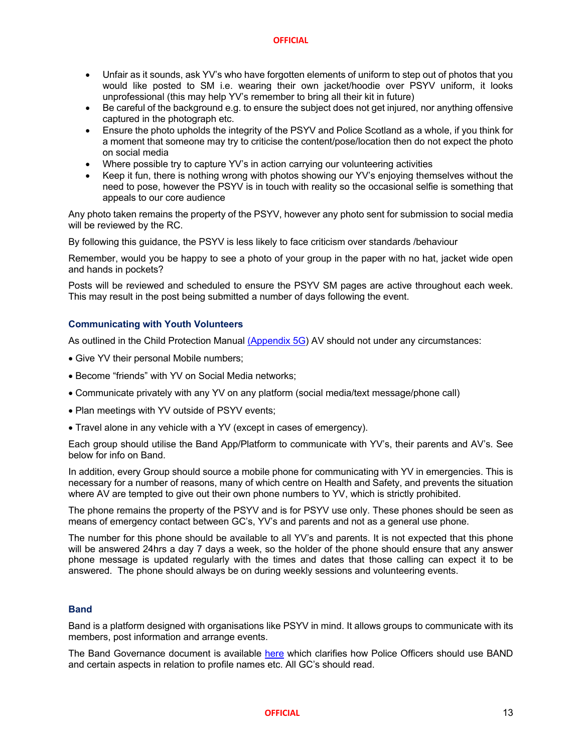- Unfair as it sounds, ask YV's who have forgotten elements of uniform to step out of photos that you would like posted to SM i.e. wearing their own jacket/hoodie over PSYV uniform, it looks unprofessional (this may help YV's remember to bring all their kit in future)
- Be careful of the background e.g. to ensure the subject does not get injured, nor anything offensive captured in the photograph etc.
- Ensure the photo upholds the integrity of the PSYV and Police Scotland as a whole, if you think for a moment that someone may try to criticise the content/pose/location then do not expect the photo on social media
- Where possible try to capture YV's in action carrying our volunteering activities
- Keep it fun, there is nothing wrong with photos showing our YV's enjoying themselves without the need to pose, however the PSYV is in touch with reality so the occasional selfie is something that appeals to our core audience

Any photo taken remains the property of the PSYV, however any photo sent for submission to social media will be reviewed by the RC.

By following this guidance, the PSYV is less likely to face criticism over standards /behaviour

Remember, would you be happy to see a photo of your group in the paper with no hat, jacket wide open and hands in pockets?

Posts will be reviewed and scheduled to ensure the PSYV SM pages are active throughout each week. This may result in the post being submitted a number of days following the event.

## **Communicating with Youth Volunteers**

As outlined in the Child Protection Manual (Appendix 5G) AV should not under any circumstances:

- Give YV their personal Mobile numbers;
- Become "friends" with YV on Social Media networks;
- Communicate privately with any YV on any platform (social media/text message/phone call)
- Plan meetings with YV outside of PSYV events;
- Travel alone in any vehicle with a YV (except in cases of emergency).

Each group should utilise the Band App/Platform to communicate with YV's, their parents and AV's. See below for info on Band.

In addition, every Group should source a mobile phone for communicating with YV in emergencies. This is necessary for a number of reasons, many of which centre on Health and Safety, and prevents the situation where AV are tempted to give out their own phone numbers to YV, which is strictly prohibited.

The phone remains the property of the PSYV and is for PSYV use only. These phones should be seen as means of emergency contact between GC's, YV's and parents and not as a general use phone.

The number for this phone should be available to all YV's and parents. It is not expected that this phone will be answered 24hrs a day 7 days a week, so the holder of the phone should ensure that any answer phone message is updated regularly with the times and dates that those calling can expect it to be answered. The phone should always be on during weekly sessions and volunteering events.

## **Band**

Band is a platform designed with organisations like PSYV in mind. It allows groups to communicate with its members, post information and arrange events.

The Band Governance document is available here which clarifies how Police Officers should use BAND and certain aspects in relation to profile names etc. All GC's should read.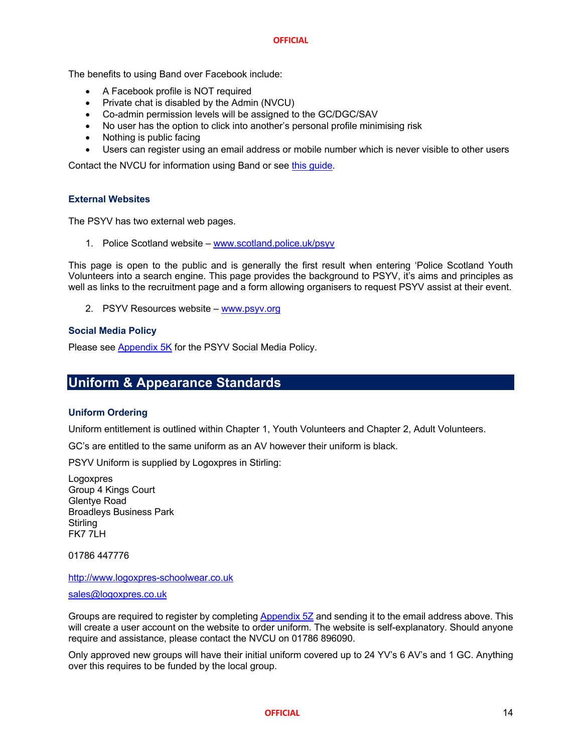The benefits to using Band over Facebook include:

- A Facebook profile is NOT required
- Private chat is disabled by the Admin (NVCU)
- Co-admin permission levels will be assigned to the GC/DGC/SAV
- No user has the option to click into another's personal profile minimising risk
- Nothing is public facing
- Users can register using an email address or mobile number which is never visible to other users

Contact the NVCU for information using Band or see this guide.

## **External Websites**

The PSYV has two external web pages.

1. Police Scotland website – www.scotland.police.uk/psyv

This page is open to the public and is generally the first result when entering 'Police Scotland Youth Volunteers into a search engine. This page provides the background to PSYV, it's aims and principles as well as links to the recruitment page and a form allowing organisers to request PSYV assist at their event.

2. PSYV Resources website – www.psyv.org

## **Social Media Policy**

Please see Appendix 5K for the PSYV Social Media Policy.

## **Uniform & Appearance Standards**

## **Uniform Ordering**

Uniform entitlement is outlined within Chapter 1, Youth Volunteers and Chapter 2, Adult Volunteers.

GC's are entitled to the same uniform as an AV however their uniform is black.

PSYV Uniform is supplied by Logoxpres in Stirling:

Logoxpres Group 4 Kings Court Glentye Road Broadleys Business Park **Stirling** FK7 7LH

01786 447776

http://www.logoxpres-schoolwear.co.uk

## sales@logoxpres.co.uk

Groups are required to register by completing Appendix 5Z and sending it to the email address above. This will create a user account on the website to order uniform. The website is self-explanatory. Should anyone require and assistance, please contact the NVCU on 01786 896090.

Only approved new groups will have their initial uniform covered up to 24 YV's 6 AV's and 1 GC. Anything over this requires to be funded by the local group.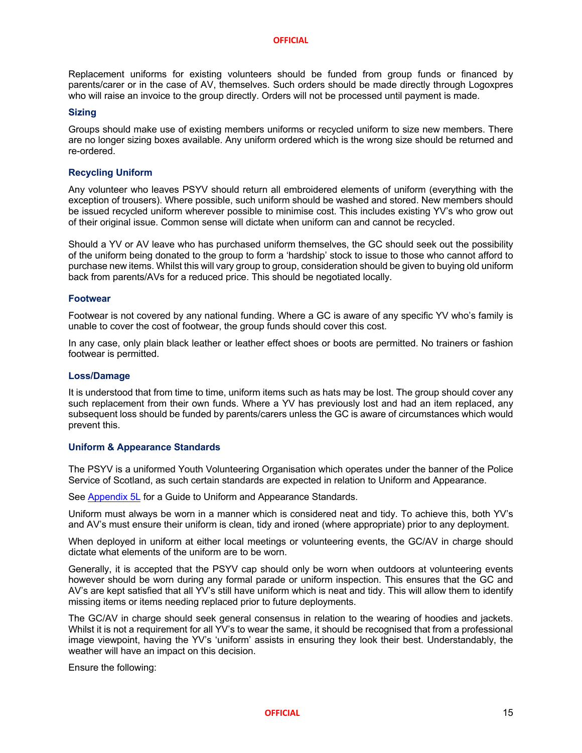Replacement uniforms for existing volunteers should be funded from group funds or financed by parents/carer or in the case of AV, themselves. Such orders should be made directly through Logoxpres who will raise an invoice to the group directly. Orders will not be processed until payment is made.

## **Sizing**

Groups should make use of existing members uniforms or recycled uniform to size new members. There are no longer sizing boxes available. Any uniform ordered which is the wrong size should be returned and re-ordered.

## **Recycling Uniform**

Any volunteer who leaves PSYV should return all embroidered elements of uniform (everything with the exception of trousers). Where possible, such uniform should be washed and stored. New members should be issued recycled uniform wherever possible to minimise cost. This includes existing YV's who grow out of their original issue. Common sense will dictate when uniform can and cannot be recycled.

Should a YV or AV leave who has purchased uniform themselves, the GC should seek out the possibility of the uniform being donated to the group to form a 'hardship' stock to issue to those who cannot afford to purchase new items. Whilst this will vary group to group, consideration should be given to buying old uniform back from parents/AVs for a reduced price. This should be negotiated locally.

## **Footwear**

Footwear is not covered by any national funding. Where a GC is aware of any specific YV who's family is unable to cover the cost of footwear, the group funds should cover this cost.

In any case, only plain black leather or leather effect shoes or boots are permitted. No trainers or fashion footwear is permitted.

## **Loss/Damage**

It is understood that from time to time, uniform items such as hats may be lost. The group should cover any such replacement from their own funds. Where a YV has previously lost and had an item replaced, any subsequent loss should be funded by parents/carers unless the GC is aware of circumstances which would prevent this.

## **Uniform & Appearance Standards**

The PSYV is a uniformed Youth Volunteering Organisation which operates under the banner of the Police Service of Scotland, as such certain standards are expected in relation to Uniform and Appearance.

See Appendix 5L for a Guide to Uniform and Appearance Standards.

Uniform must always be worn in a manner which is considered neat and tidy. To achieve this, both YV's and AV's must ensure their uniform is clean, tidy and ironed (where appropriate) prior to any deployment.

When deployed in uniform at either local meetings or volunteering events, the GC/AV in charge should dictate what elements of the uniform are to be worn.

Generally, it is accepted that the PSYV cap should only be worn when outdoors at volunteering events however should be worn during any formal parade or uniform inspection. This ensures that the GC and AV's are kept satisfied that all YV's still have uniform which is neat and tidy. This will allow them to identify missing items or items needing replaced prior to future deployments.

The GC/AV in charge should seek general consensus in relation to the wearing of hoodies and jackets. Whilst it is not a requirement for all YV's to wear the same, it should be recognised that from a professional image viewpoint, having the YV's 'uniform' assists in ensuring they look their best. Understandably, the weather will have an impact on this decision.

Ensure the following: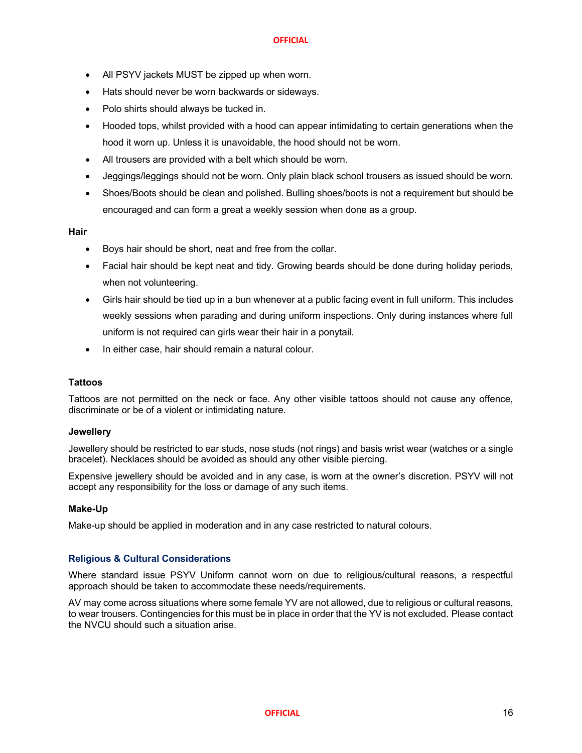- All PSYV jackets MUST be zipped up when worn.
- Hats should never be worn backwards or sideways.
- Polo shirts should always be tucked in.
- Hooded tops, whilst provided with a hood can appear intimidating to certain generations when the hood it worn up. Unless it is unavoidable, the hood should not be worn.
- All trousers are provided with a belt which should be worn.
- Jeggings/leggings should not be worn. Only plain black school trousers as issued should be worn.
- Shoes/Boots should be clean and polished. Bulling shoes/boots is not a requirement but should be encouraged and can form a great a weekly session when done as a group.

**Hair**

- Boys hair should be short, neat and free from the collar.
- Facial hair should be kept neat and tidy. Growing beards should be done during holiday periods, when not volunteering.
- Girls hair should be tied up in a bun whenever at a public facing event in full uniform. This includes weekly sessions when parading and during uniform inspections. Only during instances where full uniform is not required can girls wear their hair in a ponytail.
- In either case, hair should remain a natural colour.

## **Tattoos**

Tattoos are not permitted on the neck or face. Any other visible tattoos should not cause any offence, discriminate or be of a violent or intimidating nature.

## **Jewellery**

Jewellery should be restricted to ear studs, nose studs (not rings) and basis wrist wear (watches or a single bracelet). Necklaces should be avoided as should any other visible piercing.

Expensive jewellery should be avoided and in any case, is worn at the owner's discretion. PSYV will not accept any responsibility for the loss or damage of any such items.

## **Make-Up**

Make-up should be applied in moderation and in any case restricted to natural colours.

## **Religious & Cultural Considerations**

Where standard issue PSYV Uniform cannot worn on due to religious/cultural reasons, a respectful approach should be taken to accommodate these needs/requirements.

AV may come across situations where some female YV are not allowed, due to religious or cultural reasons, to wear trousers. Contingencies for this must be in place in order that the YV is not excluded. Please contact the NVCU should such a situation arise.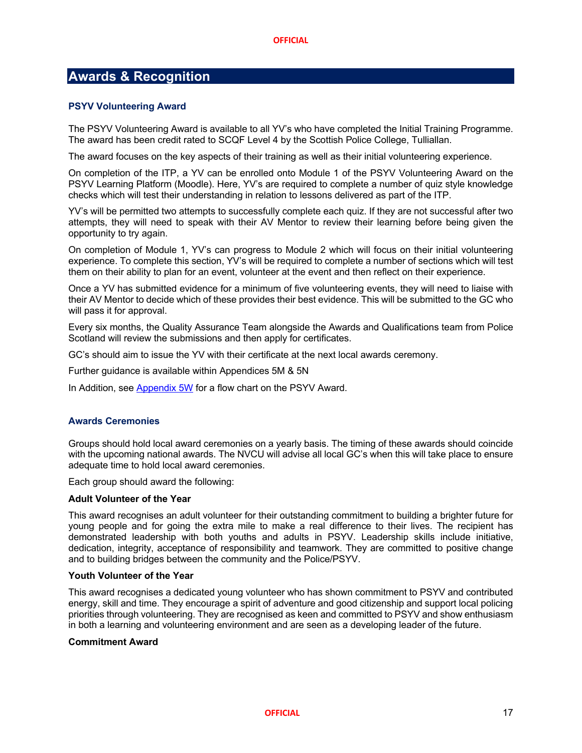## **Awards & Recognition**

## **PSYV Volunteering Award**

The PSYV Volunteering Award is available to all YV's who have completed the Initial Training Programme. The award has been credit rated to SCQF Level 4 by the Scottish Police College, Tulliallan.

The award focuses on the key aspects of their training as well as their initial volunteering experience.

On completion of the ITP, a YV can be enrolled onto Module 1 of the PSYV Volunteering Award on the PSYV Learning Platform (Moodle). Here, YV's are required to complete a number of quiz style knowledge checks which will test their understanding in relation to lessons delivered as part of the ITP.

YV's will be permitted two attempts to successfully complete each quiz. If they are not successful after two attempts, they will need to speak with their AV Mentor to review their learning before being given the opportunity to try again.

On completion of Module 1, YV's can progress to Module 2 which will focus on their initial volunteering experience. To complete this section, YV's will be required to complete a number of sections which will test them on their ability to plan for an event, volunteer at the event and then reflect on their experience.

Once a YV has submitted evidence for a minimum of five volunteering events, they will need to liaise with their AV Mentor to decide which of these provides their best evidence. This will be submitted to the GC who will pass it for approval.

Every six months, the Quality Assurance Team alongside the Awards and Qualifications team from Police Scotland will review the submissions and then apply for certificates.

GC's should aim to issue the YV with their certificate at the next local awards ceremony.

Further guidance is available within Appendices 5M & 5N

In Addition, see Appendix 5W for a flow chart on the PSYV Award.

## **Awards Ceremonies**

Groups should hold local award ceremonies on a yearly basis. The timing of these awards should coincide with the upcoming national awards. The NVCU will advise all local GC's when this will take place to ensure adequate time to hold local award ceremonies.

Each group should award the following:

## **Adult Volunteer of the Year**

This award recognises an adult volunteer for their outstanding commitment to building a brighter future for young people and for going the extra mile to make a real difference to their lives. The recipient has demonstrated leadership with both youths and adults in PSYV. Leadership skills include initiative, dedication, integrity, acceptance of responsibility and teamwork. They are committed to positive change and to building bridges between the community and the Police/PSYV.

## **Youth Volunteer of the Year**

This award recognises a dedicated young volunteer who has shown commitment to PSYV and contributed energy, skill and time. They encourage a spirit of adventure and good citizenship and support local policing priorities through volunteering. They are recognised as keen and committed to PSYV and show enthusiasm in both a learning and volunteering environment and are seen as a developing leader of the future.

## **Commitment Award**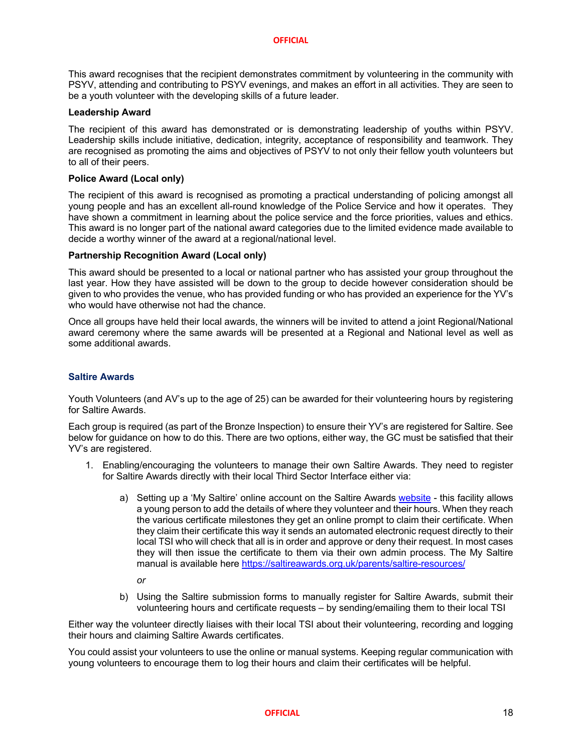This award recognises that the recipient demonstrates commitment by volunteering in the community with PSYV, attending and contributing to PSYV evenings, and makes an effort in all activities. They are seen to be a youth volunteer with the developing skills of a future leader.

## **Leadership Award**

The recipient of this award has demonstrated or is demonstrating leadership of youths within PSYV. Leadership skills include initiative, dedication, integrity, acceptance of responsibility and teamwork. They are recognised as promoting the aims and objectives of PSYV to not only their fellow youth volunteers but to all of their peers.

## **Police Award (Local only)**

The recipient of this award is recognised as promoting a practical understanding of policing amongst all young people and has an excellent all-round knowledge of the Police Service and how it operates. They have shown a commitment in learning about the police service and the force priorities, values and ethics. This award is no longer part of the national award categories due to the limited evidence made available to decide a worthy winner of the award at a regional/national level.

## **Partnership Recognition Award (Local only)**

This award should be presented to a local or national partner who has assisted your group throughout the last year. How they have assisted will be down to the group to decide however consideration should be given to who provides the venue, who has provided funding or who has provided an experience for the YV's who would have otherwise not had the chance.

Once all groups have held their local awards, the winners will be invited to attend a joint Regional/National award ceremony where the same awards will be presented at a Regional and National level as well as some additional awards.

## **Saltire Awards**

Youth Volunteers (and AV's up to the age of 25) can be awarded for their volunteering hours by registering for Saltire Awards.

Each group is required (as part of the Bronze Inspection) to ensure their YV's are registered for Saltire. See below for guidance on how to do this. There are two options, either way, the GC must be satisfied that their YV's are registered.

- 1. Enabling/encouraging the volunteers to manage their own Saltire Awards. They need to register for Saltire Awards directly with their local Third Sector Interface either via:
	- a) Setting up a 'My Saltire' online account on the Saltire Awards website this facility allows a young person to add the details of where they volunteer and their hours. When they reach the various certificate milestones they get an online prompt to claim their certificate. When they claim their certificate this way it sends an automated electronic request directly to their local TSI who will check that all is in order and approve or deny their request. In most cases they will then issue the certificate to them via their own admin process. The My Saltire manual is available here https://saltireawards.org.uk/parents/saltire-resources/
		- *or*
	- b) Using the Saltire submission forms to manually register for Saltire Awards, submit their volunteering hours and certificate requests – by sending/emailing them to their local TSI

Either way the volunteer directly liaises with their local TSI about their volunteering, recording and logging their hours and claiming Saltire Awards certificates.

You could assist your volunteers to use the online or manual systems. Keeping regular communication with young volunteers to encourage them to log their hours and claim their certificates will be helpful.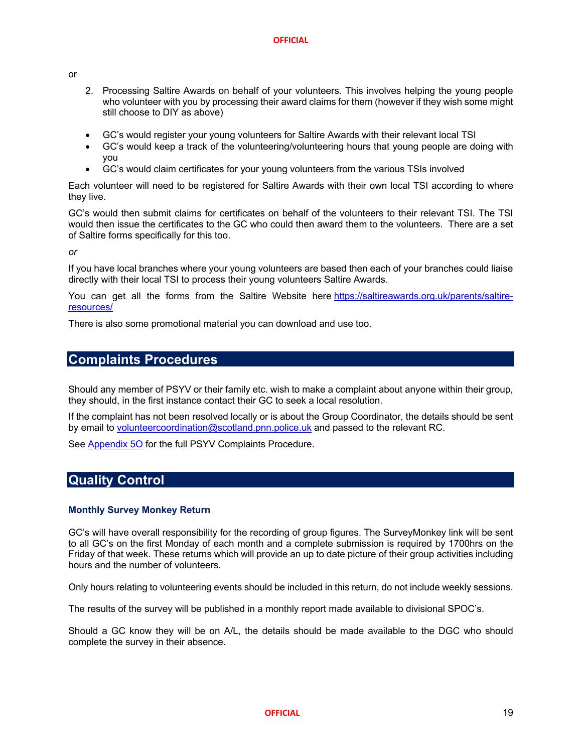or

- 2. Processing Saltire Awards on behalf of your volunteers. This involves helping the young people who volunteer with you by processing their award claims for them (however if they wish some might still choose to DIY as above)
- GC's would register your young volunteers for Saltire Awards with their relevant local TSI
- GC's would keep a track of the volunteering/volunteering hours that young people are doing with you
- GC's would claim certificates for your young volunteers from the various TSIs involved

Each volunteer will need to be registered for Saltire Awards with their own local TSI according to where they live.

GC's would then submit claims for certificates on behalf of the volunteers to their relevant TSI. The TSI would then issue the certificates to the GC who could then award them to the volunteers. There are a set of Saltire forms specifically for this too.

*or*

If you have local branches where your young volunteers are based then each of your branches could liaise directly with their local TSI to process their young volunteers Saltire Awards.

You can get all the forms from the Saltire Website here https://saltireawards.org.uk/parents/saltireresources/

There is also some promotional material you can download and use too.

## **Complaints Procedures**

Should any member of PSYV or their family etc. wish to make a complaint about anyone within their group, they should, in the first instance contact their GC to seek a local resolution.

If the complaint has not been resolved locally or is about the Group Coordinator, the details should be sent by email to volunteercoordination@scotland.pnn.police.uk and passed to the relevant RC.

See **Appendix 50** for the full PSYV Complaints Procedure.

## **Quality Control**

## **Monthly Survey Monkey Return**

GC's will have overall responsibility for the recording of group figures. The SurveyMonkey link will be sent to all GC's on the first Monday of each month and a complete submission is required by 1700hrs on the Friday of that week. These returns which will provide an up to date picture of their group activities including hours and the number of volunteers.

Only hours relating to volunteering events should be included in this return, do not include weekly sessions.

The results of the survey will be published in a monthly report made available to divisional SPOC's.

Should a GC know they will be on A/L, the details should be made available to the DGC who should complete the survey in their absence.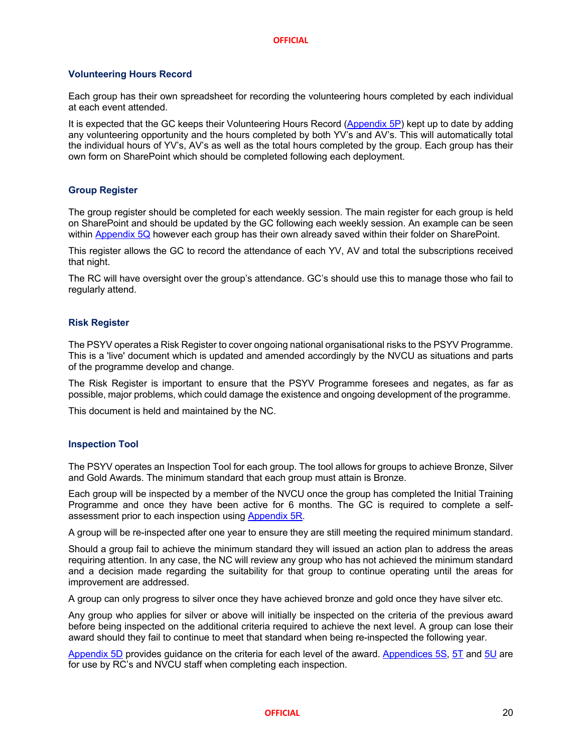## **Volunteering Hours Record**

Each group has their own spreadsheet for recording the volunteering hours completed by each individual at each event attended.

It is expected that the GC keeps their Volunteering Hours Record (Appendix 5P) kept up to date by adding any volunteering opportunity and the hours completed by both YV's and AV's. This will automatically total the individual hours of YV's, AV's as well as the total hours completed by the group. Each group has their own form on SharePoint which should be completed following each deployment.

## **Group Register**

The group register should be completed for each weekly session. The main register for each group is held on SharePoint and should be updated by the GC following each weekly session. An example can be seen within Appendix 5Q however each group has their own already saved within their folder on SharePoint.

This register allows the GC to record the attendance of each YV, AV and total the subscriptions received that night.

The RC will have oversight over the group's attendance. GC's should use this to manage those who fail to regularly attend.

## **Risk Register**

The PSYV operates a Risk Register to cover ongoing national organisational risks to the PSYV Programme. This is a 'live' document which is updated and amended accordingly by the NVCU as situations and parts of the programme develop and change.

The Risk Register is important to ensure that the PSYV Programme foresees and negates, as far as possible, major problems, which could damage the existence and ongoing development of the programme.

This document is held and maintained by the NC.

## **Inspection Tool**

The PSYV operates an Inspection Tool for each group. The tool allows for groups to achieve Bronze, Silver and Gold Awards. The minimum standard that each group must attain is Bronze.

Each group will be inspected by a member of the NVCU once the group has completed the Initial Training Programme and once they have been active for 6 months. The GC is required to complete a selfassessment prior to each inspection using **Appendix 5R**.

A group will be re-inspected after one year to ensure they are still meeting the required minimum standard.

Should a group fail to achieve the minimum standard they will issued an action plan to address the areas requiring attention. In any case, the NC will review any group who has not achieved the minimum standard and a decision made regarding the suitability for that group to continue operating until the areas for improvement are addressed.

A group can only progress to silver once they have achieved bronze and gold once they have silver etc.

Any group who applies for silver or above will initially be inspected on the criteria of the previous award before being inspected on the additional criteria required to achieve the next level. A group can lose their award should they fail to continue to meet that standard when being re-inspected the following year.

Appendix 5D provides guidance on the criteria for each level of the award. Appendices 5S, 5T and 5U are for use by RC's and NVCU staff when completing each inspection.